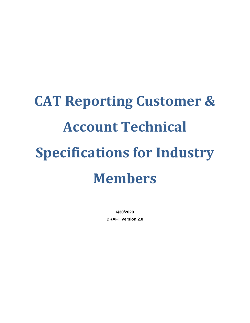# **CAT Reporting Customer & Account Technical Specifications for Industry Members**

**6/30/2020 DRAFT Version 2.0**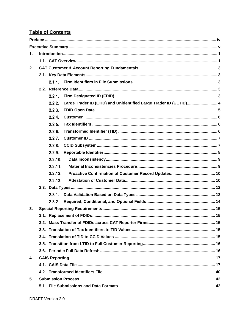# **Table of Contents**

| $\mathbf{1}$ . |                                                                             |  |
|----------------|-----------------------------------------------------------------------------|--|
|                |                                                                             |  |
| 2.             |                                                                             |  |
|                |                                                                             |  |
|                |                                                                             |  |
|                |                                                                             |  |
|                | 2.2.1.                                                                      |  |
|                | Large Trader ID (LTID) and Unidentified Large Trader ID (ULTID) 4<br>2.2.2. |  |
|                | 2.2.3.                                                                      |  |
|                | 2.2.4.                                                                      |  |
|                | 2.2.5.                                                                      |  |
|                | 2.2.6.                                                                      |  |
|                | 2.2.7.                                                                      |  |
|                | 2.2.8.                                                                      |  |
|                | 2.2.9.                                                                      |  |
|                | 2.2.10.                                                                     |  |
|                | 2.2.11.                                                                     |  |
|                | 2.2.12.                                                                     |  |
|                | 2.2.13.                                                                     |  |
|                |                                                                             |  |
|                | 2.3.1.                                                                      |  |
|                | 2.3.2.                                                                      |  |
| 3.             |                                                                             |  |
|                |                                                                             |  |
|                |                                                                             |  |
|                |                                                                             |  |
|                |                                                                             |  |
|                |                                                                             |  |
|                |                                                                             |  |
| 4.             |                                                                             |  |
|                |                                                                             |  |
|                |                                                                             |  |
| 5.             |                                                                             |  |
|                |                                                                             |  |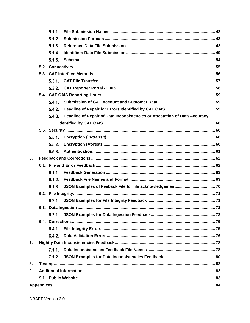|    | 5.1.1. |                                                                            |  |
|----|--------|----------------------------------------------------------------------------|--|
|    | 5.1.2. |                                                                            |  |
|    | 5.1.3. |                                                                            |  |
|    | 5.1.4. |                                                                            |  |
|    | 5.1.5. |                                                                            |  |
|    |        |                                                                            |  |
|    |        |                                                                            |  |
|    |        |                                                                            |  |
|    |        |                                                                            |  |
|    |        |                                                                            |  |
|    |        |                                                                            |  |
|    | 5.4.2. |                                                                            |  |
|    | 5.4.3. | Deadline of Repair of Data Inconsistencies or Attestation of Data Accuracy |  |
|    |        |                                                                            |  |
|    |        |                                                                            |  |
|    | 5.5.1. |                                                                            |  |
|    | 5.5.2. |                                                                            |  |
|    | 5.5.3. |                                                                            |  |
| 6. |        |                                                                            |  |
|    |        |                                                                            |  |
|    | 6.1.1. |                                                                            |  |
|    | 6.1.2. |                                                                            |  |
|    | 6.1.3. |                                                                            |  |
|    |        |                                                                            |  |
|    |        |                                                                            |  |
|    |        |                                                                            |  |
|    | 6.3.1. |                                                                            |  |
|    |        |                                                                            |  |
|    | 6.4.1. |                                                                            |  |
|    | 6.4.2. |                                                                            |  |
| 7. |        |                                                                            |  |
|    | 7.1.1. |                                                                            |  |
|    | 7.1.2. |                                                                            |  |
| 8. |        |                                                                            |  |
| 9. |        |                                                                            |  |
|    |        |                                                                            |  |
|    |        |                                                                            |  |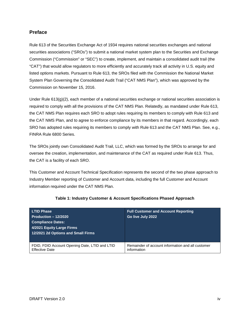# <span id="page-4-0"></span>**Preface**

Rule 613 of the Securities Exchange Act of 1934 requires national securities exchanges and national securities associations ("SROs") to submit a national market system plan to the Securities and Exchange Commission ("Commission" or "SEC") to create, implement, and maintain a consolidated audit trail (the "CAT") that would allow regulators to more efficiently and accurately track all activity in U.S. equity and listed options markets. Pursuant to Rule 613, the SROs filed with the Commission the National Market System Plan Governing the Consolidated Audit Trail ("CAT NMS Plan"), which was approved by the Commission on November 15, 2016.

Under Rule  $613(q)(2)$ , each member of a national securities exchange or national securities association is required to comply with all the provisions of the CAT NMS Plan. Relatedly, as mandated under Rule 613, the CAT NMS Plan requires each SRO to adopt rules requiring its members to comply with Rule 613 and the CAT NMS Plan, and to agree to enforce compliance by its members in that regard. Accordingly, each SRO has adopted rules requiring its members to comply with Rule 613 and the CAT NMS Plan. See, e.g., FINRA Rule 6800 Series.

The SROs jointly own Consolidated Audit Trail, LLC, which was formed by the SROs to arrange for and oversee the creation, implementation, and maintenance of the CAT as required under Rule 613. Thus, the CAT is a facility of each SRO.

This Customer and Account Technical Specification represents the second of the two phase approach to Industry Member reporting of Customer and Account data, including the full Customer and Account information required under the CAT NMS Plan.

| <b>LTID Phase</b><br>Production $-12/2020$<br><b>Compliance Dates:</b><br>4/2021 Equity Large Firms<br>12/2021 2d Options and Small Firms | <b>Full Customer and Account Reporting</b><br>Go live July 2022 |
|-------------------------------------------------------------------------------------------------------------------------------------------|-----------------------------------------------------------------|
| FDID, FDID Account Opening Date, LTID and LTID                                                                                            | Remainder of account information and all customer               |
| <b>Effective Date</b>                                                                                                                     | information                                                     |

#### **Table 1: Industry Customer & Account Specifications Phased Approach**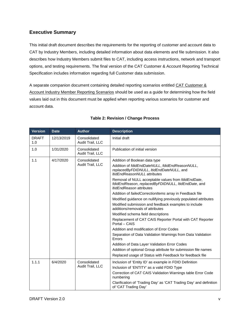# <span id="page-5-0"></span>**Executive Summary**

This initial draft document describes the requirements for the reporting of customer and account data to CAT by Industry Members, including detailed information about data elements and file submission. It also describes how Industry Members submit files to CAT, including access instructions, network and transport options, and testing requirements. The final version of the CAT Customer & Account Reporting Technical Specification includes information regarding full Customer data submission.

A separate companion document containing detailed reporting scenarios entitled CAT Customer & Account Industry Member Reporting Scenarios should be used as a guide for determining how the field values laid out in this document must be applied when reporting various scenarios for customer and account data.

| <b>Version</b>      | <b>Date</b> | <b>Author</b>                    | <b>Description</b>                                                                                                                                                                                                                                                                                                                                                                                                                                                                                                                                                                                                                                                                                                                                                                                                                                                                                   |
|---------------------|-------------|----------------------------------|------------------------------------------------------------------------------------------------------------------------------------------------------------------------------------------------------------------------------------------------------------------------------------------------------------------------------------------------------------------------------------------------------------------------------------------------------------------------------------------------------------------------------------------------------------------------------------------------------------------------------------------------------------------------------------------------------------------------------------------------------------------------------------------------------------------------------------------------------------------------------------------------------|
| <b>DRAFT</b><br>1.0 | 12/13/2019  | Consolidated<br>Audit Trail, LLC | Initial draft                                                                                                                                                                                                                                                                                                                                                                                                                                                                                                                                                                                                                                                                                                                                                                                                                                                                                        |
| 1.0                 | 1/31/2020   | Consolidated<br>Audit Trail, LLC | Publication of initial version                                                                                                                                                                                                                                                                                                                                                                                                                                                                                                                                                                                                                                                                                                                                                                                                                                                                       |
| 1.1                 | 4/17/2020   | Consolidated<br>Audit Trail, LLC | Addition of Boolean data type<br>Addition of fdidEndDateNULL, fdidEndReasonNULL,<br>replacedByFDIDNULL, ItidEndDateNULL, and<br>ItidEndReasonNULL attributes<br>Removal of NULL acceptable values from fdidEndDate,<br>fdidEndReason, replacedByFDIDNULL, ItidEndDate, and<br><i>ItidEndReason</i> attributes<br>Addition of failedCorrectionItems array in Feedback file<br>Modified guidance on nullifying previously populated attributes<br>Modified submission and feedback examples to include<br>additions/removals of attributes<br>Modified schema field descriptions<br>Replacement of CAT CAIS Reporter Portal with CAT Reporter<br>Portal - CAIS<br>Addition and modification of Error Codes<br>Separation of Data Validation Warnings from Data Validation<br>Errors<br>Addition of Data Layer Validation Error Codes<br>Addition of optional Group attribute for submission file names |
| 1.1.1               | 6/4/2020    | Consolidated<br>Audit Trail, LLC | Replaced usage of Status with Feedback for feedback file<br>Inclusion of 'Entity ID' as example in FDID Definition<br>Inclusion of 'ENTITY' as a valid FDID Type<br>Correction of CAT CAIS Validation Warnings table Error Code<br>numbering<br>Clarification of 'Trading Day' as 'CAT Trading Day' and definition<br>of 'CAT Trading Day'                                                                                                                                                                                                                                                                                                                                                                                                                                                                                                                                                           |

### **Table 2: Revision / Change Process**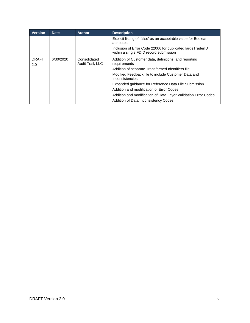| <b>Version</b>      | <b>Date</b> | <b>Author</b>                    | <b>Description</b>                                                                                   |
|---------------------|-------------|----------------------------------|------------------------------------------------------------------------------------------------------|
|                     |             |                                  | Explicit listing of 'false' as an acceptable value for Boolean<br>attributes                         |
|                     |             |                                  | Inclusion of Error Code 22006 for duplicated largeTraderID<br>within a single FDID record submission |
| <b>DRAFT</b><br>2.0 | 6/30/2020   | Consolidated<br>Audit Trail, LLC | Addition of Customer data, definitions, and reporting<br>requirements                                |
|                     |             |                                  | Addition of separate Transformed Identifiers file                                                    |
|                     |             |                                  | Modified Feedback file to include Customer Data and<br>Inconsistencies                               |
|                     |             |                                  | Expanded guidance for Reference Data File Submission                                                 |
|                     |             |                                  | Addition and modification of Error Codes                                                             |
|                     |             |                                  | Addition and modification of Data Layer Validation Error Codes                                       |
|                     |             |                                  | Addition of Data Inconsistency Codes                                                                 |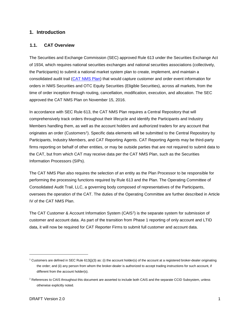#### <span id="page-7-0"></span>**1. Introduction**

#### <span id="page-7-1"></span>**1.1. CAT Overview**

The Securities and Exchange Commission (SEC) approved Rule 613 under the Securities Exchange Act of 1934, which requires national securities exchanges and national securities associations (collectively, the Participants) to submit a national market system plan to create, implement, and maintain a consolidated audit trail [\(CAT NMS Plan\)](https://www.catnmsplan.com/wp-content/uploads/2017/03/CAT-NMS-Plan-Current-as-of-7.24.17.pdf) that would capture customer and order event information for orders in NMS Securities and OTC Equity Securities (Eligible Securities), across all markets, from the time of order inception through routing, cancellation, modification, execution, and allocation. The SEC approved the CAT NMS Plan on November 15, 2016.

In accordance with SEC Rule 613, the CAT NMS Plan requires a Central Repository that will comprehensively track orders throughout their lifecycle and identify the Participants and Industry Members handling them, as well as the account holders and authorized traders for any account that originates an order (Customers[1\)](#page-7-2). Specific data elements will be submitted to the Central Repository by Participants, Industry Members, and CAT Reporting Agents. CAT Reporting Agents may be third-party firms reporting on behalf of other entities, or may be outside parties that are not required to submit data to the CAT, but from which CAT may receive data per the CAT NMS Plan, such as the Securities Information Processors (SIPs).

The CAT NMS Plan also requires the selection of an entity as the Plan Processor to be responsible for performing the processing functions required by Rule 613 and the Plan. The Operating Committee of Consolidated Audit Trail, LLC, a governing body composed of representatives of the Participants, oversees the operation of the CAT. The duties of the Operating Committee are further described in Article IV of the CAT NMS Plan.

The CAT Customer & Account Information System (CAIS<sup>[2](#page-7-3)</sup>) is the separate system for submission of customer and account data. As part of the transition from Phase 1 reporting of only account and LTID data, it will now be required for CAT Reporter Firms to submit full customer and account data.

-

<span id="page-7-2"></span><sup>&</sup>lt;sup>1</sup> Customers are defined in SEC Rule 613(j)(3) as: (i) the account holder(s) of the account at a registered broker-dealer originating the order; and (ii) any person from whom the broker-dealer is authorized to accept trading instructions for such account, if different from the account holder(s).

<span id="page-7-3"></span><sup>&</sup>lt;sup>2</sup> References to CAIS throughout this document are asserted to include both CAIS and the separate CCID Subsystem, unless otherwise explicitly noted.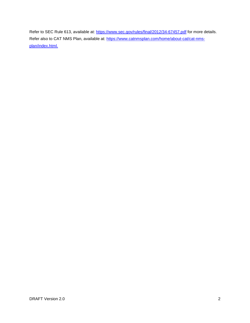Refer to SEC Rule 613, available at:<https://www.sec.gov/rules/final/2012/34-67457.pdf> for more details. Refer also to CAT NMS Plan, available at: [https://www.catnmsplan.com/home/about-cat/cat-nms](https://www.catnmsplan.com/home/about-cat/cat-nms-plan/index.html)[plan/index.html.](https://www.catnmsplan.com/home/about-cat/cat-nms-plan/index.html)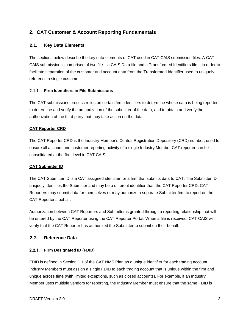# <span id="page-9-0"></span>**2. CAT Customer & Account Reporting Fundamentals**

#### <span id="page-9-1"></span>**2.1. Key Data Elements**

The sections below describe the key data elements of CAT used in CAT CAIS submission files. A CAT CAIS submission is comprised of two file – a CAIS Data file and a Transformed Identifiers file – in order to facilitate separation of the customer and account data from the Transformed Identifier used to uniquely reference a single customer.

#### <span id="page-9-2"></span>**Firm Identifiers in File Submissions**

The CAT submissions process relies on certain firm identifiers to determine whose data is being reported, to determine and verify the authorization of the submitter of the data, and to obtain and verify the authorization of the third party that may take action on the data.

#### **CAT Reporter CRD**

The CAT Reporter CRD is the Industry Member's Central Registration Depository (CRD) number, used to ensure all account and customer reporting activity of a single Industry Member CAT reporter can be consolidated at the firm level in CAT CAIS.

#### **CAT Submitter ID**

The CAT Submitter ID is a CAT assigned identifier for a firm that submits data to CAT. The Submitter ID uniquely identifies the Submitter and may be a different identifier than the CAT Reporter CRD. CAT Reporters may submit data for themselves or may authorize a separate Submitter firm to report on the CAT Reporter's behalf.

Authorization between CAT Reporters and Submitter is granted through a reporting relationship that will be entered by the CAT Reporter using the CAT Reporter Portal. When a file is received, CAT CAIS will verify that the CAT Reporter has authorized the Submitter to submit on their behalf.

### <span id="page-9-3"></span>**2.2. Reference Data**

#### <span id="page-9-4"></span>**Firm Designated ID (FDID)**

FDID is defined in Section 1.1 of the CAT NMS Plan as a unique identifier for each trading account. Industry Members must assign a single FDID to each trading account that is unique within the firm and unique across time (with limited exceptions, such as closed accounts). For example, if an Industry Member uses multiple vendors for reporting, the Industry Member must ensure that the same FDID is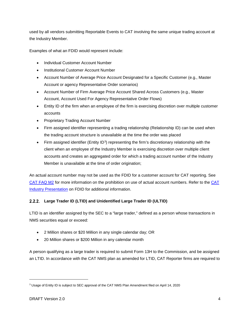used by all vendors submitting Reportable Events to CAT involving the same unique trading account at the Industry Member.

Examples of what an FDID would represent include:

- Individual Customer Account Number
- Institutional Customer Account Number
- Account Number of Average Price Account Designated for a Specific Customer (e.g., Master Account or agency Representative Order scenarios)
- Account Number of Firm Average Price Account Shared Across Customers (e.g., Master Account, Account Used For Agency Representative Order Flows)
- Entity ID of the firm when an employee of the firm is exercising discretion over multiple customer accounts
- Proprietary Trading Account Number
- Firm assigned identifier representing a trading relationship (Relationship ID) can be used when the trading account structure is unavailable at the time the order was placed
- Firm assigned identifier (Entity ID<sup>[3](#page-10-1)</sup>) representing the firm's discretionary relationship with the client when an employee of the Industry Member is exercising discretion over multiple client accounts and creates an aggregated order for which a trading account number of the Industry Member is unavailable at the time of order origination;

An actual account number may not be used as the FDID for a customer account for CAT reporting. See [CAT FAQ M2](https://catnmsplan.com/faq/index.html#faqFDID) for more information on the prohibition on use of actual account numbers. Refer to the [CAT](https://catnmsplan.com/wp-content/uploads/2019/04/FDID-Guidance-April-2019.pdf)  Industry Presentation [on FDID for additional information.](https://catnmsplan.com/wp-content/uploads/2019/04/FDID-Guidance-April-2019.pdf)

# <span id="page-10-0"></span>**Large Trader ID (LTID) and Unidentified Large Trader ID (ULTID)**

LTID is an identifier assigned by the SEC to a "large trader," defined as a person whose transactions in NMS securities equal or exceed:

- 2 Million shares or \$20 Million in any single calendar day; OR
- 20 Million shares or \$200 Million in any calendar month

A person qualifying as a large trader is required to submit Form 13H to the Commission, and be assigned an LTID. In accordance with the CAT NMS plan as amended for LTID, CAT Reporter firms are required to

j

<span id="page-10-1"></span><sup>&</sup>lt;sup>3</sup> Usage of Entity ID is subject to SEC approval of the CAT NMS Plan Amendment filed on April 14, 2020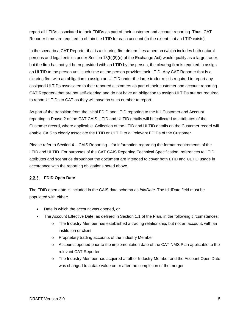report all LTIDs associated to their FDIDs as part of their customer and account reporting. Thus, CAT Reporter firms are required to obtain the LTID for each account (to the extent that an LTID exists).

In the scenario a CAT Reporter that is a clearing firm determines a person (which includes both natural persons and legal entities under Section 13(h)(8)(e) of the Exchange Act) would qualify as a large trader, but the firm has not yet been provided with an LTID by the person, the clearing firm is required to assign an ULTID to the person until such time as the person provides their LTID. Any CAT Reporter that is a clearing firm with an obligation to assign an ULTID under the large trader rule is required to report any assigned ULTIDs associated to their reported customers as part of their customer and account reporting. CAT Reporters that are not self-clearing and do not have an obligation to assign ULTIDs are not required to report ULTIDs to CAT as they will have no such number to report.

As part of the transition from the initial FDID and LTID reporting to the full Customer and Account reporting in Phase 2 of the CAT CAIS, LTID and ULTID details will be collected as attributes of the Customer record, where applicable. Collection of the LTID and ULTID details on the Customer record will enable CAIS to clearly associate the LTID or ULTID to all relevant FDIDs of the Customer.

Please refer to Section 4 – CAIS Reporting – for information regarding the format requirements of the LTID and ULTID. For purposes of the CAT CAIS Reporting Technical Specification, references to LTID attributes and scenarios throughout the document are intended to cover both LTID and ULTID usage in accordance with the reporting obligations noted above.

#### <span id="page-11-0"></span>**FDID Open Date**

The FDID open date is included in the CAIS data schema as *fdidDate*. The fdidDate field must be populated with either:

- Date in which the account was opened, or
- The Account Effective Date, as defined in Section 1.1 of the Plan, in the following circumstances:
	- o The Industry Member has established a trading relationship, but not an account, with an institution or client
	- o Proprietary trading accounts of the Industry Member
	- o Accounts opened prior to the implementation date of the CAT NMS Plan applicable to the relevant CAT Reporter
	- o The Industry Member has acquired another Industry Member and the Account Open Date was changed to a date value on or after the completion of the merger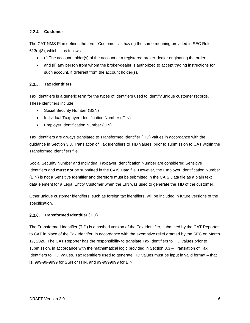#### <span id="page-12-0"></span>2.2.4. Customer

The CAT NMS Plan defines the term "Customer" as having the same meaning provided in SEC Rule 613(j)(3), which is as follows:

- (i) The account holder(s) of the account at a registered broker-dealer originating the order;
- and (ii) any person from whom the broker-dealer is authorized to accept trading instructions for such account, if different from the account holder(s).

#### <span id="page-12-1"></span>**Tax Identifiers**

Tax Identifiers is a generic term for the types of identifiers used to identify unique customer records. These identifiers include:

- Social Security Number (SSN)
- Individual Taxpayer Identification Number (ITIN)
- Employer Identification Number (EIN)

Tax Identifiers are always translated to Transformed Identifier (TID) values in accordance with the guidance in Section 3.3, Translation of Tax Identifiers to TID Values, prior to submission to CAT within the Transformed Identifiers file.

Social Security Number and Individual Taxpayer Identification Number are considered Sensitive Identifiers and **must not** be submitted in the CAIS Data file. However, the Employer Identification Number (EIN) is not a Sensitive Identifier and therefore must be submitted in the CAIS Data file as a plain text data element for a Legal Entity Customer when the EIN was used to generate the TID of the customer.

Other unique customer identifiers, such as foreign tax identifiers, will be included in future versions of the specification.

#### <span id="page-12-2"></span>**Transformed Identifier (TID)**

The Transformed Identifier (TID) is a hashed version of the Tax Identifier, submitted by the CAT Reporter to CAT in place of the Tax Identifer, in accordance with the exemptive relief granted by the SEC on March 17, 2020. The CAT Reporter has the responsibility to translate Tax Identifiers to TID values prior to submission, in accordance with the mathematical logic provided in Section 3.3 – Translation of Tax Identifiers to TID Values. Tax Identifiers used to generate TID values must be input in valid format – that is, 999-99-9999 for SSN or ITIN, and 99-9999999 for EIN.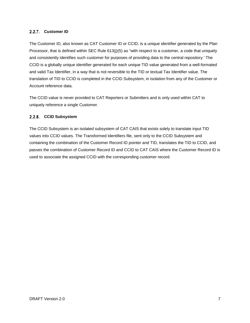#### <span id="page-13-0"></span>**Customer ID**

The Customer ID, also known as CAT Customer ID or CCID, is a unique identifier generated by the Plan Processor, that is defined within SEC Rule 613(j)(5) as "with respect to a customer, a code that uniquely and consistently identifies such customer for purposes of providing data to the central repository.' The CCID is a globally unique identifier generated for each unique TID value generated from a well-formated and valid Tax Identifier, in a way that is not reversible to the TID or textual Tax Identifier value. The translation of TID to CCID is completed in the CCID Subsystem, in isolation from any of the Customer or Account reference data.

The CCID value is never provided to CAT Reporters or Submitters and is only used within CAT to uniquely reference a single Customer.

#### <span id="page-13-1"></span>**CCID Subsystem**

The CCID Subsystem is an isolated subsystem of CAT CAIS that exists solely to translate input TID values into CCID values. The Transformed Identifiers file, sent only to the CCID Subsystem and containing the combination of the Customer Record ID pointer and TID, translates the TID to CCID, and passes the combination of Customer Record ID and CCID to CAT CAIS where the Customer Record ID is used to associate the assigned CCID with the corresponding customer record.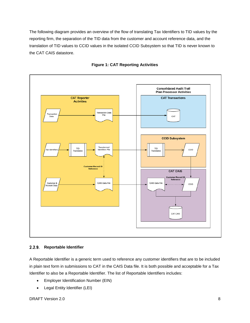The following diagram provides an overview of the flow of translating Tax Identifiers to TID values by the reporting firm, the separation of the TID data from the customer and account reference data, and the translation of TID values to CCID values in the isolated CCID Subsystem so that TID is never known to the CAT CAIS datastore.



#### **Figure 1: CAT Reporting Activities**

#### <span id="page-14-0"></span> $2.2.9.$ **Reportable Identifier**

A Reportable Identifier is a generic term used to reference any customer identifiers that are to be included in plain text form in submissions to CAT in the CAIS Data file. It is both possible and acceptable for a Tax Identifier to also be a Reportable Identifier. The list of Reportable Identifiers includes:

- Employer Identification Number (EIN)
- Legal Entity Identifier (LEI)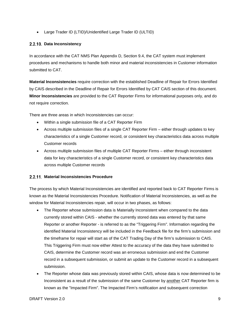• Large Trader ID (LTID)/Unidentified Large Trader ID (ULTID)

#### <span id="page-15-0"></span>**Data Inconsistency**

In accordance with the CAT NMS Plan Appendix D, Section 9.4, the CAT system must implement procedures and mechanisms to handle both minor and material inconsistencies in Customer information submitted to CAT.

**Material Inconsistencies** require correction with the established Deadline of Repair for Errors Identified by CAIS described in the Deadline of Repair [for Errors Identified by CAT](#page-65-2) CAIS section of this document. **Minor Inconsistencies** are provided to the CAT Reporter Firms for informational purposes only, and do not require correction.

There are three areas in which Inconsistencies can occur:

- Within a single submission file of a CAT Reporter Firm
- Across multiple submission files of a single CAT Reporter Firm either through updates to key characteristics of a single Customer record, or consistent key characteristics data across multiple Customer records
- Across multiple submission files of multiple CAT Reporter Firms either through inconsistent data for key characteristics of a single Customer record, or consistent key characteristics data across multiple Customer records

#### <span id="page-15-1"></span>**Material Inconsistencies Procedure**

The process by which Material Inconsistencies are identified and reported back to CAT Reporter Firms is known as the Material Inconsistencies Procedure. Notification of Material Inconsistencies, as well as the window for Material Inconsistencies repair, will occur in two phases, as follows:

- The Reporter whose submission data is Materially Inconsistent when compared to the data currently stored within CAIS - whether the currently stored data was entered by that same Reporter or another Reporter - is referred to as the "Triggering Firm". Information regarding the identified Material Inconsistency will be included in the Feedback file for the firm's submission and the timeframe for repair will start as of the CAT Trading Day of the firm's submission to CAIS. This Triggering Firm must now either Attest to the accuracy of the data they have submitted to CAIS, determine the Customer record was an erroneous submission and end the Customer record in a subsequent submission, or submit an update to the Customer record in a subsequent submission.
- The Reporter whose data was previously stored within CAIS, whose data is now determined to be Inconsistent as a result of the submission of the same Customer by another CAT Reporter firm is known as the "Impacted Firm". The Impacted Firm's notification and subsequent correction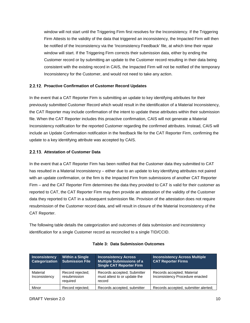window will not start until the Triggering Firm first resolves for the Inconsistency. If the Triggering Firm Attests to the validity of the data that triggered an inconsistency, the Impacted Firm will then be notified of the Inconsistency via the 'Inconsistency Feedback' file, at which time their repair window will start. If the Triggering Firm corrects their submission data, either by ending the Customer record or by submitting an update to the Customer record resulting in their data being consistent with the existing record in CAIS, the Impacted Firm will not be notified of the temporary Inconsistency for the Customer, and would not need to take any action.

#### <span id="page-16-0"></span>**2.2.12. Proactive Confirmation of Customer Record Updates**

In the event that a CAT Reporter Firm is submitting an update to key identifying attributes for their previously submitted Customer Record which would result in the identification of a Material Inconsistency, the CAT Reporter may include confirmation of the intent to update these attributes within their submission file. When the CAT Reporter includes this proactive confirmation, CAIS will not generate a Material Inconsistency notification for the reported Customer regarding the confirmed attributes. Instead, CAIS will include an Update Confirmation notification in the feedback file for the CAT Reporter Firm, confirming the update to a key identifying attribute was accepted by CAIS.

#### <span id="page-16-1"></span>**2.2.13. Attestation of Customer Data**

In the event that a CAT Reporter Firm has been notified that the Customer data they submitted to CAT has resulted in a Material Inconsistency – either due to an update to key identifying attributes not paired with an update confirmation, or the firm is the Impacted Firm from submissions of another CAT Reporter Firm – and the CAT Reporter Firm determines the data they provided to CAT is valid for their customer as reported to CAT, the CAT Reporter Firm may then provide an attestation of the validity of the Customer data they reported to CAT in a subsequent submission file. Provision of the attestation does not require resubmission of the Customer record data, and will result in closure of the Material Inconsistency of the CAT Reporter.

The following table details the categorization and outcomes of data submission and inconsistency identification for a single Customer record as reconciled to a single TID/CCID.

| Inconsistency<br><b>Categorization</b> | <b>Within a Single</b><br><b>Submission File</b> | <b>Inconsistency Across</b><br><b>Multiple Submissions of a</b><br><b>Single CAT Reporter Firm</b> | <b>Inconsistency Across Multiple</b><br><b>CAT Reporter Firms</b> |
|----------------------------------------|--------------------------------------------------|----------------------------------------------------------------------------------------------------|-------------------------------------------------------------------|
| Material<br>Inconsistency              | Record rejected;<br>resubmission<br>required     | Records accepted; Submitter<br>must attest to or update the<br>record                              | Records accepted; Material<br>Inconsistency Procedure enacted     |
| Minor                                  | Record rejected;                                 | Records accepted, submitter                                                                        | Records accepted, submitter alerted;                              |

#### **Table 3: Data Submission Outcomes**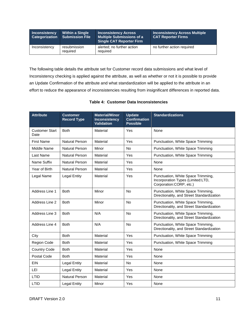| <b>Inconsistency</b> | <b>Within a Single</b><br>Categorization Submission File | <b>Inconsistency Across</b><br>Multiple Submissions of a<br><b>Single CAT Reporter Firm</b> | <b>Inconsistency Across Multiple</b><br><b>CAT Reporter Firms</b> |
|----------------------|----------------------------------------------------------|---------------------------------------------------------------------------------------------|-------------------------------------------------------------------|
| Inconsistency        | resubmission<br>required                                 | alerted; no further action<br>required                                                      | no further action required                                        |

The following table details the attribute set for Customer record data submissions and what level of Inconsistency checking is applied against the attribute, as well as whether or not it is possible to provide an Update Confirmation of the attribute and what standardization will be applied to the attribute in an effort to reduce the appearance of inconsistencies resulting from insignificant differences in reported data.

#### **Table 4: Customer Data Inconsistencies**

| <b>Attribute</b>              | <b>Customer</b><br><b>Record Type</b> | <b>Material/Minor</b><br><b>Inconsistency</b><br><b>Validation</b> | <b>Update</b><br><b>Confirmation</b><br><b>Possible</b> | <b>Standardizations</b>                                                                            |
|-------------------------------|---------------------------------------|--------------------------------------------------------------------|---------------------------------------------------------|----------------------------------------------------------------------------------------------------|
| <b>Customer Start</b><br>Date | <b>Both</b>                           | Material                                                           | Yes                                                     | None                                                                                               |
| <b>First Name</b>             | Natural Person                        | Material                                                           | Yes                                                     | Punctuation, White Space Trimming                                                                  |
| Middle Name                   | Natural Person                        | Minor                                                              | <b>No</b>                                               | Punctuation, White Space Trimming                                                                  |
| Last Name                     | Natural Person                        | Material                                                           | Yes                                                     | Punctuation, White Space Trimming                                                                  |
| Name Suffix                   | Natural Person                        | Material                                                           | Yes                                                     | None                                                                                               |
| Year of Birth                 | <b>Natural Person</b>                 | Material                                                           | Yes                                                     | None                                                                                               |
| Legal Name                    | <b>Legal Entity</b>                   | Material                                                           | Yes                                                     | Punctuation, White Space Trimming,<br>Incorporation Types (Limited:LTD,<br>Corporation:CORP, etc.) |
| Address Line 1                | <b>Both</b>                           | Minor                                                              | <b>No</b>                                               | Punctuation, White Space Trimming,<br>Directionality, and Street Standardization                   |
| Address Line 2                | <b>Both</b>                           | Minor                                                              | <b>No</b>                                               | Punctuation, White Space Trimming,<br>Directionality, and Street Standardization                   |
| Address Line 3                | <b>Both</b>                           | N/A                                                                | <b>No</b>                                               | Punctuation, White Space Trimming,<br>Directionality, and Street Standardization                   |
| Address Line 4                | <b>Both</b>                           | N/A                                                                | <b>No</b>                                               | Punctuation, White Space Trimming,<br>Directionality, and Street Standardization                   |
| City                          | <b>Both</b>                           | Material                                                           | Yes                                                     | Punctuation, White Space Trimming                                                                  |
| <b>Region Code</b>            | <b>Both</b>                           | Material                                                           | Yes                                                     | Punctuation, White Space Trimming                                                                  |
| <b>Country Code</b>           | <b>Both</b>                           | Material                                                           | Yes                                                     | None                                                                                               |
| Postal Code                   | <b>Both</b>                           | Material                                                           | Yes                                                     | None                                                                                               |
| <b>EIN</b>                    | <b>Legal Entity</b>                   | Material                                                           | <b>No</b>                                               | None                                                                                               |
| LEI                           | <b>Legal Entity</b>                   | Material                                                           | Yes                                                     | None                                                                                               |
| LTID                          | <b>Natural Person</b>                 | Material                                                           | Yes                                                     | None                                                                                               |
| LTID                          | <b>Legal Entity</b>                   | Minor                                                              | Yes                                                     | None                                                                                               |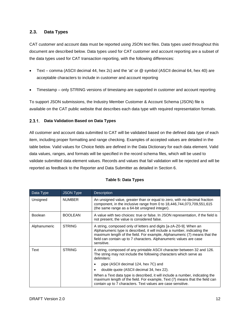## <span id="page-18-0"></span>**2.3. Data Types**

CAT customer and account data must be reported using JSON text files. Data types used throughout this document are described below. Data types used for CAT customer and account reporting are a subset of the data types used for CAT transaction reporting, with the following differences:

- Text comma (ASCII decimal 44, hex 2c) and the 'at' or @ symbol (ASCII decimal 64, hex 40) are acceptable characters to include in customer and account reporting
- Timestamp only STRING versions of timestamp are supported in customer and account reporting

To support JSON submissions, the [Industry](https://catnmsplan.com/technical-specifications/index.html) Member Customer & Account Schema (JSON) file is available on the CAT public website that describes each data type with required representation formats.

#### <span id="page-18-1"></span>**Data Validation Based on Data Types**

All customer and account data submitted to CAT will be validated based on the defined data type of each item, including proper formatting and range checking. Examples of accepted values are detailed in the table below. Valid values for Choice fields are defined in the Data Dictionary for each data element. Valid data values, ranges, and formats will be specified in the record schema files, which will be used to validate submitted data element values. Records and values that fail validation will be rejected and will be reported as feedback to the Reporter and Data Submitter as detailed in Section 6.

| Data Type      | <b>JSON Type</b> | <b>Description</b>                                                                                                                                                                                                                                                                                              |
|----------------|------------------|-----------------------------------------------------------------------------------------------------------------------------------------------------------------------------------------------------------------------------------------------------------------------------------------------------------------|
| Unsigned       | <b>NUMBER</b>    | An unsigned value, greater than or equal to zero, with no decimal fraction<br>component, in the inclusive range from 0 to 18,446,744,073,709,551,615<br>(the same range as a 64-bit unsigned integer).                                                                                                          |
| <b>Boolean</b> | <b>BOOLEAN</b>   | A value with two choices: true or false. In JSON representation, if the field is<br>not present, the value is considered false.                                                                                                                                                                                 |
| Alphanumeric   | <b>STRING</b>    | A string, composed only of letters and digits [a-zA-Z0-9]. When an<br>Alphanumeric type is described, it will include a number, indicating the<br>maximum length of the field. For example, Alphanumeric (7) means that the<br>field can contain up to 7 characters. Alphanumeric values are case<br>sensitive. |
| Text           | <b>STRING</b>    | A string, composed of any printable ASCII character between 32 and 126.<br>The string may not include the following characters which serve as<br>delimiters:                                                                                                                                                    |
|                |                  | pipe (ASCII decimal 124, hex 7C) and<br>٠                                                                                                                                                                                                                                                                       |
|                |                  | double quote (ASCII decimal 34, hex 22).                                                                                                                                                                                                                                                                        |
|                |                  | When a Text data type is described, it will include a number, indicating the<br>maximum length of the field. For example, Text (7) means that the field can<br>contain up to 7 characters. Text values are case sensitive.                                                                                      |

#### **Table 5: Data Types**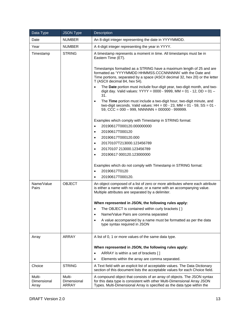| Data Type                      | <b>JSON Type</b>               | Description                                                                                                                                                                                                                                          |
|--------------------------------|--------------------------------|------------------------------------------------------------------------------------------------------------------------------------------------------------------------------------------------------------------------------------------------------|
| Date                           | <b>NUMBER</b>                  | An 8-digit integer representing the date in YYYYMMDD.                                                                                                                                                                                                |
| Year                           | <b>NUMBER</b>                  | A 4-digit integer representing the year in YYYY.                                                                                                                                                                                                     |
| Timestamp                      | <b>STRING</b>                  | A timestamp represents a moment in time. All timestamps must be in<br>Eastern Time (ET).                                                                                                                                                             |
|                                |                                | Timestamps formatted as a STRING have a maximum length of 25 and are<br>formatted as 'YYYYMMDD HHMMSS.CCCNNNNNNN' with the Date and<br>Time portions, separated by a space (ASCII decimal 32, hex 20) or the letter<br>T (ASCII decimal 84, hex 54). |
|                                |                                | The Date portion must include four-digit year, two-digit month, and two-<br>$\bullet$<br>digit day. Valid values: YYYY = 0000 - 9999, MM = 01 - 12, DD = 01 -<br>31.                                                                                 |
|                                |                                | The Time portion must include a two-digit hour, two-digit minute, and<br>$\bullet$<br>two-digit seconds. Valid values: $HH = 00 - 23$ , $MM = 01 - 59$ , $SS = 01 -$<br>59, CCC = $000 - 999$ , NNNNNN = $000000 - 999999$ .                         |
|                                |                                | Examples which comply with Timestamp in STRING format:                                                                                                                                                                                               |
|                                |                                | 20190617T000120.000000000<br>$\bullet$                                                                                                                                                                                                               |
|                                |                                | 20190617T000120<br>$\bullet$                                                                                                                                                                                                                         |
|                                |                                | 20190617T000120.000<br>$\bullet$                                                                                                                                                                                                                     |
|                                |                                | 20170107T213000.123456789<br>$\bullet$                                                                                                                                                                                                               |
|                                |                                | 20170107 213000.123456789<br>$\bullet$                                                                                                                                                                                                               |
|                                |                                | 20190617 000120.123000000<br>$\bullet$                                                                                                                                                                                                               |
|                                |                                |                                                                                                                                                                                                                                                      |
|                                |                                | Examples which do not comply with Timestamp in STRING format:<br>20190617T0120<br>$\bullet$                                                                                                                                                          |
|                                |                                | 20190617T000120.<br>$\bullet$                                                                                                                                                                                                                        |
| Name/Value<br>Pairs            | <b>OBJECT</b>                  | An object composed of a list of zero or more attributes where each attribute<br>is either a name with no value, or a name with an accompanying value.<br>Multiple attributes are separated by a delimiter.                                           |
|                                |                                |                                                                                                                                                                                                                                                      |
|                                |                                | When represented in JSON, the following rules apply:                                                                                                                                                                                                 |
|                                |                                | The OBJECT is contained within curly brackets $\{\}$<br>$\bullet$<br>Name/Value Pairs are comma separated<br>$\bullet$                                                                                                                               |
|                                |                                | A value accompanied by a name must be formatted as per the data<br>٠                                                                                                                                                                                 |
|                                |                                | type syntax required in JSON                                                                                                                                                                                                                         |
| Array                          | ARRAY                          | A list of 0, 1 or more values of the same data type.                                                                                                                                                                                                 |
|                                |                                | When represented in JSON, the following rules apply:                                                                                                                                                                                                 |
|                                |                                | ARRAY is within a set of brackets []<br>$\bullet$                                                                                                                                                                                                    |
|                                |                                | Elements within the array are comma separated.<br>$\bullet$                                                                                                                                                                                          |
| Choice                         | <b>STRING</b>                  | A Text field with an explicit list of acceptable values. The Data Dictionary<br>section of this document lists the acceptable values for each Choice field.                                                                                          |
| Multi-<br>Dimensional<br>Array | Multi-<br>Dimensional<br>ARRAY | A compound object that consists of an array of objects. The JSON syntax<br>for this data type is consistent with other Multi-Dimensional Array JSON<br>Types. Multi-Dimensional Array is specified as the data type within the                       |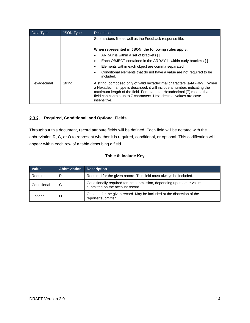| Data Type   | <b>JSON Type</b> | <b>Description</b>                                                                                                                                                                                                                                                                                                      |
|-------------|------------------|-------------------------------------------------------------------------------------------------------------------------------------------------------------------------------------------------------------------------------------------------------------------------------------------------------------------------|
|             |                  | Submissions file as well as the Feedback response file.                                                                                                                                                                                                                                                                 |
|             |                  | When represented in JSON, the following rules apply:                                                                                                                                                                                                                                                                    |
|             |                  | ARRAY is within a set of brackets []<br>$\bullet$                                                                                                                                                                                                                                                                       |
|             |                  | Each OBJECT contained in the ARRAY is within curly brackets $\{\}$<br>$\bullet$                                                                                                                                                                                                                                         |
|             |                  | Elements within each object are comma separated<br>٠                                                                                                                                                                                                                                                                    |
|             |                  | Conditional elements that do not have a value are not required to be<br>included.                                                                                                                                                                                                                                       |
| Hexadecimal | String           | A string, composed only of valid hexadecimal characters [a-fA-F0-9]. When<br>a Hexadecimal type is described, it will include a number, indicating the<br>maximum length of the field. For example, Hexadecimal (7) means that the<br>field can contain up to 7 characters. Hexadecimal values are case<br>insensitive. |

#### <span id="page-20-0"></span>**Required, Conditional, and Optional Fields**

Throughout this document, record attribute fields will be defined. Each field will be notated with the abbreviation R, C, or O to represent whether it is required, conditional, or optional. This codification will appear within each row of a table describing a field.

#### **Table 6: Include Key**

| Value       | <b>Abbreviation</b> | <b>Description</b>                                                                                         |
|-------------|---------------------|------------------------------------------------------------------------------------------------------------|
| Required    | R                   | Required for the given record. This field must always be included.                                         |
| Conditional | C                   | Conditionally required for the submission, depending upon other values<br>submitted on the account record. |
| Optional    | O                   | Optional for the given record. May be included at the discretion of the<br>reporter/submitter.             |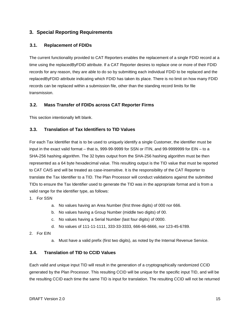# <span id="page-21-0"></span>**3. Special Reporting Requirements**

#### <span id="page-21-1"></span>**3.1. Replacement of FDIDs**

The current functionality provided to CAT Reporters enables the replacement of a single FDID record at a time using the replacedByFDID attribute. If a CAT Reporter desires to replace one or more of their FDID records for any reason, they are able to do so by submitting each individual FDID to be replaced and the replacedByFDID attribute indicating which FDID has taken its place. There is no limit on how many FDID records can be replaced within a submission file, other than the standing record limits for file transmission.

#### <span id="page-21-2"></span>**3.2. Mass Transfer of FDIDs across CAT Reporter Firms**

This section intentionally left blank.

#### <span id="page-21-3"></span>**3.3. Translation of Tax Identifiers to TID Values**

For each Tax Identifier that is to be used to uniquely identify a single Customer, the identifier must be input in the exact valid format – that is, 999-99-9999 for SSN or ITIN, and 99-9999999 for EIN – to a SHA-256 hashing algorithm. The 32 bytes output from the SHA-256 hashing algorithm must be then represented as a 64 byte hexadecimal value. This resulting output is the TID value that must be reported to CAT CAIS and will be treated as case-insensitive. It is the responsibility of the CAT Reporter to translate the Tax Identifier to a TID. The Plan Processor will conduct validations against the submitted TIDs to ensure the Tax Identifier used to generate the TID was in the appropriate format and is from a valid range for the identifier type, as follows:

- 1. For SSN
	- a. No values having an Area Number (first three digits) of 000 nor 666.
	- b. No values having a Group Number (middle two digits) of 00.
	- c. No values having a Serial Number (last four digits) of 0000.
	- d. No values of 111-11-1111, 333-33-3333, 666-66-6666, nor 123-45-6789.
- 2. For EIN
	- a. Must have a valid prefix (first two digits), as noted by the Internal Revenue Service.

#### <span id="page-21-4"></span>**3.4. Translation of TID to CCID Values**

Each valid and unique input TID will result in the generation of a cryptographically randomized CCID generated by the Plan Processor. This resulting CCID will be unique for the specific input TID, and will be the resulting CCID each time the same TID is input for translation. The resulting CCID will not be returned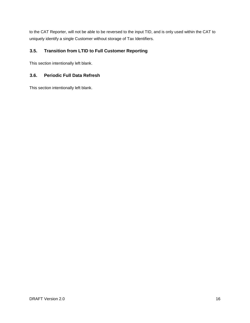to the CAT Reporter, will not be able to be reversed to the input TID, and is only used within the CAT to uniquely identify a single Customer without storage of Tax Identifiers.

# <span id="page-22-0"></span>**3.5. Transition from LTID to Full Customer Reporting**

This section intentionally left blank.

# <span id="page-22-1"></span>**3.6. Periodic Full Data Refresh**

This section intentionally left blank.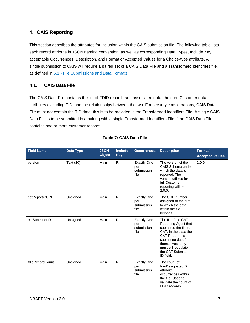# <span id="page-23-0"></span>**4. CAIS Reporting**

This section describes the attributes for inclusion within the CAIS submission file. The following table lists each record attribute in JSON naming convention, as well as corresponding Data Types, Include Key, acceptable Occurrences, Description, and Format or Accepted Values for a Choice-type attribute. A single submission to CAIS will require a paired set of a CAIS Data File and a Transformed Identifiers file, as defined in [5.1](#page-48-1) - [File Submissions and Data Formats](#page-48-1)

# <span id="page-23-1"></span>**4.1. CAIS Data File**

The CAIS Data File contains the list of FDID records and associated data, the core Customer data attributes excluding TID, and the relationships between the two. For security considerations, CAIS Data File must not contain the TID data; this is to be provided in the Transformed Identifiers File. A single CAIS Data File is to be submitted in a pairing with a single Transformed Identifiers File if the CAIS Data File contains one or more customer records.

| <b>Field Name</b> | <b>Data Type</b> | <b>JSON</b><br><b>Object</b> | <b>Include</b><br><b>Key</b> | <b>Occurrences</b>                              | <b>Description</b>                                                                                                                                                                                                       | Format/<br><b>Accepted Values</b> |
|-------------------|------------------|------------------------------|------------------------------|-------------------------------------------------|--------------------------------------------------------------------------------------------------------------------------------------------------------------------------------------------------------------------------|-----------------------------------|
| version           | Text (10)        | Main                         | $\mathsf{R}$                 | <b>Exactly One</b><br>per<br>submission<br>file | The version of the<br>CAIS Schema under<br>which the data is<br>reported. The<br>version utilized for<br>full Customer<br>reporting will be<br>2.0.0.                                                                    | 2.0.0                             |
| catReporterCRD    | Unsigned         | Main                         | R                            | <b>Exactly One</b><br>per<br>submission<br>file | The CRD number<br>assigned to the firm<br>to which the data<br>within the file<br>belongs.                                                                                                                               |                                   |
| catSubmitterID    | Unsigned         | Main                         | R                            | <b>Exactly One</b><br>per<br>submission<br>file | The ID of the CAT<br>Reporting Agent that<br>submitted the file to<br>CAT. In the case the<br><b>CAT Reporter is</b><br>submitting data for<br>themselves, they<br>must still populate<br>the CAT Submitter<br>ID field. |                                   |
| fdidRecordCount   | Unsigned         | Main                         | $\mathsf{R}$                 | <b>Exactly One</b><br>per<br>submission<br>file | The count of<br>firmDesignatedID<br>attribute<br>occurrences within<br>the file. Used to<br>validate the count of<br>FDID records                                                                                        |                                   |

#### **Table 7: CAIS Data File**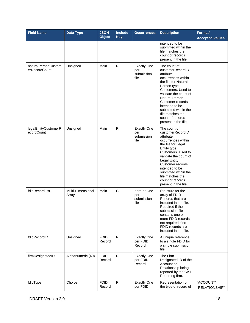| <b>Field Name</b>                    | Data Type                  | <b>JSON</b><br><b>Object</b> | <b>Include</b><br><b>Key</b> | <b>Occurrences</b>                              | <b>Description</b>                                                                                                                                                                                                                                                                                               | Format/<br><b>Accepted Values</b> |
|--------------------------------------|----------------------------|------------------------------|------------------------------|-------------------------------------------------|------------------------------------------------------------------------------------------------------------------------------------------------------------------------------------------------------------------------------------------------------------------------------------------------------------------|-----------------------------------|
|                                      |                            |                              |                              |                                                 | intended to be<br>submitted within the<br>file matches the<br>count of records<br>present in the file.                                                                                                                                                                                                           |                                   |
| naturalPersonCustom<br>erRecordCount | Unsigned                   | Main                         | $\mathsf R$                  | <b>Exactly One</b><br>per<br>submission<br>file | The count of<br>customerRecordID<br>attribute<br>occurrences within<br>the file for Natural<br>Person type<br>Customers. Used to<br>validate the count of<br><b>Natural Person</b><br>Customer records<br>intended to be<br>submitted within the<br>file matches the<br>count of records<br>present in the file. |                                   |
| legalEntityCustomerR<br>ecordCount   | Unsigned                   | Main                         | $\mathsf R$                  | <b>Exactly One</b><br>per<br>submission<br>file | The count of<br>customerRecordID<br>attribute<br>occurrences within<br>the file for Legal<br>Entity type<br>Customers. Used to<br>validate the count of<br><b>Legal Entity</b><br>Customer records<br>intended to be<br>submitted within the<br>file matches the<br>count of records<br>present in the file.     |                                   |
| fdidRecordList                       | Multi-Dimensional<br>Array | Main                         | $\mathsf{C}$                 | Zero or One<br>per<br>submission<br>file        | Structure for the<br>array of FDID<br>Records that are<br>included in the file.<br>Required if the<br>submission file<br>contains one or<br>more FDID records;<br>not required if no<br>FDID records are<br>included in the file.                                                                                |                                   |
| fdidRecordID                         | Unsigned                   | <b>FDID</b><br>Record        | $\mathsf{R}$                 | <b>Exactly One</b><br>per FDID<br>Record        | A unique reference<br>to a single FDID for<br>a single submission<br>file.                                                                                                                                                                                                                                       |                                   |
| firmDesignatedID                     | Alphanumeric (40)          | <b>FDID</b><br>Record        | $\mathsf{R}$                 | <b>Exactly One</b><br>per FDID<br>Record        | The Firm<br>Designated ID of the<br>Account or<br>Relationship being<br>reported by the CAT<br>Reporting firm.                                                                                                                                                                                                   |                                   |
| fdidType                             | Choice                     | <b>FDID</b><br>Record        | $\mathsf{R}$                 | <b>Exactly One</b><br>per FDID                  | Representation of<br>the type of record of                                                                                                                                                                                                                                                                       | "ACCOUNT"<br>"RELATIONSHIP"       |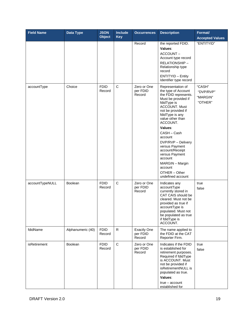| <b>Field Name</b> | <b>Data Type</b>  | <b>JSON</b><br><b>Object</b> | <b>Include</b><br><b>Key</b> | <b>Occurrences</b>                       | <b>Description</b>                                                                                                                                                                                                                                                                                                                                                                                       | Format/<br><b>Accepted Values</b>          |
|-------------------|-------------------|------------------------------|------------------------------|------------------------------------------|----------------------------------------------------------------------------------------------------------------------------------------------------------------------------------------------------------------------------------------------------------------------------------------------------------------------------------------------------------------------------------------------------------|--------------------------------------------|
|                   |                   |                              |                              | Record                                   | the reported FDID.<br>Values:<br>ACCOUNT-<br>Account type record<br>RELATIONSHIP-<br>Relationship type<br>record<br><b>ENTITYID - Entity</b><br>Identifier type record                                                                                                                                                                                                                                   | "ENTITYID"                                 |
| accountType       | Choice            | <b>FDID</b><br>Record        | $\mathbf C$                  | Zero or One<br>per FDID<br>Record        | Representation of<br>the type of Account<br>the FDID represents.<br>Must be provided if<br>fdidType is<br><b>ACCOUNT. Must</b><br>not be provided if<br>fdidType is any<br>value other than<br>ACCOUNT.<br>Values:<br>CASH - Cash<br>account<br>DVP/RVP - Delivery<br>versus Payment<br>account/Receipt<br>versus Payment<br>account<br>MARGIN - Margin<br>account<br>OTHER - Other<br>undefined account | "CASH"<br>"DVP/RVP"<br>"MARGIN"<br>"OTHER" |
| accountTypeNULL   | Boolean           | <b>FDID</b><br>Record        | $\mathsf{C}$                 | Zero or One<br>per FDID<br>Record        | Indicates any<br>accountType<br>currently stored in<br>CAT CAIS should be<br>cleared. Must not be<br>provided as true if<br>accountType is<br>populated. Must not<br>be populated as true<br>if fdidType is<br>ACCOUNT.                                                                                                                                                                                  | true<br>false                              |
| fdidName          | Alphanumeric (40) | <b>FDID</b><br>Record        | $\mathsf{R}$                 | <b>Exactly One</b><br>per FDID<br>Record | The name applied to<br>the FDID at the CAT<br>Reporter Firm.                                                                                                                                                                                                                                                                                                                                             |                                            |
| isRetirement      | Boolean           | <b>FDID</b><br>Record        | $\mathbf C$                  | Zero or One<br>per FDID<br>Record        | Indicates if the FDID<br>is established for<br>retirement purposes.<br>Required if fdidType<br>is ACCOUNT. Must<br>not be provided if<br>isRetirementNULL is<br>populated as true.<br>Values:<br>$true - account$<br>established for                                                                                                                                                                     | true<br>false                              |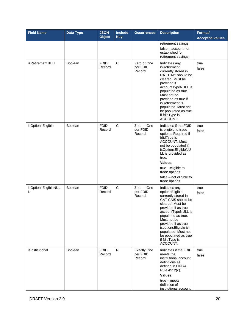| <b>Field Name</b>         | <b>Data Type</b> | <b>JSON</b><br><b>Object</b> | Include<br><b>Key</b> | <b>Occurrences</b>                       | <b>Description</b>                                                                                                                                                                                                                                                                                              | Format/<br><b>Accepted Values</b> |
|---------------------------|------------------|------------------------------|-----------------------|------------------------------------------|-----------------------------------------------------------------------------------------------------------------------------------------------------------------------------------------------------------------------------------------------------------------------------------------------------------------|-----------------------------------|
|                           |                  |                              |                       |                                          | retirement savings<br>false - account not<br>established for<br>retirement savings                                                                                                                                                                                                                              |                                   |
| isRetirementNULL          | Boolean          | <b>FDID</b><br>Record        | $\mathsf C$           | Zero or One<br>per FDID<br>Record        | Indicates any<br>isRetirement<br>currently stored in<br>CAT CAIS should be<br>cleared. Must be<br>provided if<br>accountTypeNULL is<br>populated as true.<br>Must not be<br>provided as true if<br>isRetirement is<br>populated. Must not<br>be populated as true<br>if fdidType is<br>ACCOUNT.                 | true<br>false                     |
| isOptionsEligible         | Boolean          | <b>FDID</b><br>Record        | $\mathsf C$           | Zero or One<br>per FDID<br>Record        | Indicates if the FDID<br>is eligible to trade<br>options. Required if<br>fdidType is<br><b>ACCOUNT. Must</b><br>not be populated if<br>isOptionsEligibleNU<br>LL is provided as<br>true.<br>Values:<br>$true$ – eligible to<br>trade options<br>false - not eligible to<br>trade options                        | true<br>false                     |
| isOptionsEligibleNUL<br>L | Boolean          | <b>FDID</b><br>Record        | $\mathsf C$           | Zero or One<br>per FDID<br>Record        | Indicates any<br>optionsEligible<br>currently stored in<br>CAT CAIS should be<br>cleared. Must be<br>provided if as true<br>accountTypeNULL is<br>populated as true.<br>Must not be<br>provided if as true<br>isoptionsEligible is<br>populated. Must not<br>be populated as true<br>if fdidType is<br>ACCOUNT. | true<br>false                     |
| isInstitutional           | Boolean          | <b>FDID</b><br>Record        | $\mathsf{R}$          | <b>Exactly One</b><br>per FDID<br>Record | Indicates if the FDID<br>meets the<br>institutional account<br>definitions as<br>defined in FINRA<br>Rule 4512(c).<br>Values:<br>$true - meets$<br>definition of<br>institutional account                                                                                                                       | true<br>false                     |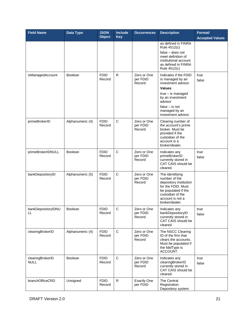| <b>Field Name</b>               | Data Type        | <b>JSON</b><br><b>Object</b> | <b>Include</b><br><b>Key</b> | <b>Occurrences</b>                | <b>Description</b>                                                                                                                                                                           | Format/<br><b>Accepted Values</b> |
|---------------------------------|------------------|------------------------------|------------------------------|-----------------------------------|----------------------------------------------------------------------------------------------------------------------------------------------------------------------------------------------|-----------------------------------|
|                                 |                  |                              |                              |                                   | as defined in FINRA<br>Rule 4512(c)<br>$false - does not$<br>meet definition of<br>institutional account<br>as defined in FINRA<br>Rule 4512(c)                                              |                                   |
| isManagedAccount                | <b>Boolean</b>   | <b>FDID</b><br>Record        | R                            | Zero or One<br>per FDID<br>Record | Indicates if the FDID<br>is managed by an<br>investment advisor.<br>Values:<br>$true - is managed$<br>by an investment<br>advisor<br>$false - is not$<br>managed by an<br>investment advisor | true<br>false                     |
| primeBrokerID                   | Alphanumeric (4) | <b>FDID</b><br>Record        | C                            | Zero or One<br>per FDID<br>Record | Clearing number of<br>the account's prime<br>broker. Must be<br>provided if the<br>custodian of the<br>account is a<br>broker/dealer.                                                        |                                   |
| primeBrokerIDNULL               | Boolean          | <b>FDID</b><br>Record        | C                            | Zero or One<br>per FDID<br>Record | Indicates any<br>primeBrokerID<br>currently stored in<br>CAT CAIS should be<br>cleared.                                                                                                      | true<br>false                     |
| bankDepositoryID                | Alphanumeric (5) | <b>FDID</b><br>Record        | $\mathsf C$                  | Zero or One<br>per FDID<br>Record | The identifying<br>number of the<br>depository institution<br>for the FDID. Must<br>be populated if the<br>custodian of the<br>account is not a<br>broker/dealer.                            |                                   |
| bankDepositoryIDNU<br>ᄔ         | Boolean          | <b>FDID</b><br>Record        | C                            | Zero or One<br>per FDID<br>Record | Indicates any<br>bankDepositoryID<br>currently stored in<br>CAT CAIS should be<br>cleared.                                                                                                   | true<br>false                     |
| clearingBrokerID                | Alphanumeric (4) | <b>FDID</b><br>Record        | $\mathbf C$                  | Zero or One<br>per FDID<br>Record | The NSCC Clearing<br>ID of the firm that<br>clears the accounts.<br>Must be populated if<br>the fdidType is<br>ACCOUNT.                                                                      |                                   |
| clearingBrokerID<br><b>NULL</b> | Boolean          | <b>FDID</b><br>Record        | $\mathbf C$                  | Zero or One<br>per FDID<br>Record | Indicates any<br>clearingBrokerID<br>currently stored in<br>CAT CAIS should be<br>cleared.                                                                                                   | true<br>false                     |
| branchOfficeCRD                 | Unsigned         | <b>FDID</b><br>Record        | R                            | <b>Exactly One</b><br>per FDID    | The Central<br>Registration<br>Depository system                                                                                                                                             |                                   |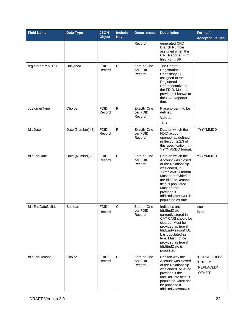| <b>Field Name</b> | Data Type         | <b>JSON</b><br><b>Object</b> | <b>Include</b><br><b>Key</b> | <b>Occurrences</b>                       | <b>Description</b>                                                                                                                                                                                                                               | Format/<br><b>Accepted Values</b>                |
|-------------------|-------------------|------------------------------|------------------------------|------------------------------------------|--------------------------------------------------------------------------------------------------------------------------------------------------------------------------------------------------------------------------------------------------|--------------------------------------------------|
|                   |                   |                              |                              | Record                                   | generated CRD<br><b>Branch Number</b><br>assigned when the<br>CAT Reporter Firm<br>filed Form BR.                                                                                                                                                |                                                  |
| registeredRepCRD  | Unsigned          | <b>FDID</b><br>Record        | $\mathsf{C}$                 | Zero or One<br>per FDID<br>Record        | The Central<br>Registration<br>Depository ID<br>assigned to the<br>Registered<br>Representative of<br>the FDID. Must be<br>provided if known to<br>the CAT Reporter<br>firm.                                                                     |                                                  |
| customerType      | Choice            | <b>FDID</b><br>Record        | $\mathsf R$                  | <b>Exactly One</b><br>per FDID<br>Record | Placeholder - to be<br>defined<br>Values:<br><b>TBD</b>                                                                                                                                                                                          |                                                  |
| fdidDate          | Date (Number) (8) | <b>FDID</b><br>Record        | $\mathsf{R}$                 | <b>Exactly One</b><br>per FDID<br>Record | Date on which the<br>FDID account<br>opened, as defined<br>in Section 2.2.3 of<br>this specification, in<br>YYYYMMDD format.                                                                                                                     | YYYYMMDD                                         |
| fdidEndDate       | Date (Number) (8) | <b>FDID</b><br>Record        | $\mathsf C$                  | Zero or One<br>per FDID<br>Record        | Date on which the<br>Account was closed<br>or the Relationship<br>was ended, in<br>YYYYMMDD format.<br>Must be provided if<br>the fdidEndReason<br>field is populated.<br>Must not be<br>provided if<br>fdidEndDateNULL is<br>populated as true. | YYYYMMDD                                         |
| fdidEndDateNULL   | <b>Boolean</b>    | <b>FDID</b><br>Record        | C                            | Zero or One<br>per FDID<br>Record        | Indicates any<br>fdidEndDate<br>currently stored in<br>CAT CAIS should be<br>cleared. Must be<br>provided as true if<br>fdidEndReasonNUL<br>L is populated as<br>true. Must not be<br>provided as true if<br>fdidEndDate is<br>populated.        | true<br>false                                    |
| fdidEndReason     | Choice            | <b>FDID</b><br>Record        | $\mathsf C$                  | Zero or One<br>per FDID<br>Record        | Reason why the<br>Account was closed<br>or the Relationship<br>was ended. Must be<br>provided if the<br>fdidEndDate field is<br>populated. Must not<br>be provided if<br>fdidEndReasonNUL                                                        | "CORRECTION"<br>"ENDED"<br>"REPLACED"<br>"OTHER" |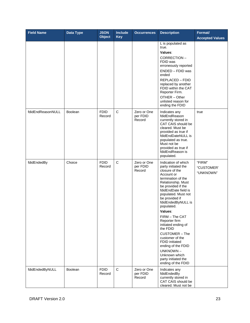| <b>Field Name</b> | Data Type      | <b>JSON</b><br><b>Object</b> | <b>Include</b><br><b>Key</b> | <b>Occurrences</b>                | <b>Description</b>                                                                                                                                                                                                                                                                                                                                                                                                                                                                        | Format/<br><b>Accepted Values</b> |
|-------------------|----------------|------------------------------|------------------------------|-----------------------------------|-------------------------------------------------------------------------------------------------------------------------------------------------------------------------------------------------------------------------------------------------------------------------------------------------------------------------------------------------------------------------------------------------------------------------------------------------------------------------------------------|-----------------------------------|
|                   |                |                              |                              |                                   | L is populated as<br>true.<br>Values:<br>CORRECTION-<br>FDID was<br>erroneously reported<br>ENDED - FDID was<br>ended<br>REPLACED - FDID<br>replaced by another<br>FDID within the CAT<br>Reporter Firm.<br>OTHER - Other<br>unlisted reason for<br>ending the FDID                                                                                                                                                                                                                       |                                   |
| fdidEndReasonNULL | <b>Boolean</b> | <b>FDID</b><br>Record        | $\mathbf C$                  | Zero or One<br>per FDID<br>Record | Indicates any<br>fdidEndReason<br>currently stored in<br>CAT CAIS should be<br>cleared. Must be<br>provided as true if<br>fdidEndDateNULL is<br>populated as true.<br>Must not be<br>provided as true if<br>fdidEndReason is<br>populated.                                                                                                                                                                                                                                                | true                              |
| fdidEndedBy       | Choice         | <b>FDID</b><br>Record        | $\mathbf C$                  | Zero or One<br>per FDID<br>Record | Indication of which<br>party initiated the<br>closure of the<br>Account or<br>termination of the<br>Relationship. Must<br>be provided if the<br>fdidEndDate field is<br>populated. Must not<br>be provided if<br>fdidEndedByNULL is<br>populated.<br>Values:<br>FIRM - The CAT<br>Reporter firm<br>initiated ending of<br>the FDID<br>CUSTOMER - The<br>customer of the<br>FDID initiated<br>ending of the FDID<br>UNKNOWN-<br>Unknown which<br>party initiated the<br>ending of the FDID | "FIRM"<br>"CUSTOMER"<br>"UNKNOWN" |
| fdidEndedByNULL   | Boolean        | <b>FDID</b><br>Record        | $\mathsf C$                  | Zero or One<br>per FDID<br>Record | Indicates any<br>fdidEndedBy<br>currently stored in<br>CAT CAIS should be<br>cleared. Must not be                                                                                                                                                                                                                                                                                                                                                                                         |                                   |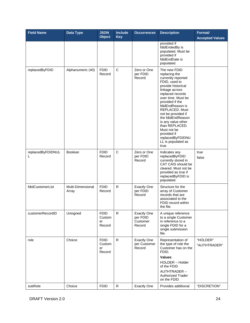| <b>Field Name</b>      | Data Type                  | <b>JSON</b><br><b>Object</b>          | <b>Include</b><br><b>Key</b> | <b>Occurrences</b>                                   | <b>Description</b>                                                                                                                                                                                                                                                                                                                                                                  | Format/<br><b>Accepted Values</b> |
|------------------------|----------------------------|---------------------------------------|------------------------------|------------------------------------------------------|-------------------------------------------------------------------------------------------------------------------------------------------------------------------------------------------------------------------------------------------------------------------------------------------------------------------------------------------------------------------------------------|-----------------------------------|
|                        |                            |                                       |                              |                                                      | provided if<br>fdidEndedBy is<br>populated. Must be<br>provided if<br>fdidEndDate is<br>populated.                                                                                                                                                                                                                                                                                  |                                   |
| replacedByFDID         | Alphanumeric (40)          | <b>FDID</b><br>Record                 | $\mathsf{C}$                 | Zero or One<br>per FDID<br>Record                    | The new FDID<br>replacing the<br>currently reported<br>FDID, used to<br>provide historical<br>linkage across<br>replaced records<br>over time. Must be<br>provided if the<br>fdidEndReason is<br>REPLACED, Must<br>not be provided if<br>the fdidEndReason<br>is any value other<br>than REPLACED.<br>Must not be<br>provided if<br>replacedByFDIDNU<br>LL is populated as<br>true. |                                   |
| replacedByFDIDNUL<br>L | Boolean                    | <b>FDID</b><br>Record                 | C                            | Zero or One<br>per FDID<br>Record                    | Indicates any<br>replacedByFDID<br>currently stored in<br>CAT CAIS should be<br>cleared. Must not be<br>provided as true if<br>replacedByFDID is<br>populated.                                                                                                                                                                                                                      | true<br>false                     |
| fdidCustomerList       | Multi-Dimensional<br>Array | <b>FDID</b><br>Record                 | $\mathsf{R}$                 | <b>Exactly One</b><br>per FDID<br>Record             | Structure for the<br>array of Customer<br>records that are<br>associated to the<br>FDID record within<br>the file.                                                                                                                                                                                                                                                                  |                                   |
| customerRecordID       | Unsigned                   | <b>FDID</b><br>Custom<br>er<br>Record | R.                           | <b>Exactly One</b><br>per FDID<br>Customer<br>Record | A unique reference<br>to a single Customer<br>in reference to a<br>single FDID for a<br>single submission<br>file.                                                                                                                                                                                                                                                                  |                                   |
| role                   | Choice                     | <b>FDID</b><br>Custom<br>er<br>Record | $\mathsf{R}$                 | <b>Exactly One</b><br>per Customer<br>Record         | Representation of<br>the type of role the<br>Customer has on the<br>FDID.<br>Values:<br><b>HOLDER</b> - Holder<br>of the FDID<br>AUTHTRADER-<br><b>Authorized Trader</b><br>on the FDID                                                                                                                                                                                             | "HOLDER"<br>"AUTHTRADER"          |
| subRole                | Choice                     | <b>FDID</b>                           | $\mathsf{R}$                 | <b>Exactly One</b>                                   | Provides additional                                                                                                                                                                                                                                                                                                                                                                 | "DISCRETION"                      |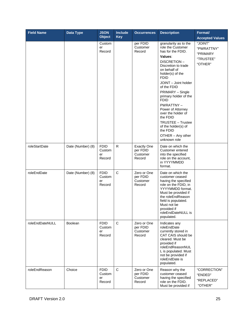| <b>Field Name</b> | Data Type         | <b>JSON</b><br><b>Object</b>          | <b>Include</b><br><b>Key</b> | <b>Occurrences</b>                                   | <b>Description</b>                                                                                                                                                                                                                                                                                                                                                                                                                             | Format/<br><b>Accepted Values</b>                         |
|-------------------|-------------------|---------------------------------------|------------------------------|------------------------------------------------------|------------------------------------------------------------------------------------------------------------------------------------------------------------------------------------------------------------------------------------------------------------------------------------------------------------------------------------------------------------------------------------------------------------------------------------------------|-----------------------------------------------------------|
|                   |                   | Custom<br>er<br>Record                |                              | per FDID<br>Customer<br>Record                       | granularity as to the<br>role the Customer<br>has for the FDID.<br>Values:<br>DISCRETION-<br>Discretion to trade<br>on behalf of<br>holder(s) of the<br><b>FDID</b><br>JOINT - Joint holder<br>of the FDID<br>PRIMARY - Single<br>primary holder of the<br><b>FDID</b><br>PWRATTNY-<br>Power of Attorney<br>over the holder of<br>the FDID<br><b>TRUSTEE - Trustee</b><br>of the holder(s) of<br>the FDID<br>OTHER - Any other<br>unknown role | "JOINT"<br>"PWRATTNY"<br>"PRIMARY<br>"TRUSTEE"<br>"OTHER" |
| roleStartDate     | Date (Number) (8) | <b>FDID</b><br>Custom<br>er<br>Record | $\mathsf{R}$                 | <b>Exactly One</b><br>per FDID<br>Customer<br>Record | Date on which the<br>Customer entered<br>into the specified<br>role on the account,<br>in YYYYMMDD<br>format.                                                                                                                                                                                                                                                                                                                                  |                                                           |
| roleEndDate       | Date (Number) (8) | <b>FDID</b><br>Custom<br>er<br>Record | $\mathsf C$                  | Zero or One<br>per FDID<br>Customer<br>Record        | Date on which the<br>customer ceased<br>having the specified<br>role on the FDID, in<br>YYYYMMDD format.<br>Must be provided if<br>the roleEndReason<br>field is populated.<br>Must not be<br>provided if<br>roleEndDateNULL is<br>populated.                                                                                                                                                                                                  |                                                           |
| roleEndDateNULL   | <b>Boolean</b>    | <b>FDID</b><br>Custom<br>er<br>Record | C                            | Zero or One<br>per FDID<br>Customer<br>Record        | Indicates any<br>roleEndDate<br>currently stored in<br>CAT CAIS should be<br>cleared. Must be<br>provided if<br>roleEndReasonNUL<br>L is populated. Must<br>not be provided if<br>roleEndDate is<br>populated.                                                                                                                                                                                                                                 |                                                           |
| roleEndReason     | Choice            | <b>FDID</b><br>Custom<br>er<br>Record | $\mathsf{C}$                 | Zero or One<br>per FDID<br>Customer<br>Record        | Reason why the<br>customer ceased<br>having the specified<br>role on the FDID.<br>Must be provided if                                                                                                                                                                                                                                                                                                                                          | "CORRECTION"<br>"ENDED"<br>"REPLACED"<br>"OTHER"          |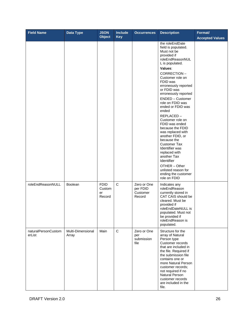| <b>Field Name</b>             | Data Type                  | <b>JSON</b><br><b>Object</b>          | Include<br>Key | <b>Occurrences</b>                            | <b>Description</b>                                                                                                                                                                                                                                                                                                                                                                                                                                                                                                                                                                                              | Format/<br><b>Accepted Values</b> |
|-------------------------------|----------------------------|---------------------------------------|----------------|-----------------------------------------------|-----------------------------------------------------------------------------------------------------------------------------------------------------------------------------------------------------------------------------------------------------------------------------------------------------------------------------------------------------------------------------------------------------------------------------------------------------------------------------------------------------------------------------------------------------------------------------------------------------------------|-----------------------------------|
|                               |                            |                                       |                |                                               | the roleEndDate<br>field is populated.<br>Must not be<br>provided if<br>roleEndReasonNUL<br>L is populated.<br>Values:<br>CORRECTION-<br>Customer role on<br>FDID was<br>erroneously reported<br>or FDID was<br>erroneously reported<br>ENDED - Customer<br>role on FDID was<br>ended or FDID was<br>ended<br>REPLACED-<br>Customer role on<br>FDID was ended<br>because the FDID<br>was replaced with<br>another FDID, or<br>because the<br><b>Customer Tax</b><br>Identifier was<br>replaced with<br>another Tax<br>Identifier<br>OTHER - Other<br>unlisted reason for<br>ending the customer<br>role on FDID |                                   |
| roleEndReasonNULL             | Boolean                    | <b>FDID</b><br>Custom<br>er<br>Record | $\mathbf C$    | Zero or One<br>per FDID<br>Customer<br>Record | Indicates any<br>roleEndReason<br>currently stored in<br>CAT CAIS should be<br>cleared. Must be<br>provided if<br>roleEndDateNULL is<br>populated. Must not<br>be provided if<br>roleEndReason is<br>populated.                                                                                                                                                                                                                                                                                                                                                                                                 |                                   |
| naturalPersonCustom<br>erList | Multi-Dimensional<br>Array | Main                                  | $\mathsf C$    | Zero or One<br>per<br>submission<br>file      | Structure for the<br>array of Natural<br>Person type<br>Customer records<br>that are included in<br>the file. Required if<br>the submission file<br>contains one or<br>more Natural Person<br>customer records;<br>not required if no<br>Natural Person<br>customer records<br>are included in the<br>file.                                                                                                                                                                                                                                                                                                     |                                   |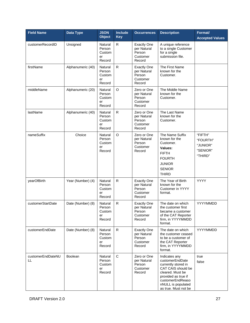| <b>Field Name</b>       | Data Type         | <b>JSON</b><br><b>Object</b>                | <b>Include</b><br><b>Key</b> | <b>Occurrences</b>                                                | <b>Description</b>                                                                                                                                                                         | Format/<br><b>Accepted Values</b>                      |
|-------------------------|-------------------|---------------------------------------------|------------------------------|-------------------------------------------------------------------|--------------------------------------------------------------------------------------------------------------------------------------------------------------------------------------------|--------------------------------------------------------|
| customerRecordID        | Unsigned          | Natural<br>Person<br>Custom<br>er<br>Record | R                            | <b>Exactly One</b><br>per Natural<br>Person<br>Customer<br>Record | A unique reference<br>to a single Customer<br>for a single<br>submission file.                                                                                                             |                                                        |
| firstName               | Alphanumeric (40) | Natural<br>Person<br>Custom<br>er<br>Record | $\mathsf R$                  | <b>Exactly One</b><br>per Natural<br>Person<br>Customer<br>Record | The First Name<br>known for the<br>Customer.                                                                                                                                               |                                                        |
| middleName              | Alphanumeric (20) | Natural<br>Person<br>Custom<br>er<br>Record | $\circ$                      | Zero or One<br>per Natural<br>Person<br>Customer<br>Record        | The Middle Name<br>known for the<br>Customer.                                                                                                                                              |                                                        |
| lastName                | Alphanumeric (40) | Natural<br>Person<br>Custom<br>er<br>Record | $\mathsf{R}$                 | Zero or One<br>per Natural<br>Person<br>Customer<br>Record        | The Last Name<br>known for the<br>Customer.                                                                                                                                                |                                                        |
| nameSuffix              | Choice            | Natural<br>Person<br>Custom<br>er<br>Record | $\circ$                      | Zero or One<br>per Natural<br>Person<br>Customer<br>Record        | The Name Suffix<br>known for the<br>Customer.<br>Values:<br><b>FIFTH</b><br><b>FOURTH</b><br><b>JUNIOR</b><br><b>SENIOR</b><br><b>THIRD</b>                                                | "FIFTH"<br>"FOURTH"<br>"JUNIOR"<br>"SENIOR"<br>"THIRD" |
| yearOfBirth             | Year (Number) (4) | Natural<br>Person<br>Custom<br>er<br>Record | $\mathsf{R}$                 | <b>Exactly One</b><br>per Natural<br>Person<br>Customer<br>Record | The Year of Birth<br>known for the<br>Customer in YYYY<br>format.                                                                                                                          | <b>YYYY</b>                                            |
| customerStartDate       | Date (Number) (8) | Natural<br>Person<br>Custom<br>er<br>Record | R                            | <b>Exactly One</b><br>per Natural<br>Person<br>Customer<br>Record | The date on which<br>the customer first<br>became a customer<br>of the CAT Reporter<br>firm, in YYYYMMDD<br>format.                                                                        | YYYYMMDD                                               |
| customerEndDate         | Date (Number) (8) | Natural<br>Person<br>Custom<br>er<br>Record | $\mathsf{R}$                 | <b>Exactly One</b><br>per Natural<br>Person<br>Customer<br>Record | The date on which<br>the customer ceased<br>to be a customer of<br>the CAT Reporter<br>firm, in YYYYMMDD<br>format.                                                                        | YYYYMMDD                                               |
| customerEndDateNU<br>LL | <b>Boolean</b>    | Natural<br>Person<br>Custom<br>er<br>Record | $\mathsf C$                  | Zero or One<br>per Natural<br>Person<br>Customer<br>Record        | Indicates any<br>customerEndDate<br>currently stored in<br>CAT CAIS should be<br>cleared. Must be<br>provided as true if<br>customerEndReaso<br>nNULL is populated<br>as true. Must not be | true<br>false                                          |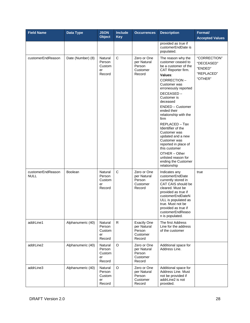| <b>Field Name</b>                | Data Type         | <b>JSON</b><br><b>Object</b>                | <b>Include</b><br><b>Key</b> | <b>Occurrences</b>                                                | <b>Description</b>                                                                                                                                                                                                                                                                                                                                                                                                                                                                       | Format/<br><b>Accepted Values</b>                              |
|----------------------------------|-------------------|---------------------------------------------|------------------------------|-------------------------------------------------------------------|------------------------------------------------------------------------------------------------------------------------------------------------------------------------------------------------------------------------------------------------------------------------------------------------------------------------------------------------------------------------------------------------------------------------------------------------------------------------------------------|----------------------------------------------------------------|
|                                  |                   |                                             |                              |                                                                   | provided as true if<br>customerEndDate is<br>populated.                                                                                                                                                                                                                                                                                                                                                                                                                                  |                                                                |
| customerEndReason                | Date (Number) (8) | Natural<br>Person<br>Custom<br>er<br>Record | $\mathsf{C}$                 | Zero or One<br>per Natural<br>Person<br>Customer<br>Record        | The reason why the<br>customer ceased to<br>be a customer of the<br>CAT Reporter firm.<br>Values:<br>CORRECTION-<br>Customer was<br>erroneously reported<br>DECEASED-<br>Customer is<br>deceased<br>ENDED - Customer<br>ended their<br>relationship with the<br>firm<br>REPLACED - Tax<br>Identifier of the<br>Customer was<br>updated and a new<br>Customer was<br>reported in place of<br>this customer<br>OTHER - Other<br>unlisted reason for<br>ending the Customer<br>relationship | "CORRECTION"<br>"DECEASED"<br>"ENDED"<br>"REPLACED"<br>"OTHER" |
| customerEndReason<br><b>NULL</b> | <b>Boolean</b>    | Natural<br>Person<br>Custom<br>er<br>Record | C                            | Zero or One<br>per Natural<br>Person<br>Customer<br>Record        | Indicates any<br>customerEndDate<br>currently stored in<br>CAT CAIS should be<br>cleared. Must be<br>provided as true if<br>customerEndDateN<br>ULL is populated as<br>true. Must not be<br>provided as true if<br>customerEndReaso<br>n is populated.                                                                                                                                                                                                                                   | true                                                           |
| addrLine1                        | Alphanumeric (40) | Natural<br>Person<br>Custom<br>er<br>Record | $\mathsf{R}$                 | <b>Exactly One</b><br>per Natural<br>Person<br>Customer<br>Record | The first Address<br>Line for the address<br>of the customer                                                                                                                                                                                                                                                                                                                                                                                                                             |                                                                |
| addrLine2                        | Alphanumeric (40) | Natural<br>Person<br>Custom<br>er<br>Record | $\mathsf O$                  | Zero or One<br>per Natural<br>Person<br>Customer<br>Record        | Additional space for<br>Address Line.                                                                                                                                                                                                                                                                                                                                                                                                                                                    |                                                                |
| addrLine3                        | Alphanumeric (40) | Natural<br>Person<br>Custom<br>er<br>Record | O                            | Zero or One<br>per Natural<br>Person<br>Customer<br>Record        | Additional space for<br>Address Line. Must<br>not be provided if<br>addrLine2 is not<br>provided.                                                                                                                                                                                                                                                                                                                                                                                        |                                                                |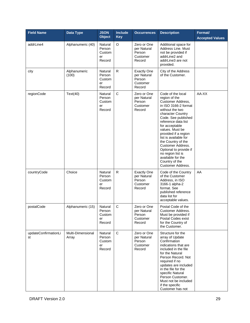| <b>Field Name</b>          | Data Type                  | <b>JSON</b><br><b>Object</b>                | <b>Include</b><br><b>Key</b> | <b>Occurrences</b>                                                | <b>Description</b>                                                                                                                                                                                                                                                                                                                                                                                                              | Format/<br><b>Accepted Values</b> |
|----------------------------|----------------------------|---------------------------------------------|------------------------------|-------------------------------------------------------------------|---------------------------------------------------------------------------------------------------------------------------------------------------------------------------------------------------------------------------------------------------------------------------------------------------------------------------------------------------------------------------------------------------------------------------------|-----------------------------------|
| addrLine4                  | Alphanumeric (40)          | Natural<br>Person<br>Custom<br>er<br>Record | O                            | Zero or One<br>per Natural<br>Person<br>Customer<br>Record        | Additional space for<br>Address Line, Must<br>not be provided if<br>addrLine2 and<br>addrLine3 are not<br>provided.                                                                                                                                                                                                                                                                                                             |                                   |
| city                       | Alphanumeric<br>(100)      | Natural<br>Person<br>Custom<br>er<br>Record | $\mathsf{R}$                 | <b>Exactly One</b><br>per Natural<br>Person<br>Customer<br>Record | City of the Address<br>of the Customer.                                                                                                                                                                                                                                                                                                                                                                                         |                                   |
| regionCode                 | Text(40)                   | Natural<br>Person<br>Custom<br>er<br>Record | C                            | Zero or One<br>per Natural<br>Person<br>Customer<br>Record        | Code of the local<br>region of the<br>Customer Address,<br>in ISO 3166-2 format<br>without the two<br>character Country<br>Code. See published<br>reference data list<br>for acceptable<br>values. Must be<br>provided if a region<br>list is available for<br>the Country of the<br><b>Customer Address.</b><br>Optional to provide if<br>no region list is<br>available for the<br>Country of the<br><b>Customer Address.</b> | AA-XX                             |
| countryCode                | Choice                     | Natural<br>Person<br>Custom<br>er<br>Record | $\mathsf{R}$                 | <b>Exactly One</b><br>per Natural<br>Person<br>Customer<br>Record | Code of the Country<br>of the Customer<br>Address, in ISO<br>3166-1 alpha-2<br>format. See<br>published reference<br>data list for<br>acceptable values.                                                                                                                                                                                                                                                                        | AA                                |
| postalCode                 | Alphanumeric (15)          | Natural<br>Person<br>Custom<br>er<br>Record | $\mathsf C$                  | Zero or One<br>per Natural<br>Person<br>Customer<br>Record        | Postal Code of the<br>Customer Address.<br>Must be provided if<br>Postal Codes exist<br>for the Country of<br>the Customer.                                                                                                                                                                                                                                                                                                     |                                   |
| updateConfirmationLi<br>st | Multi-Dimensional<br>Array | Natural<br>Person<br>Custom<br>er<br>Record | $\mathbf C$                  | Zero or One<br>per Natural<br>Person<br>Customer<br>Record        | Structure for the<br>array of Update<br>Confirmation<br>indications that are<br>included in the file<br>for the Natural<br>Person Record. Not<br>required if no<br>updates are included<br>in the file for the<br>specific Natural<br>Person Customer.<br>Must not be included<br>if the specific<br>Customer has not                                                                                                           |                                   |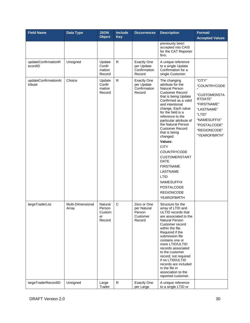| <b>Field Name</b>                      | <b>Data Type</b>                       | <b>JSON</b><br><b>Object</b>                                   | <b>Include</b><br><b>Key</b> | <b>Occurrences</b>                                                                            | <b>Description</b>                                                                                                                                                                                                                                                                                                                                                                                                                                                                                                                           | Format/<br><b>Accepted Values</b>                                                                                                                         |
|----------------------------------------|----------------------------------------|----------------------------------------------------------------|------------------------------|-----------------------------------------------------------------------------------------------|----------------------------------------------------------------------------------------------------------------------------------------------------------------------------------------------------------------------------------------------------------------------------------------------------------------------------------------------------------------------------------------------------------------------------------------------------------------------------------------------------------------------------------------------|-----------------------------------------------------------------------------------------------------------------------------------------------------------|
|                                        |                                        |                                                                |                              |                                                                                               | previously been<br>accepted into CAIS<br>for the CAT Reporter<br>firm.                                                                                                                                                                                                                                                                                                                                                                                                                                                                       |                                                                                                                                                           |
| updateConfirmationR<br>ecordID         | Unsigned                               | Update<br>Confir<br>mation<br>Record                           | $\mathsf{R}$                 | <b>Exactly One</b><br>per Update<br>Confirmation<br>Record                                    | A unique reference<br>to a single Update<br>Confirmation for a<br>single Customer.                                                                                                                                                                                                                                                                                                                                                                                                                                                           |                                                                                                                                                           |
| updateConfirmationAt<br>tribute        | Choice                                 | Update<br>Confir<br>mation<br>Record                           | $\mathsf{R}$                 | <b>Exactly One</b><br>per Update<br>Confirmation<br>Record                                    | The changing<br>attribute for the<br><b>Natural Person</b><br><b>Customer Record</b><br>that is being Update<br>Confirmed as a valid<br>and intentional<br>change. Each value<br>for the field is a<br>reference to the<br>particular attribute of<br>the Natural Person<br><b>Customer Record</b><br>that is being<br>changed.<br>Values:<br><b>CITY</b><br>COUNTRYCODE<br><b>CUSTOMERSTART</b><br><b>DATE</b><br><b>FIRSTNAME</b><br>LASTNAME<br>LTID<br><b>NAMESUFFIX</b><br><b>POSTALCODE</b><br><b>REGIONCODE</b><br><b>YEAROFBIRTH</b> | "CITY"<br>"COUNTRYCODE<br>"CUSTOMERSTA<br>RTDATE"<br>"FIRSTNAME"<br>"LASTNAME"<br>"LTID"<br>"NAMESUFFIX"<br>"POSTALCODE"<br>"REGIONCODE"<br>"YEAROFBIRTH" |
| largeTraderList<br>largeTraderRecordID | Multi-Dimensional<br>Array<br>Unsigned | Natural<br>Person<br>Custom<br>er<br>Record<br>Large<br>Trader | $\mathsf{C}$<br>${\sf R}$    | Zero or One<br>per Natural<br>Person<br>Customer<br>Record<br><b>Exactly One</b><br>per Large | Structure for the<br>array of LTID and<br>ULTID records that<br>are associated to the<br><b>Natural Person</b><br>Customer record<br>within the file.<br>Required if the<br>submission file<br>contains one or<br>more LTID/ULTID<br>records associated<br>to the customer<br>record; not required<br>if no LTID/ULTID<br>records are included<br>in the file in<br>association to the<br>reported customer.<br>A unique reference<br>to a single LTID or                                                                                    |                                                                                                                                                           |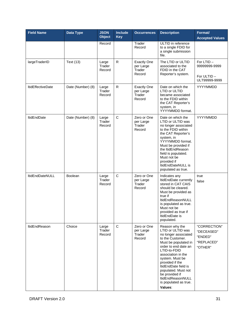| <b>Field Name</b>        | Data Type         | <b>JSON</b><br><b>Object</b> | <b>Include</b><br><b>Key</b> | <b>Occurrences</b>                                  | <b>Description</b>                                                                                                                                                                                                                                                                                                                    | Format/<br><b>Accepted Values</b>                              |
|--------------------------|-------------------|------------------------------|------------------------------|-----------------------------------------------------|---------------------------------------------------------------------------------------------------------------------------------------------------------------------------------------------------------------------------------------------------------------------------------------------------------------------------------------|----------------------------------------------------------------|
|                          |                   | Record                       |                              | Trader<br>Record                                    | ULTID in reference<br>to a single FDID for<br>a single submission<br>file.                                                                                                                                                                                                                                                            |                                                                |
| largeTraderID            | <b>Text (13)</b>  | Large<br>Trader<br>Record    | R                            | <b>Exactly One</b><br>per Large<br>Trader<br>Record | The LTID or ULTID<br>associated to the<br>FDID in the CAT<br>Reporter's system.                                                                                                                                                                                                                                                       | For LTID-<br>99999999-9999<br>For ULTID-<br>ULT99999-9999      |
| <b>ItidEffectiveDate</b> | Date (Number) (8) | Large<br>Trader<br>Record    | R                            | <b>Exactly One</b><br>per Large<br>Trader<br>Record | Date on which the<br><b>LTID or ULTID</b><br>became associated<br>to the FDID within<br>the CAT Reporter's<br>system, in<br>YYYYMMDD format.                                                                                                                                                                                          | YYYYMMDD                                                       |
| <b>ItidEndDate</b>       | Date (Number) (8) | Large<br>Trader<br>Record    | C                            | Zero or One<br>per Large<br>Trader<br>Record        | Date on which the<br>LTID or ULTID was<br>no longer associated<br>to the FDID within<br>the CAT Reporter's<br>system, in<br>YYYYMMDD format.<br>Must be provided if<br>the ItidEndReason<br>field is populated.<br>Must not be<br>provided if<br>ItidEndDateNULL is<br>populated as true.                                             | YYYYMMDD                                                       |
| ItidEndDateNULL          | Boolean           | Large<br>Trader<br>Record    | $\mathsf C$                  | Zero or One<br>per Large<br>Trader<br>Record        | Indicates any<br>ItidEndDate currently<br>stored in CAT CAIS<br>should be cleared.<br>Must be provided as<br>true if<br>ltidEndReasonNULL<br>is populated as true.<br>Must not be<br>provided as true if<br>ItidEndDate is<br>populated.                                                                                              | true<br>false                                                  |
| <b>ItidEndReason</b>     | Choice            | Large<br>Trader<br>Record    | $\mathbf C$                  | Zero or One<br>per Large<br>Trader<br>Record        | Reason why the<br>LTID or ULTID was<br>no longer associated<br>to the Customer.<br>Must be populated in<br>order to end date an<br>LTID-to-FDID<br>association in the<br>system. Must be<br>provided if the<br>ItidEndDate field is<br>populated. Must not<br>be provided if<br>ltidEndReasonNULL<br>is populated as true.<br>Values: | "CORRECTION"<br>"DECEASED"<br>"ENDED"<br>"REPLACED"<br>"OTHER" |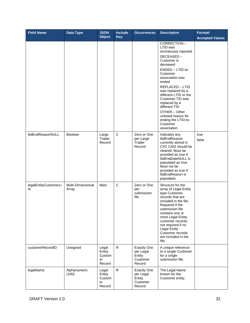| <b>Field Name</b>           | Data Type                  | <b>JSON</b><br><b>Object</b>              | <b>Include</b><br><b>Key</b> | <b>Occurrences</b>                                              | <b>Description</b>                                                                                                                                                                                                                                                                                                                                                          | Format/<br><b>Accepted Values</b> |
|-----------------------------|----------------------------|-------------------------------------------|------------------------------|-----------------------------------------------------------------|-----------------------------------------------------------------------------------------------------------------------------------------------------------------------------------------------------------------------------------------------------------------------------------------------------------------------------------------------------------------------------|-----------------------------------|
|                             |                            |                                           |                              |                                                                 | CORRECTION-<br>LTID was<br>erroneously reported<br>DECEASED-<br>Customer is<br>deceased<br>ENDED - LTID-to-<br>Customer<br>association was<br>ended<br><b>REPLACED - LTID</b><br>was replaced by a<br>different LTID or the<br>Customer TID was<br>replaced by a<br>different TID<br>OTHER - Other<br>unlisted reason for<br>ending the LTID-to-<br>Customer<br>association |                                   |
| ltidEndReasonNULL           | Boolean                    | Large<br>Trader<br>Record                 | $\mathsf{C}$                 | Zero or One<br>per Large<br>Trader<br>Record                    | Indicates any<br>ItidEndReason<br>currently stored in<br>CAT CAIS should be<br>cleared. Must be<br>provided as true if<br>ItidEndDateNULL is<br>populated as true.<br>Must not be<br>provided as true if<br>ItidEndReason is<br>populated.                                                                                                                                  | true<br>false                     |
| legalEntityCustomerLi<br>st | Multi-Dimensional<br>Array | Main                                      | $\mathsf C$                  | Zero or One<br>per<br>submission<br>file                        | Structure for the<br>array of Legal Entity<br>type Customer<br>records that are<br>included in the file.<br>Required if the<br>submission file<br>contains one or<br>more Legal Entity<br>customer records;<br>not required if no<br><b>Legal Entity</b><br>Customer records<br>are included in the<br>file.                                                                |                                   |
| customerRecordID            | Unsigned                   | Legal<br>Entity<br>Custom<br>er<br>Record | R                            | <b>Exactly One</b><br>per Legal<br>Entity<br>Customer<br>Record | A unique reference<br>to a single Customer<br>for a single<br>submission file.                                                                                                                                                                                                                                                                                              |                                   |
| legalName                   | Alphanumeric<br>(100)      | Legal<br>Entity<br>Custom<br>er<br>Record | $\mathsf{R}$                 | <b>Exactly One</b><br>per Legal<br>Entity<br>Customer<br>Record | The Legal Name<br>known for the<br>Customer entity.                                                                                                                                                                                                                                                                                                                         |                                   |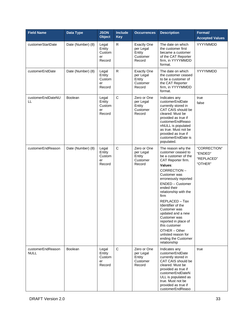| <b>Field Name</b>                | Data Type         | <b>JSON</b><br><b>Object</b>              | <b>Include</b><br><b>Key</b> | <b>Occurrences</b>                                              | <b>Description</b>                                                                                                                                                                                                                                                                                                                                                                                                                                      | Format/<br><b>Accepted Values</b>                |
|----------------------------------|-------------------|-------------------------------------------|------------------------------|-----------------------------------------------------------------|---------------------------------------------------------------------------------------------------------------------------------------------------------------------------------------------------------------------------------------------------------------------------------------------------------------------------------------------------------------------------------------------------------------------------------------------------------|--------------------------------------------------|
| customerStartDate                | Date (Number) (8) | Legal<br>Entity<br>Custom<br>er<br>Record | R                            | <b>Exactly One</b><br>per Legal<br>Entity<br>Customer<br>Record | The date on which<br>the customer first<br>became a customer<br>of the CAT Reporter<br>firm, in YYYYMMDD<br>format.                                                                                                                                                                                                                                                                                                                                     | YYYYMMDD                                         |
| customerEndDate                  | Date (Number) (8) | Legal<br>Entity<br>Custom<br>er<br>Record | $\mathsf{R}$                 | <b>Exactly One</b><br>per Legal<br>Entity<br>Customer<br>Record | The date on which<br>the customer ceased<br>to be a customer of<br>the CAT Reporter<br>firm, in YYYYMMDD<br>format.                                                                                                                                                                                                                                                                                                                                     | YYYYMMDD                                         |
| customerEndDateNU<br>LL          | <b>Boolean</b>    | Legal<br>Entity<br>Custom<br>er<br>Record | $\mathsf{C}$                 | Zero or One<br>per Legal<br>Entity<br>Customer<br>Record        | Indicates any<br>customerEndDate<br>currently stored in<br>CAT CAIS should be<br>cleared. Must be<br>provided as true if<br>customerEndReaso<br>nNULL is populated<br>as true. Must not be<br>provided as true if<br>customerEndDate is<br>populated.                                                                                                                                                                                                   | true<br>false                                    |
| customerEndReason                | Date (Number) (8) | Legal<br>Entity<br>Custom<br>er<br>Record | $\mathsf C$                  | Zero or One<br>per Legal<br>Entity<br>Customer<br>Record        | The reason why the<br>customer ceased to<br>be a customer of the<br>CAT Reporter firm.<br>Values:<br>CORRECTION-<br>Customer was<br>erroneously reported<br><b>ENDED - Customer</b><br>ended their<br>relationship with the<br>firm<br>REPLACED - Tax<br>Identifier of the<br>Customer was<br>updated and a new<br>Customer was<br>reported in place of<br>this customer<br>OTHER - Other<br>unlisted reason for<br>ending the Customer<br>relationship | "CORRECTION"<br>"ENDED"<br>"REPLACED"<br>"OTHER" |
| customerEndReason<br><b>NULL</b> | <b>Boolean</b>    | Legal<br>Entity<br>Custom<br>er<br>Record | $\mathsf C$                  | Zero or One<br>per Legal<br>Entity<br>Customer<br>Record        | Indicates any<br>customerEndDate<br>currently stored in<br>CAT CAIS should be<br>cleared. Must be<br>provided as true if<br>customerEndDateN<br>ULL is populated as<br>true. Must not be<br>provided as true if<br>customerEndReaso                                                                                                                                                                                                                     | true                                             |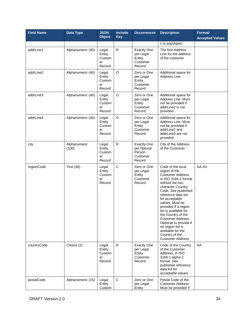| <b>Field Name</b> | Data Type             | <b>JSON</b><br><b>Object</b>              | <b>Include</b><br><b>Key</b> | <b>Occurrences</b>                                                | <b>Description</b>                                                                                                                                                                                                                                                                                                                                                                                                       | Format/<br><b>Accepted Values</b> |
|-------------------|-----------------------|-------------------------------------------|------------------------------|-------------------------------------------------------------------|--------------------------------------------------------------------------------------------------------------------------------------------------------------------------------------------------------------------------------------------------------------------------------------------------------------------------------------------------------------------------------------------------------------------------|-----------------------------------|
|                   |                       |                                           |                              |                                                                   | n is populated.                                                                                                                                                                                                                                                                                                                                                                                                          |                                   |
| addrLine1         | Alphanumeric (40)     | Legal<br>Entity<br>Custom<br>er<br>Record | $\mathsf{R}$                 | <b>Exactly One</b><br>per Legal<br>Entity<br>Customer<br>Record   | The first Address<br>Line for the address<br>of the customer                                                                                                                                                                                                                                                                                                                                                             |                                   |
| addrLine2         | Alphanumeric (40)     | Legal<br>Entity<br>Custom<br>er<br>Record | $\circ$                      | Zero or One<br>per Legal<br>Entity<br>Customer<br>Record          | Additional space for<br>Address Line.                                                                                                                                                                                                                                                                                                                                                                                    |                                   |
| addrLine3         | Alphanumeric (40)     | Legal<br>Entity<br>Custom<br>er<br>Record | $\circ$                      | Zero or One<br>per Legal<br>Entity<br>Customer<br>Record          | Additional space for<br>Address Line. Must<br>not be provided if<br>addrLine2 is not<br>provided.                                                                                                                                                                                                                                                                                                                        |                                   |
| addrLine4         | Alphanumeric (40)     | Legal<br>Entity<br>Custom<br>er<br>Record | $\circ$                      | Zero or One<br>per Legal<br>Entity<br>Customer<br>Record          | Additional space for<br>Address Line, Must<br>not be provided if<br>addrLine2 and<br>addrLine3 are not<br>provided.                                                                                                                                                                                                                                                                                                      |                                   |
| city              | Alphanumeric<br>(100) | Legal<br>Entity<br>Custom<br>er<br>Record | ${\sf R}$                    | <b>Exactly One</b><br>per Natural<br>Person<br>Customer<br>Record | City of the Address<br>of the Customer.                                                                                                                                                                                                                                                                                                                                                                                  |                                   |
| regionCode        | Text (40)             | Legal<br>Entity<br>Custom<br>er<br>Record | $\mathsf C$                  | Zero or One<br>per Legal<br>Entity<br>Customer<br>Record          | Code of the local<br>region of the<br>Customer Address,<br>in ISO 3166-2 format<br>without the two<br>character Country<br>Code. See published<br>reference data list<br>for acceptable<br>values. Must be<br>provided if a region<br>list is available for<br>the Country of the<br><b>Customer Address.</b><br>Optional to provide if<br>no region list is<br>available for the<br>Country of the<br>Customer Address. | AA-XX                             |
| countryCode       | Choice (2)            | Legal<br>Entity<br>Custom<br>er<br>Record | R                            | <b>Exactly One</b><br>per Legal<br>Entity<br>Customer<br>Record   | Code of the Country<br>of the Customer<br>Address, in ISO<br>3166-1 alpha-2<br>format. See<br>published reference<br>data list for<br>acceptable values.                                                                                                                                                                                                                                                                 | AA                                |
| postalCode        | Alphanumeric (15)     | Legal<br>Entity<br>Custom                 | $\mathsf C$                  | Zero or One<br>per Legal<br>Entity                                | Postal Code of the<br>Customer Address.<br>Must be provided if                                                                                                                                                                                                                                                                                                                                                           |                                   |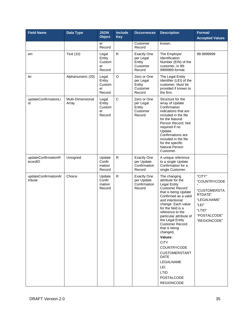| <b>Field Name</b>               | <b>Data Type</b>           | <b>JSON</b><br><b>Object</b>              | <b>Include</b><br><b>Key</b> | <b>Occurrences</b>                                              | <b>Description</b>                                                                                                                                                                                                                                                                                                                                                                                                                                                                | Format/<br><b>Accepted Values</b>                                                                                   |
|---------------------------------|----------------------------|-------------------------------------------|------------------------------|-----------------------------------------------------------------|-----------------------------------------------------------------------------------------------------------------------------------------------------------------------------------------------------------------------------------------------------------------------------------------------------------------------------------------------------------------------------------------------------------------------------------------------------------------------------------|---------------------------------------------------------------------------------------------------------------------|
|                                 |                            | er<br>Record                              |                              | Customer<br>Record                                              | known.                                                                                                                                                                                                                                                                                                                                                                                                                                                                            |                                                                                                                     |
| ein                             | Text (10)                  | Legal<br>Entity<br>Custom<br>er<br>Record | $\mathsf{R}$                 | <b>Exactly One</b><br>per Legal<br>Entity<br>Customer<br>Record | The Employer<br>Identification<br>Number (EIN) of the<br>customer, in 99-<br>9999999 format.                                                                                                                                                                                                                                                                                                                                                                                      | 99-9999999                                                                                                          |
| lei                             | Alphanumeric (20)          | Legal<br>Entity<br>Custom<br>er<br>Record | O                            | Zero or One<br>per Legal<br>Entity<br>Customer<br>Record        | The Legal Entity<br>Identifier (LEI) of the<br>customer. Must be<br>provided if known to<br>the firm.                                                                                                                                                                                                                                                                                                                                                                             |                                                                                                                     |
| updateConfirmationLi<br>st      | Multi-Dimensional<br>Array | Legal<br>Entity<br>Custom<br>er<br>Record | $\mathsf{C}$                 | Zero or One<br>per Legal<br>Entity<br>Customer<br>Record        | Structure for the<br>array of Update<br>Confirmation<br>indications that are<br>included in the file<br>for the Natural<br>Person Record. Not<br>required if no<br>Update<br>Confirmations are<br>included in the file<br>for the specific<br><b>Natural Person</b><br>Customer.                                                                                                                                                                                                  |                                                                                                                     |
| updateConfirmationR<br>ecordID  | Unsigned                   | Update<br>Confir<br>mation<br>Record      | ${\sf R}$                    | <b>Exactly One</b><br>per Update<br>Confirmation<br>Record      | A unique reference<br>to a single Update<br>Confirmation for a<br>single Customer.                                                                                                                                                                                                                                                                                                                                                                                                |                                                                                                                     |
| updateConfirmationAt<br>tribute | Choice                     | Update<br>Confir<br>mation<br>Record      | R                            | <b>Exactly One</b><br>per Update<br>Confirmation<br>Record      | The changing<br>attribute for the<br><b>Legal Entity</b><br><b>Customer Record</b><br>that is being Update<br>Confirmed as a valid<br>and intentional<br>change. Each value<br>for the field is a<br>reference to the<br>particular attribute of<br>the Legal Entity<br><b>Customer Record</b><br>that is being<br>changed.<br>Values:<br><b>CITY</b><br>COUNTRYCODE<br><b>CUSTOMERSTART</b><br><b>DATE</b><br>LEGALNAME<br>LEI<br>LTID<br><b>POSTALCODE</b><br><b>REGIONCODE</b> | "CITY"<br>"COUNTRYCODE<br>"CUSTOMERSTA<br>RTDATE"<br>"LEGALNAME"<br>"LEI"<br>"LTID"<br>"POSTALCODE"<br>"REGIONCODE" |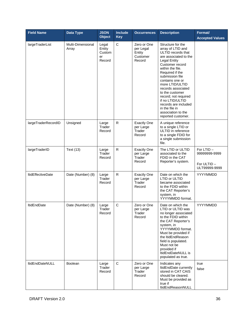| <b>Field Name</b>        | <b>Data Type</b>           | <b>JSON</b><br><b>Object</b>              | <b>Include</b><br><b>Key</b> | <b>Occurrences</b>                                       | <b>Description</b>                                                                                                                                                                                                                                                                                                                                                                                         | Format/<br><b>Accepted Values</b>                          |
|--------------------------|----------------------------|-------------------------------------------|------------------------------|----------------------------------------------------------|------------------------------------------------------------------------------------------------------------------------------------------------------------------------------------------------------------------------------------------------------------------------------------------------------------------------------------------------------------------------------------------------------------|------------------------------------------------------------|
| largeTraderList          | Multi-Dimensional<br>Array | Legal<br>Entity<br>Custom<br>er<br>Record | $\mathsf C$                  | Zero or One<br>per Legal<br>Entity<br>Customer<br>Record | Structure for the<br>array of LTID and<br>ULTID records that<br>are associated to the<br><b>Legal Entity</b><br>Customer record<br>within the file.<br>Required if the<br>submission file<br>contains one or<br>more LTID/ULTID<br>records associated<br>to the customer<br>record; not required<br>if no LTID/ULTID<br>records are included<br>in the file in<br>association to the<br>reported customer. |                                                            |
| largeTraderRecordID      | Unsigned                   | Large<br>Trader<br>Record                 | $\mathsf{R}$                 | <b>Exactly One</b><br>per Large<br>Trader<br>Record      | A unique reference<br>to a single LTID or<br>ULTID in reference<br>to a single FDID for<br>a single submission<br>file.                                                                                                                                                                                                                                                                                    |                                                            |
| largeTraderID            | <b>Text (13)</b>           | Large<br>Trader<br>Record                 | $\mathsf{R}$                 | <b>Exactly One</b><br>per Large<br>Trader<br>Record      | The LTID or ULTID<br>associated to the<br>FDID in the CAT<br>Reporter's system.                                                                                                                                                                                                                                                                                                                            | For LTID-<br>99999999-9999<br>For ULTID -<br>ULT99999-9999 |
| <b>ItidEffectiveDate</b> | Date (Number) (8)          | Large<br>Trader<br>Record                 | ${\sf R}$                    | <b>Exactly One</b><br>per Large<br>Trader<br>Record      | Date on which the<br>LTID or ULTID<br>became associated<br>to the FDID within<br>the CAT Reporter's<br>system, in<br>YYYYMMDD format.                                                                                                                                                                                                                                                                      | YYYYMMDD                                                   |
| <b>ItidEndDate</b>       | Date (Number) (8)          | Large<br>Trader<br>Record                 | $\mathsf{C}$                 | Zero or One<br>per Large<br>Trader<br>Record             | Date on which the<br>LTID or ULTID was<br>no longer associated<br>to the FDID within<br>the CAT Reporter's<br>system, in<br>YYYYMMDD format.<br>Must be provided if<br>the ItidEndReason<br>field is populated.<br>Must not be<br>provided if<br>ItidEndDateNULL is<br>populated as true.                                                                                                                  | YYYYMMDD                                                   |
| <b>ItidEndDateNULL</b>   | <b>Boolean</b>             | Large<br>Trader<br>Record                 | $\mathbf C$                  | Zero or One<br>per Large<br>Trader<br>Record             | Indicates any<br>ItidEndDate currently<br>stored in CAT CAIS<br>should be cleared.<br>Must be provided as<br>true if<br>ItidEndReasonNULL                                                                                                                                                                                                                                                                  | true<br>false                                              |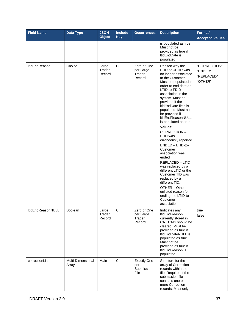| <b>Field Name</b> | Data Type                  | <b>JSON</b><br><b>Object</b> | <b>Include</b><br><b>Key</b> | <b>Occurrences</b>                              | <b>Description</b>                                                                                                                                                                                                                                                                                                                                                                                                                                                                                                                                                                                                                                                     | Format/<br><b>Accepted Values</b>                |
|-------------------|----------------------------|------------------------------|------------------------------|-------------------------------------------------|------------------------------------------------------------------------------------------------------------------------------------------------------------------------------------------------------------------------------------------------------------------------------------------------------------------------------------------------------------------------------------------------------------------------------------------------------------------------------------------------------------------------------------------------------------------------------------------------------------------------------------------------------------------------|--------------------------------------------------|
|                   |                            |                              |                              |                                                 | is populated as true.<br>Must not be<br>provided as true if<br>ItidEndDate is<br>populated.                                                                                                                                                                                                                                                                                                                                                                                                                                                                                                                                                                            |                                                  |
| ltidEndReason     | Choice                     | Large<br>Trader<br>Record    | $\mathbf C$                  | Zero or One<br>per Large<br>Trader<br>Record    | Reason why the<br>LTID or ULTID was<br>no longer associated<br>to the Customer.<br>Must be populated in<br>order to end date an<br>LTID-to-FDID<br>association in the<br>system. Must be<br>provided if the<br>ItidEndDate field is<br>populated. Must not<br>be provided if<br>ItidEndReasonNULL<br>is populated as true.<br>Values:<br>CORRECTION-<br>LTID was<br>erroneously reported<br>ENDED - LTID-to-<br>Customer<br>association was<br>ended<br>REPLACED - LTID<br>was replaced by a<br>different LTID or the<br>Customer TID was<br>replaced by a<br>different TID.<br>OTHER - Other<br>unlisted reason for<br>ending the LTID-to-<br>Customer<br>association | "CORRECTION"<br>"ENDED"<br>"REPLACED"<br>"OTHER" |
| ItidEndReasonNULL | <b>Boolean</b>             | Large<br>Trader<br>Record    | $\mathsf{C}$                 | Zero or One<br>per Large<br>Trader<br>Record    | Indicates any<br>ltidEndReason<br>currently stored in<br>CAT CAIS should be<br>cleared. Must be<br>provided as true if<br>ItidEndDateNULL is<br>populated as true.<br>Must not be<br>provided as true if<br>ItidEndReason is<br>populated.                                                                                                                                                                                                                                                                                                                                                                                                                             | true<br>false                                    |
| correctionList    | Multi-Dimensional<br>Array | Main                         | $\mathbf C$                  | <b>Exactly One</b><br>per<br>Submission<br>File | Structure for the<br>array of Correction<br>records within the<br>file. Required if the<br>submission file<br>contains one or<br>more Correction<br>records. Must only                                                                                                                                                                                                                                                                                                                                                                                                                                                                                                 |                                                  |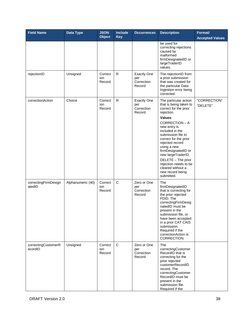| <b>Field Name</b>              | <b>Data Type</b>  | <b>JSON</b><br><b>Object</b> | <b>Include</b><br><b>Key</b> | <b>Occurrences</b>                                | <b>Description</b>                                                                                                                                                                                                                                                                                                                                                                         | Format/<br><b>Accepted Values</b> |
|--------------------------------|-------------------|------------------------------|------------------------------|---------------------------------------------------|--------------------------------------------------------------------------------------------------------------------------------------------------------------------------------------------------------------------------------------------------------------------------------------------------------------------------------------------------------------------------------------------|-----------------------------------|
|                                |                   |                              |                              |                                                   | be used for<br>correcting rejections<br>caused by<br>malformed<br>firmDesignatedID or<br>largeTraderID<br>values.                                                                                                                                                                                                                                                                          |                                   |
| rejectionID                    | Unsigned          | Correct<br>ion<br>Record     | R                            | <b>Exactly One</b><br>per<br>Correction<br>Record | The rejectionID from<br>a prior submission<br>that was created for<br>the particular Data<br>Ingestion error being<br>corrected.                                                                                                                                                                                                                                                           |                                   |
| correctionAction               | Choice            | Correct<br>ion<br>Record     | R                            | <b>Exactly One</b><br>per<br>Correction<br>Record | The particular action<br>that is being taken to<br>correct for the prior<br>rejection.<br>Values:<br>CORRECTION - A<br>new entry is<br>included in the<br>submission file to<br>correct for the prior<br>rejected record<br>using a new<br>firmDesignatedID or<br>new largeTraderID.<br>DELETE - The prior<br>rejection needs to be<br>cleared without a<br>new record being<br>submitted. | "CORRECTION"<br>"DELETE"          |
| correctingFirmDesign<br>atedID | Alphanumeric (40) | Correct<br>ion<br>Record     | $\mathsf C$                  | Zero or One<br>per<br>Correction<br>Record        | The<br>firmDesignatedID<br>that is correcting for<br>the prior rejected<br>FDID. The<br>correctingFirmDesig<br>natedID must be<br>present in the<br>submission file, or<br>have been accepted<br>in a prior CAT CAIS<br>submission.<br>Required if the<br>correctionAction is<br>CORRECTION.                                                                                               |                                   |
| correctingCustomerR<br>ecordID | Unsigned          | Correct<br>ion<br>Record     | $\mathsf C$                  | Zero or One<br>per<br>Correction<br>Record        | The<br>correctingCustomer<br>RecordID that is<br>correcting for the<br>prior rejected<br>customerRecordID<br>record. The<br>correctingCustomer<br>RecordID must be<br>present in the<br>submission file.<br>Required if the                                                                                                                                                                |                                   |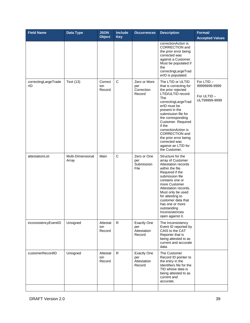| <b>Field Name</b>           | Data Type                  | <b>JSON</b><br><b>Object</b> | <b>Include</b><br><b>Key</b> | <b>Occurrences</b>                                 | <b>Description</b>                                                                                                                                                                                                                                                                                                                                                    | Format/<br><b>Accepted Values</b>                             |
|-----------------------------|----------------------------|------------------------------|------------------------------|----------------------------------------------------|-----------------------------------------------------------------------------------------------------------------------------------------------------------------------------------------------------------------------------------------------------------------------------------------------------------------------------------------------------------------------|---------------------------------------------------------------|
|                             |                            |                              |                              |                                                    | correctionAction is<br>CORRECTION and<br>the prior error being<br>corrected was<br>against a Customer.<br>Must be populated if<br>the<br>correctingLargeTrad<br>erID is populated.                                                                                                                                                                                    |                                                               |
| correctingLargeTrade<br>rID | Text (13)                  | Correct<br>ion<br>Record     | $\mathsf C$                  | Zero or More<br>per<br>Correction<br>Record        | The LTID or ULTID<br>that is correcting for<br>the prior rejected<br>LTID/ULTID record.<br>The<br>correctingLargeTrad<br>erID must be<br>present in the<br>submission file for<br>the corresponding<br>Customer. Required<br>if the<br>correctionAction is<br><b>CORRECTION</b> and<br>the prior error being<br>corrected was<br>against an LTID for<br>the Customer. | For $LTID -$<br>99999999-9999<br>For ULTID -<br>ULT99999-9999 |
| attestationList             | Multi-Dimensional<br>Array | Main                         | $\mathsf C$                  | Zero or One<br>per<br>Submission<br>File           | Structure for the<br>array of Customer<br>Attestation records<br>within the file.<br>Required if the<br>submission file<br>contains one or<br>more Customer<br>Attestation records.<br>Must only be used<br>for attesting to<br>customer data that<br>has one or more<br>outstanding<br>Inconsistencies<br>open against it.                                           |                                                               |
| inconsistencyEventID        | Unsigned                   | Attestat<br>ion<br>Record    | $\mathsf{R}$                 | <b>Exactly One</b><br>per<br>Attestation<br>Record | The Inconsistency<br>Event ID reported by<br>CAIS to the CAT<br>Reporter that is<br>being attested to as<br>current and accurate<br>data.                                                                                                                                                                                                                             |                                                               |
| customerRecordID            | Unsigned                   | Attestat<br>ion<br>Record    | R                            | <b>Exactly One</b><br>per<br>Attestation<br>Record | The Customer<br>Record ID pointer to<br>the entry in the<br>Identifiers file for the<br>TID whose data is<br>being attested to as<br>current and<br>accurate.                                                                                                                                                                                                         |                                                               |
|                             |                            |                              |                              |                                                    |                                                                                                                                                                                                                                                                                                                                                                       |                                                               |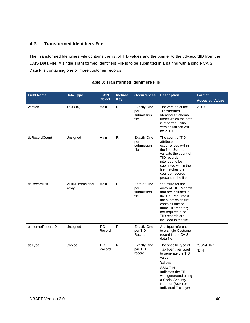# **4.2. Transformed Identifiers File**

The Transformed Identifiers File contains the list of TID values and the pointer to the tidRecordID from the CAIS Data File. A single Transformed Identifiers File is to be submitted in a pairing with a single CAIS Data File containing one or more customer records.

| <b>Field Name</b> | <b>Data Type</b>           | <b>JSON</b><br><b>Object</b> | <b>Include</b><br><b>Key</b> | <b>Occurrences</b>                              | <b>Description</b>                                                                                                                                                                                                          | Format/<br><b>Accepted Values</b> |
|-------------------|----------------------------|------------------------------|------------------------------|-------------------------------------------------|-----------------------------------------------------------------------------------------------------------------------------------------------------------------------------------------------------------------------------|-----------------------------------|
| version           | Text (10)                  | Main                         | ${\sf R}$                    | <b>Exactly One</b><br>per<br>submission<br>file | The version of the<br>Transformed<br>Identifiers Schema<br>under which the data<br>is reported. Initial<br>version utilized will<br>be 2.0.0                                                                                | 2.0.0                             |
| tidRecordCount    | Unsigned                   | Main                         | $\mathsf{R}$                 | <b>Exactly One</b><br>per<br>submission<br>file | The count of TID<br>attribute<br>occurrences within<br>the file. Used to<br>validate the count of<br>TID records<br>intended to be<br>submitted within the<br>file matches the<br>count of records<br>present in the file.  |                                   |
| tidRecordList     | Multi-Dimensional<br>Array | Main                         | $\mathsf{C}$                 | Zero or One<br>per<br>submission<br>file        | Structure for the<br>array of TID Records<br>that are included in<br>the file. Required if<br>the submission file<br>contains one or<br>more TID records;<br>not required if no<br>TID records are<br>included in the file. |                                   |
| customerRecordID  | Unsigned                   | <b>TID</b><br>Record         | $\mathsf{R}$                 | <b>Exactly One</b><br>per TID<br>Record         | A unique reference<br>to a single Customer<br>record in the CAIS<br>data file.                                                                                                                                              |                                   |
| tidType           | Choice                     | <b>TID</b><br>Record         | $\mathsf{R}$                 | <b>Exactly One</b><br>per TID<br>record         | The specific type of<br>Tax Identifier used<br>to generate the TID<br>value.<br>Values:<br>SSN/ITIN-<br>Indicates the TID<br>was generated using<br>a Social Security<br>Number (SSN) or<br>Individual Taxpayer             | "SSN/ITIN"<br>"EIN"               |

# **Table 8: Transformed Identifiers File**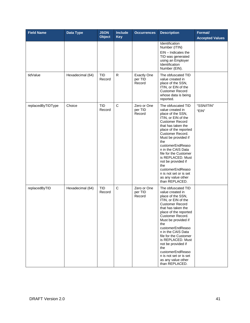| <b>Field Name</b> | Data Type        | <b>JSON</b><br><b>Object</b> | Include<br><b>Key</b> | <b>Occurrences</b>                      | <b>Description</b>                                                                                                                                                                                                                                                                                                                                                                                                       | Format/<br><b>Accepted Values</b> |
|-------------------|------------------|------------------------------|-----------------------|-----------------------------------------|--------------------------------------------------------------------------------------------------------------------------------------------------------------------------------------------------------------------------------------------------------------------------------------------------------------------------------------------------------------------------------------------------------------------------|-----------------------------------|
|                   |                  |                              |                       |                                         | Identification<br>Number (ITIN)<br>$EIN - Indicates the$<br>TID was generated<br>using an Employer<br>Identification<br>Number (EIN).                                                                                                                                                                                                                                                                                    |                                   |
| tidValue          | Hexadecimal (64) | <b>TID</b><br>Record         | $\mathsf{R}$          | <b>Exactly One</b><br>per TID<br>Record | The obfuscated TID<br>value created in<br>place of the SSN,<br>ITIN, or EIN of the<br><b>Customer Record</b><br>whose data is being<br>reported.                                                                                                                                                                                                                                                                         |                                   |
| replacedByTIDType | Choice           | <b>TID</b><br>Record         | $\mathsf C$           | Zero or One<br>per TID<br>Record        | The obfuscated TID<br>value created in<br>place of the SSN,<br>ITIN, or EIN of the<br><b>Customer Record</b><br>that has taken the<br>place of the reported<br>Customer Record.<br>Must be provided if<br>the<br>customerEndReaso<br>n in the CAIS Data<br>file for the Customer<br>is REPLACED. Must<br>not be provided if<br>the<br>customerEndReaso<br>n is not set or is set<br>as any value other<br>than REPLACED. | "SSN/ITIN"<br>"EIN"               |
| replacedByTID     | Hexadecimal (64) | <b>TID</b><br>Record         | $\mathsf{C}$          | Zero or One<br>per TID<br>Record        | The obfuscated TID<br>value created in<br>place of the SSN,<br>ITIN, or EIN of the<br><b>Customer Record</b><br>that has taken the<br>place of the reported<br>Customer Record.<br>Must be provided if<br>the<br>customerEndReaso<br>n in the CAIS Data<br>file for the Customer<br>is REPLACED. Must<br>not be provided if<br>the<br>customerEndReaso<br>n is not set or is set<br>as any value other<br>than REPLACED. |                                   |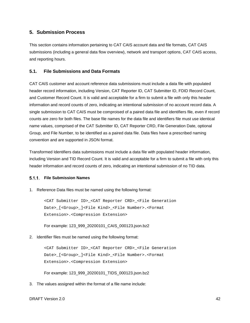# **5. Submission Process**

This section contains information pertaining to CAT CAIS account data and file formats, CAT CAIS submissions (including a general data flow overview), network and transport options, CAT CAIS access, and reporting hours.

## **5.1. File Submissions and Data Formats**

CAT CAIS customer and account reference data submissions must include a data file with populated header record information, including Version, CAT Reporter ID, CAT Submitter ID, FDID Record Count, and Customer Record Count. It is valid and acceptable for a firm to submit a file with only this header information and record counts of zero, indicating an intentional submission of no account record data. A single submission to CAT CAIS must be comproised of a paired data file and identifiers file, even if record counts are zero for both files. The base file names for the data file and identifiers file must use identical name values, comprised of the CAT Submitter ID, CAT Reporter CRD, File Generation Date, optional Group, and File Number, to be identified as a paired data file. Data files have a prescribed naming convention and are supported in JSON format.

Transformed Identifiers data submissions must include a data file with populated header information, including Version and TID Record Count. It is valid and acceptable for a firm to submit a file with only this header information and record counts of zero, indicating an intentional submission of no TID data.

#### **File Submission Names**

1. Reference Data files must be named using the following format:

<CAT Submitter ID>\_<CAT Reporter CRD>\_<File Generation Date>\_[<Group>\_]<File Kind>\_<File Number>.<Format Extension>.<Compression Extension>

For example: 123\_999\_20200101\_CAIS\_000123.json.bz2

2. Identifier files must be named using the following format:

<CAT Submitter ID>\_<CAT Reporter CRD>\_<File Generation Date>\_[<Group>\_]<File Kind>\_<File Number>.<Format Extension>.<Compression Extension>

For example: 123\_999\_20200101\_TIDS\_000123.json.bz2

3. The values assigned within the format of a file name include: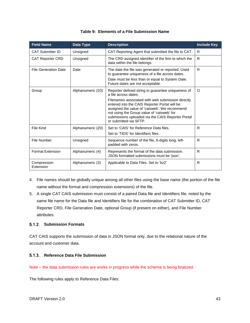| <b>Field Name</b>           | Data Type         | <b>Description</b>                                                                                                                                                                                                                                                               | <b>Include Key</b> |
|-----------------------------|-------------------|----------------------------------------------------------------------------------------------------------------------------------------------------------------------------------------------------------------------------------------------------------------------------------|--------------------|
| <b>CAT Submitter ID</b>     | Unsigned          | CAT Reporting Agent that submitted the file to CAT.                                                                                                                                                                                                                              | R.                 |
| <b>CAT Reporter CRD</b>     | Unsigned          | The CRD assigned identifier of the firm to which the<br>data within the file belongs.                                                                                                                                                                                            | R                  |
| <b>File Generation Date</b> | Date              | The date the file was generated or reported. Used<br>to guarantee uniqueness of a file across dates.<br>Date must be less than or equal to System Date.<br>Future dates are not acceptable.                                                                                      | R                  |
| Group                       | Alphanumeric (20) | Reporter defined string to guarantee uniqueness of<br>a file across dates.                                                                                                                                                                                                       | O                  |
|                             |                   | Filenames associated with web submission directly<br>entered into the CAIS Reporter Portal will be<br>assigned the value of 'caisweb'. We recommend<br>not using the Group value of 'caisweb' for<br>submissions uploaded via the CAIS Reporter Portal<br>or submitted via SFTP. |                    |
| File Kind                   | Alphanumeric (20) | Set to 'CAIS' for Reference Data files.<br>Set to 'TIDS' for Identifiers files.                                                                                                                                                                                                  | R.                 |
| <b>File Number</b>          | Unsigned          | Sequence number of the file, 6-digits long, left-<br>padded with zeros.                                                                                                                                                                                                          | R                  |
| <b>Format Extension</b>     | Alphanumeric (4)  | Represents the format of the data submission.<br>JSON formatted submissions must be 'json'.                                                                                                                                                                                      | R                  |
| Compression<br>Extension    | Alphanumeric (3)  | Applicable to Data Files. Set to 'bz2'                                                                                                                                                                                                                                           | R                  |

### **Table 9: Elements of a File Submission Name**

- 4. File names should be globally unique among all other files using the base name (the portion of the file name without the format and compression extensions) of the file.
- 5. A single CAT CAIS submission must consist of a paired Data file and Identifiers file, noted by the same file name for the Data file and Identifiers file for the combination of CAT Submitter ID, CAT Reporter CRD, File Generation Date, optional Group (if present on either), and File Number attributes.

## **Submission Formats**

CAT CAIS supports the submission of data in JSON format only, due to the relational nature of the account and customer data.

## <span id="page-49-0"></span>**Reference Data File Submission**

Note – the data submission rules are works in progress while the schema is being finalized.

The following rules apply to Reference Data Files: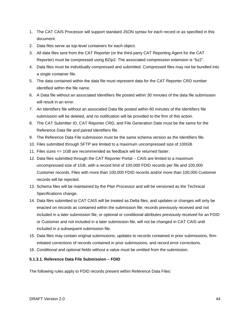- 1. The CAT CAIS Processor will support standard JSON syntax for each record or as specified in this document.
- 2. Data files serve as top-level containers for each object.
- 3. All data files sent from the CAT Reporter (or the third-party CAT Reporting Agent for the CAT Reporter) must be compressed using BZip2. The associated compression extension is "bz2".
- 4. Data files must be individually compressed and submitted. Compressed files may not be bundled into a single container file.
- 5. The data contained within the data file must represent data for the CAT Reporter CRD number identified within the file name.
- 6. A Data file without an associated Identifiers file posted within 30 minutes of the data file submission will result in an error.
- 7. An Identifiers file without an associated Data file posted within 60 minutes of the Identifiers file submission will be deleted, and no notification will be provided to the firm of this action.
- 8. The CAT Submitter ID, CAT Reporter CRD, and File Generation Date must be the same for the Reference Data file and paired Identifiers file.
- 9. The Reference Data File submission must be the same schema version as the Identifiers file.
- 10. Files submitted through SFTP are limited to a maximum uncompressed size of 100GB.
- 11. Files sizes <= 1GB are recommended as feedback will be returned faster.
- 12. Data files submitted through the CAT Reporter Portal CAIS are limited to a maximum uncompressed size of 1GB, with a record limit of 100,000 FDID records per file and 100,000 Customer records. Files with more than 100,000 FDID records and/or more than 100,000 Customer records will be rejected.
- 13. Schema files will be maintained by the Plan Processor and will be versioned as the Technical Specifications change.
- 14. Data files submitted to CAT CAIS will be treated as Delta files, and updates or changes will only be enacted on records as contained within the submission file; records previously received and not included in a later submission file, or optional or conditional attributes previously received for an FDID or Customer and not included in a later submission file, will not be changed in CAT CAIS until included in a subsequent submission file.
- 15. Data files may contain original submissions, updates to records contained in prior submissions, firminitiated corrections of records contained in prior submissions, and record error corrections.
- 16. Conditional and optional fields without a value must be omitted from the submission.

## **5.1.3.1. Reference Data File Submission – FDID**

The following rules apply to FDID records present within Reference Data Files: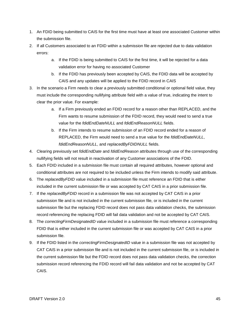- 1. An FDID being submitted to CAIS for the first time must have at least one associated Customer within the submission file.
- 2. If all Customers associated to an FDID within a submission file are rejected due to data validation errors:
	- a. If the FDID is being submitted to CAIS for the first time, it will be rejected for a data validation error for having no associated Customer
	- b. If the FDID has previously been accepted by CAIS, the FDID data will be accepted by CAIS and any updates will be applied to the FDID record in CAIS
- 3. In the scenario a Firm needs to clear a previously submitted conditional or optional field value, they must include the corresponding nullifying attribute field with a value of true, indicating the intent to clear the prior value. For example:
	- a. If a Firm previously ended an FDID record for a reason other than REPLACED, and the Firm wants to resume submission of the FDID record, they would need to send a true value for the *fdidEndDateNULL* and *fdidEndReasonNULL* fields.
	- b. If the Firm intends to resume submission of an FDID record ended for a reason of REPLACED, the Firm would need to send a true value for the *fdidEndDateNULL*, *fdidEndReasonNULL*, and *replacedByFDIDNULL* fields.
- 4. Clearing previously set *fdidEndDate* and *fdidEndReason* attributes through use of the corresponding nullifying fields will not result in reactivation of any Customer associations of the FDID.
- 5. Each FDID included in a submission file must contain all required attributes, however optional and conditional attributes are not required to be included unless the Firm intends to modify said attribute.
- 6. The *replacedByFDID* value included in a submission file must reference an FDID that is either included in the current submission file or was accepted by CAT CAIS in a prior submission file.
- 7. If the *replacedByFDID* record in a submission file was not accepted by CAT CAIS in a prior submission file and is not included in the current submission file, or is included in the current submission file but the replacing FDID record does not pass data validation checks, the submission record referencing the replacing FDID will fail data validation and not be accepted by CAT CAIS.
- 8. The *correctingFirmDesignatedID* value included in a submission file must reference a corresponding FDID that is either included in the current submission file or was accepted by CAT CAIS in a prior submission file.
- 9. If the FDID listed in the *correctingFirmDesignatedID* value in a submission file was not accepted by CAT CAIS in a prior submission file and is not included in the current submission file, or is included in the current submission file but the FDID record does not pass data validation checks, the correction submission record referencing the FDID record will fail data validation and not be accepted by CAT CAIS.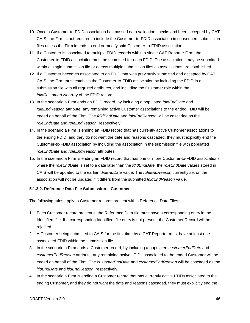- 10. Once a Customer-to-FDID association has passed data validation checks and been accepted by CAT CAIS, the Firm is not required to include the Customer-to-FDID association in subsequent submission files unless the Firm intends to end or modify said Customer-to-FDID association.
- 11. If a Customer is associated to multiple FDID records within a single CAT Reporter Firm, the Customer-to-FDID association must be submitted for each FDID. The associations may be submitted within a single submission file or across multiple submission files as associations are established.
- 12. If a Customer becomes associated to an FDID that was previously submitted and accepted by CAT CAIS, the Firm must establish the Customer-to-FDID association by including the FDID in a submission file with all required attributes, and including the Customer role within the *fdidCustomerList* array of the FDID record.
- 13. In the scenario a Firm ends an FDID record, by including a populated *fdidEndDate* and *fdidEndReason* attribute, any remaining active Customer associations to the ended FDID will be ended on behalf of the Firm. The *fdidEndDate* and *fdidEndReason* will be cascaded as the *roleEndDate* and *roleEndReason*, respectively.
- 14. In the scenario a Firm is ending an FDID record that has currently active Customer associations to the ending FDID, and they do not want the date and reasons cascaded, they must explicitly end the Customer-to-FDID association by including the association in the submission file with populated *roleEndDate* and *roleEndReason* attributes.
- 15. In the scenario a Firm is ending an FDID record that has one or more Customer-to-FDID associations where the *roleEndDate* is set to a date later than the *fdidEndDate*, the *roleEndDate* values stored in CAIS will be updated to the earlier *fdidEndDate* value. The *roleEndReason* currently set on the association will not be updated if it differs from the submitted *fdidEndReason* value.

### **5.1.3.2. Reference Data File Submission – Customer**

The following rules apply to Customer records present within Reference Data Files:

- 1. Each Customer record present in the Reference Data file must have a corresponding entry in the Identifiers file. If a corresponding Identifiers file entry is not present, the Customer Record will be rejected.
- 2. A Customer being submitted to CAIS for the first time by a CAT Reporter must have at least one associated FDID within the submission file.
- 3. In the scenario a Firm ends a Customer record, by including a populated *customerEndDate* and *customerEndReason* attribute, any remaining active LTIDs associated to the ended Customer will be ended on behalf of the Firm. The *customerEndDate* and *customerEndReason* will be cascaded as the *ltidEndDate* and *ltidEndReason*, respectively.
- 4. In the scenario a Firm is ending a Customer record that has currently active LTIDs associated to the ending Customer, and they do not want the date and reasons cascaded, they must explicitly end the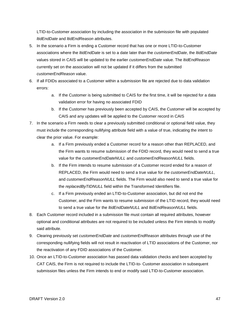LTID-to-Customer association by including the association in the submission file with populated *ltidEndDate* and *ltidEndReason* attributes.

- 5. In the scenario a Firm is ending a Customer record that has one or more LTID-to-Customer associations where the *ltidEndDate* is set to a date later than the *customerEndDate*, the *ltidEndDate* values stored in CAIS will be updated to the earlier *customerEndDate* value. The *ltidEndReason* currently set on the association will not be updated if it differs from the submitted *customerEndReason* value.
- 6. If all FDIDs associated to a Customer within a submission file are rejected due to data validation errors:
	- a. If the Customer is being submitted to CAIS for the first time, it will be rejected for a data validation error for having no associated FDID
	- b. If the Customer has previously been accepted by CAIS, the Customer will be accepted by CAIS and any updates will be applied to the Customer record in CAIS
- 7. In the scenario a Firm needs to clear a previously submitted conditional or optional field value, they must include the corresponding nullifying attribute field with a value of true, indicating the intent to clear the prior value. For example:
	- a. If a Firm previously ended a Customer record for a reason other than REPLACED, and the Firm wants to resume submission of the FDID record, they would need to send a true value for the *customerEndDateNULL* and *customerEndReasonNULL* fields.
	- b. If the Firm intends to resume submission of a Customer record ended for a reason of REPLACED, the Firm would need to send a true value for the *customerEndDateNULL*, and *customerEndReasonNULL* fields. The Firm would also need to send a true value for the *replacedByTIDNULL* field within the Transformed Identifiers file.
	- c. If a Firm previously ended an LTID-to-Customer association, but did not end the Customer, and the Firm wants to resume submission of the LTID record, they would need to send a true value for the *ltidEndDateNULL* and *ltidEndReasonNULL* fields.
- 8. Each Customer record included in a submission file must contain all required attributes, however optional and conditional attributes are not required to be included unless the Firm intends to modify said attribute.
- 9. Clearing previously set *customerEndDate* and *customerEndReason* attributes through use of the corresponding nullifying fields will not result in reactivation of LTID associations of the Customer, nor the reactivation of any FDID associations of the Customer.
- 10. Once an LTID-to-Customer association has passed data validation checks and been accepted by CAT CAIS, the Firm is not required to include the LTID-to- Customer association in subsequent submission files unless the Firm intends to end or modify said LTID-to-Customer association.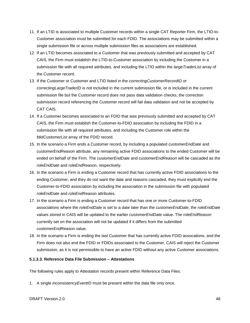- 11. If an LTID is associated to multiple Customer records within a single CAT Reporter Firm, the LTID-to-Customer association must be submitted for each FDID. The associations may be submitted within a single submission file or across multiple submission files as associations are established.
- 12. If an LTID becomes associated to a Customer that was previously submitted and accepted by CAT CAIS, the Firm must establish the LTID-to-Customer association by including the Customer in a submission file with all required attributes, and including the LTID within the *largeTraderList* array of the Customer record.
- 13. If the Customer or Customer and LTID listed in the *correctingCustomerRecordID* or *correctingLargeTraderID* is not included in the current submission file, or is included in the current submission file but the Customer record does not pass data validation checks, the correction submission record referencing the Customer record will fail data validation and not be accepted by CAT CAIS.
- 14. If a Customer becomes associated to an FDID that was previously submitted and accepted by CAT CAIS, the Firm must establish the Customer-to-FDID association by including the FDID in a submission file with all required attributes, and including the Customer role within the *fdidCustomerList* array of the FDID record.
- 15. In the scenario a Firm ends a Customer record, by including a populated *customerEndDate* and *customerEndReason* attribute, any remaining active FDID associations to the ended Customer will be ended on behalf of the Firm. The *customerEndDate* and *customerEndReason* will be cascaded as the *roleEndDate* and *roleEndReason*, respectively.
- 16. In the scenario a Firm is ending a Customer record that has currently active FDID associations to the ending Customer, and they do not want the date and reasons cascaded, they must explicitly end the Customer-to-FDID association by including the association in the submission file with populated *roleEndDate* and *roleEndReason* attributes.
- 17. In the scenario a Firm is ending a Customer record that has one or more Customer-to-FDID associations where the *roleEndDate* is set to a date later than the *customerEndDate*, the *roleEndDate* values stored in CAIS will be updated to the earlier *customerEndDate* value. The *roleEndReason* currently set on the association will not be updated if it differs from the submitted *customerEndReason* value.
- 18. In the scenario a Firm is ending the last Customer that has currently active FDID assocations, and the Firm does not also end the FDID or FDIDs associated to the Customer, CAIS will reject the Customer submission, as it is not permissible to have an active FDID without any active Customer associations.

# **5.1.3.3. Reference Data File Submission – Attestations**

The following rules apply to Attestation records present within Reference Data Files:

1. A single *inconsistencyEventID* must be present within the data file only once.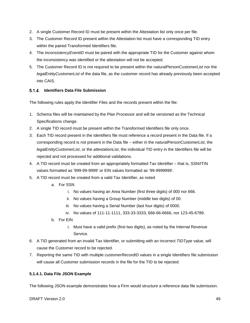- 2. A single Customer Record ID must be present within the Attestation list only once per file.
- 3. The Customer Record ID present within the Attestation list must have a corresponding TID entry within the paired Transformed Identifiers file.
- 4. The *inconsistencyEventID* must be paired with the appropriate TID for the Customer against whom the inconsistency was identified or the attestation will not be accepted.
- 5. The Customer Record ID is not required to be present within the *naturalPersonCustomerList* nor the *legalEntityCustomerList* of the data file, as the customer record has already previously been accepted into CAIS.

## **Identifiers Data File Submission**

The following rules apply the Identifier Files and the records present within the file:

- 1. Schema files will be maintained by the Plan Processor and will be versioned as the Technical Specifications change.
- 2. A single TID record must be present within the Transformed Identifiers file only once.
- 3. Each TID record present in the Identifiers file must reference a record present in the Data file. If a corresponding record is not present in the Data file – either in the *naturalPersonCustomerList*, the *legalEntityCustomerList*, or the *attestationList*, the individual TID entry in the Identifiers file will be rejected and not processed for additional validations.
- 4. A TID record must be created from an appropriately formatted Tax Identifier that is, SSN/ITIN values formatted as '999-99-9999' or EIN values formatted as '99-9999999'.
- 5. A TID record must be created from a valid Tax Identifier, as noted
	- a. For SSN
		- i. No values having an Area Number (first three digits) of 000 nor 666.
		- ii. No values having a Group Number (middle two digits) of 00.
		- iii. No values having a Serial Number (last four digits) of 0000.
		- iv. No values of 111-11-1111, 333-33-3333, 666-66-6666, nor 123-45-6789.
	- b. For EIN
		- i. Must have a valid prefix (first two digits), as noted by the Internal Revenue Service.
- 6. A TID generated from an invalid Tax Identifier, or submitting with an incorrect *TIDType* value, will cause the Customer record to be rejected.
- 7. Reporting the same TID with multiple *customerRecordID* values in a single Identifiers file submission will cause all Customer submission records in the file for the TID to be rejected.

# **5.1.4.1. Data File JSON Example**

The following JSON example demonstrates how a Firm would structure a reference data file submission.

#### DRAFT Version 2.0 49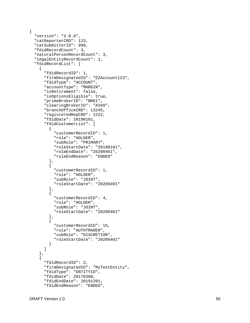```
{
 "version": "
2.0.0",
   "catReporterCRD": 123,
   "catSubmitterID": 999,
   "fdidRecordCount": 3,
   "naturalPersonRecordCount": 3,
 "legalEntityRecordCount": 
1
,
   "fdidRecordList": [
    {
       "fdidRecordID": 1, 
       "firmDesignatedID": "EZAccount123",
       "fdidType": "ACCOUNT",
       "accountType": "MARGIN",
       "isRetirement": false,
       "isOptionsEligible": true,
       "primeBrokerID": "BRK1",
       "clearingBrokerID": "A349",
       "branchOfficeCRD": 13245,
       "registeredRepCRD": 1222,
       "fdidDate": 20190101,
       "fdidCustomerList": [
        \{ "customerRecordID": 1,
           "role": "HOLDER",
           "subRole": "PRIMARY",
           "roleStartDate": "20190101",
           "roleEndDate": "20200401",
           "roleEndReason": "ENDED"
         },
        {
           "customerRecordID": 1,
           "role": "HOLDER",
           "subRole": "JOINT",
           "roleStartDate": "20200401" 
         },
        \{ "customerRecordID": 4
,
           "role": "HOLDER",
           "subRole": "JOINT",
           "roleStartDate": "20200401" 
         },
        {
           "customerRecordID": 15,
           "role": "AUTHTRADER",
           "subRole": "DISCRETION",
           "roleStartDate": "20200401" 
        }
      ] 
     },
    {
       "fdidRecordID": 2,
       "firmDesignatedID": "MyTestEntity",
       "fdidType": "ENTITYID",
       "fdidDate": 20170308,
       "fdidEndDate": 20191201,
       "fdidEndReason": "ENDED",
```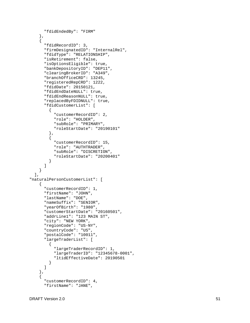```
 "fdidEndedBy": "FIRM"
     },
    \{ "fdidRecordID": 3,
       "firmDesignatedID": "InternalRel",
       "fdidType": "RELATIONSHIP",
       "isRetirement": false,
       "isOptionsEligible": true,
       "bankDepositoryID": "DEP11",
       "clearingBrokerID": "A349",
       "branchOfficeCRD": 13245,
       "registeredRepCRD": 1222,
       "fdidDate": 20150121,
       "fdidEndDateNULL": true,
       "fdidEndReasonNULL": true,
       "replacedByFDIDNULL": true,
       "fdidCustomerList": [
        {
           "customerRecordID": 2,
           "role": "HOLDER",
           "subRole": "PRIMARY",
           "roleStartDate": "20190101" 
         },
        {
           "customerRecordID": 15,
           "role": "AUTHTRADER",
           "subRole": "DISCRETION",
           "roleStartDate": "20200401"
        }
       ] 
    }
   ],
"naturalPersonCustomerList": [
    {
       "customerRecordID": 1,
       "firstName": "JOHN",
       "lastName": "DOE",
      "nameSuffix": "SENIOR",
      "yearOfBirth": "1980",
       "customerStartDate": "20160501",
       "addrLine1": "123 MAIN ST",
       "city": "NEW YORK",
 "regionCode": "US
-NY",
       "countryCode": "US",
       "postalCode": "10011",
       "largeTraderList": [
        {
           "largeTraderRecordID": 1,
 "largeTraderID": "12345678
-0001",
           "ltidEffectiveDate": 20190501
        }
       ] 
     },
    \{ "customerRecordID": 4,
       "firstName": "JANE",
```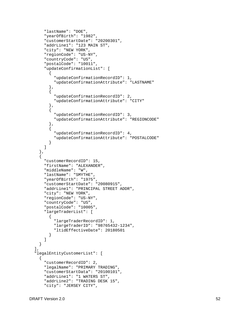```
 "lastName": "DOE",
       "yearOfBirth": "1982",
       "customerStartDate": "20200301",
       "addrLine1": "123 MAIN ST",
       "city": "NEW YORK",
 "regionCode": "US
-NY",
       "countryCode": "US",
       "postalCode": "10011",
       "updateConfirmationList": [
        {
            "updateConfirmationRecordID": 1,
            "updateConfirmationAttribute": "LASTNAME"
         },
        {
            "updateConfirmationRecordID": 2,
            "updateConfirmationAttribute": "CITY"
         },
        {
           "updateConfirmationRecordID": 3,
            "updateConfirmationAttribute": "REGIONCODE"
         },
        \{ "updateConfirmationRecordID": 4,
            "updateConfirmationAttribute": "POSTALCODE"
        }
       ] 
     },
    {
       "customerRecordID": 15,
       "firstName": "ALEXANDER",
       "middleName": "W",
       "lastName": "SMYTHE",
       "yearOfBirth": "1975",
       "customerStartDate": "20080915",
       "addrLine1": "PRINCIPAL STREET ADDR",
       "city": "NEW YORK",
 "regionCode": "US
-NY",
       "countryCode": "US",
       "postalCode": "10005",
       "largeTraderList": [
        {
           "largeTraderRecordID": 1,
 "largeTraderID": "98765432
-1234",
            "ltidEffectiveDate": 20180501
        }
\sim \sim \sim \sim \sim \sim \sim \sim}
 \mathbf{1},
   "legalEntityCustomerList": [
    \{ "customerRecordID": 2,
       "legalName": "PRIMARY TRADING",
       "customerStartData": "20100101",
       "addrLine1": "1 WATERS ST",
       "addrLine2": "TRADING DESK 15",
       "city": "JERSEY CITY",
```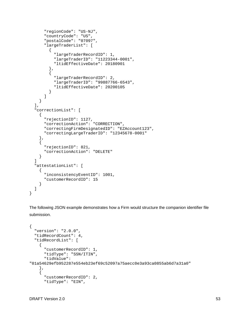```
 "regionCode": "US-NJ",
        "countryCode": "US",
        "postalCode": "07097",
        "largeTraderList": [
\left\{\begin{array}{c} \end{array}\right\} "largeTraderRecordID": 1,
             "largeTraderID": "11223344-0001",
             "ltidEffectiveDate": 20180901
          },
\left\{\begin{array}{c} \end{array}\right\} "largeTraderRecordID": 2,
             "largeTraderID": "99887766-6543",
          "ltidEffectiveDate": 20200105
 }
        ] 
     }
   ],
   "correctionList": [
     {
        "rejectionID": 1127,
        "correctionAction": "CORRECTION",
        "correctingFirmDesignatedID": "EZAccount123",
        "correctingLargeTraderID": "12345678-0001"
     },
\left\{\begin{array}{ccc} \end{array}\right\} "rejectionID": 821,
        "correctionAction": "DELETE"
     }
   ]
   "attestationList": [
    \{ "inconsistencyEventID": 1001,
        "customerRecordID": 15
     }
   ]
```
The following JSON example demonstrates how a Firm would structure the companion identifier file submission.

```
{
   "version": "2.0.0",
   "tidRecordCount": 4,
   "tidRecordList": [
     \left\{ \right. "customerRecordID": 1,
        "tidType": "SSN/ITIN",
        "tidValue": 
"01a54629efb952287e554eb23ef69c52097a75aecc0e3a93ca0855ab6d7a31a0"
      },
\left\{\begin{array}{ccc} \end{array}\right\} "customerRecordID": 2,
         "tidType": "EIN",
```
}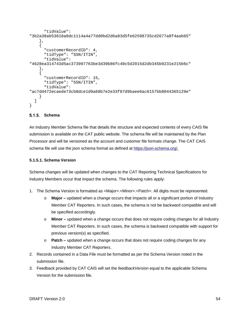```
 "tidValue": 
"3b2a38ab53618a0dc1114a4a77dd0bd2d6a83d5fe62598735cd2677a8f4aab65"
     },
\left\{\begin{array}{ccc} \end{array}\right\} "customerRecordID": 4,
       "tidType": "SSN/ITIN",
       "tidValue": 
"4628ea314743d5ac373997763be3d39b86fc40c5d2015d2db345b0231e215b6c"
     },
\mathcal{L} "customerRecordID": 15,
       "tidType": "SSN/ITIN",
       "tidValue": 
"ac7dd472ecaede73cb8dce1d9a68b7e2e33f87d9baee6ac6157bb8044365129e"
 }
   ]
}
```
### **Schema**

An Industry Member Schema file that details the structure and expected contents of every CAIS file submission is available on the CAT public website. The schema file will be maintained by the Plan Processor and will be versioned as the account and customer file formats change. The CAT CAIS schema file will use the json schema format as defined at [https://json-schema.org/.](https://json-schema.org/)

### **5.1.5.1. Schema Version**

Schema changes will be updated when changes to the CAT Reporting Technical Specifications for Industry Members occur that impact the schema. The following rules apply:

- 1. The Schema Version is formatted as <Major>.<Minor>.<Patch>. All digits must be represented.
	- o **Major –** updated when a change occurs that impacts all or a significant portion of Industry Member CAT Reporters. In such cases, the schema is not be backward compatible and will be specified accordingly.
	- o **Minor –** updated when a change occurs that does not require coding changes for all Industry Member CAT Reporters. In such cases, the schema is backward compatible with support for previous version(s) as specified.
	- o **Patch –** updated when a change occurs that does not require coding changes for any Industry Member CAT Reporters.
- 2. Records contained in a Data File must be formatted as per the Schema Version noted in the submission file.
- 3. Feedback provided by CAT CAIS will set the *feedbackVersion* equal to the applicable Schema Version for the submission file.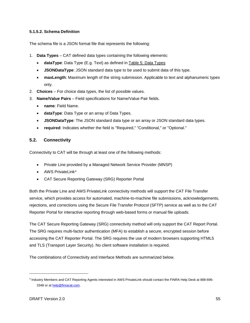## **5.1.5.2. Schema Definition**

The schema file is a JSON format file that represents the following:

- 1. **Data Types** CAT defined data types containing the following elements:
	- **dataType**: Data Type (E.g. Text) as defined in [Table 5: Data Types](#page-18-0)
	- **JSONDataType**: JSON standard data type to be used to submit data of this type.
	- **maxLength**: Maximum length of the string submission. Applicable to text and alphanumeric types only.
- 2. **Choices** For choice data types, the list of possible values.
- 3. **Name/Value Pairs**  Field specifications for Name/Value Pair fields.
	- **name**: Field Name.
	- **dataType**: Data Type or an array of Data Types.
	- **JSONDataType**: The JSON standard data type or an array or JSON standard data types.
	- **required**: Indicates whether the field is "Required," "Conditional," or "Optional."

# **5.2. Connectivity**

Connectivity to CAT will be through at least one of the following methods:

- Private Line provided by a Managed Network Service Provider (MNSP)
- AWS PrivateLink[4](#page-61-0)
- CAT Secure Reporting Gateway (SRG) Reporter Portal

Both the Private Line and AWS PrivateLink connectivity methods will support the CAT File Transfer service, which provides access for automated, machine-to-machine file submissions, acknowledgements, rejections, and corrections using the Secure File Transfer Protocol (SFTP) service as well as to the CAT Reporter Portal for interactive reporting through web-based forms or manual file uploads.

The CAT Secure Reporting Gateway (SRG) connectivity method will only support the CAT Report Portal. The SRG requires multi-factor authentication (MFA) to establish a secure, encrypted session before accessing the CAT Reporter Portal. The SRG requires the use of modern browsers supporting HTML5 and TLS (Transport Layer Security). No client software installation is required.

The combinations of Connectivity and Interface Methods are summarized below.

j

<span id="page-61-0"></span><sup>4</sup> Industry Members and CAT Reporting Agents interested in AWS PrivateLink should contact the FINRA Help Desk at 888-696- 3348 or a[t help@finracat.com.](mailto:help@finracat.com)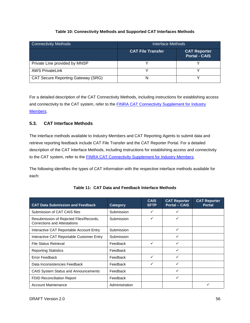## **Table 10: Connectivity Methods and Supported CAT Interfaces Methods**

| Connectivity Methods                      | Interface Methods        |                                      |  |  |
|-------------------------------------------|--------------------------|--------------------------------------|--|--|
|                                           | <b>CAT File Transfer</b> | <b>CAT Reporter</b><br>Portal - CAIS |  |  |
| Private Line provided by MNSP             |                          |                                      |  |  |
| <b>AWS PrivateLink</b>                    |                          |                                      |  |  |
| <b>CAT Secure Reporting Gateway (SRG)</b> |                          |                                      |  |  |

For a detailed description of the CAT Connectivity Methods, including instructions for establishing access and connectivity to the CAT system, refer to the [FINRA CAT Connectivity Supplement for Industry](https://www.catnmsplan.com/registration/)  [Members.](https://www.catnmsplan.com/registration/)

# **5.3. CAT Interface Methods**

The interface methods available to Industry Members and CAT Reporting Agents to submit data and retrieve reporting feedback include CAT File Transfer and the CAT Reporter Portal. For a detailed description of the CAT Interface Methods, including instructions for establishing access and connectivity to the CAT system, refer to the **FINRA CAT Connectivity Supplement for Industry Members**.

The following identifies the types of CAT information with the respective interface methods available for each:

<span id="page-62-0"></span>

| <b>CAT Data Submission and Feedback</b>                                        | <b>Category</b> | <b>CAIS</b><br><b>SFTP</b> | <b>CAT Reporter</b><br><b>Portal - CAIS</b> | <b>CAT Reporter</b><br><b>Portal</b> |
|--------------------------------------------------------------------------------|-----------------|----------------------------|---------------------------------------------|--------------------------------------|
| Submission of CAT CAIS files                                                   | Submission      |                            |                                             |                                      |
| Resubmission of Rejected Files/Records,<br><b>Corrections and Attestations</b> | Submission      |                            | ✓                                           |                                      |
| Interactive CAT Reportable Account Entry                                       | Submission      |                            | ✓                                           |                                      |
| Interactive CAT Reportable Customer Entry                                      | Submission      |                            | ✓                                           |                                      |
| <b>File Status Retrieval</b>                                                   | Feedback        | ✓                          | ✓                                           |                                      |
| <b>Reporting Statistics</b>                                                    | Feedback        |                            |                                             |                                      |
| Error Feedback                                                                 | Feedback        | ✓                          | ✓                                           |                                      |
| Data Inconsistencies Feedback                                                  | Feedback        |                            | ✓                                           |                                      |
| <b>CAIS System Status and Announcements</b>                                    | Feedback        |                            | ✓                                           |                                      |
| <b>FDID Reconciliation Report</b>                                              | Feedback        |                            | ✓                                           |                                      |
| <b>Account Maintenance</b>                                                     | Administration  |                            |                                             |                                      |

**Table 11: CAT Data and Feedback Interface Methods**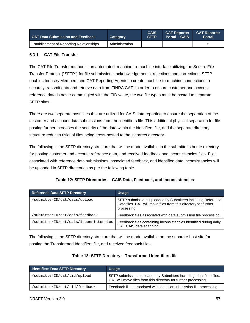| <b>CAT Data Submission and Feedback</b>  | <b>Category</b> | <b>CAIS</b><br><b>SFTP</b> | <b>CAT Reporter CAT Reporter</b><br><b>Portal - CAIS</b> | <b>Portal</b> |
|------------------------------------------|-----------------|----------------------------|----------------------------------------------------------|---------------|
| Establishment of Reporting Relationships | Administration  |                            |                                                          |               |

## **CAT File Transfer**

The CAT File Transfer method is an automated, machine-to-machine interface utilizing the Secure File Transfer Protocol ("SFTP") for file submissions, acknowledgements, rejections and corrections. SFTP enables Industry Members and CAT Reporting Agents to create machine-to-machine connections to securely transmit data and retrieve data from FINRA CAT. In order to ensure customer and account reference data is never commingled with the TID value, the two file types must be posted to separate SFTP sites.

There are two separate host sites that are utilized for CAIS data reporting to ensure the separation of the customer and account data submissions from the identifiers file. This additional physical separation for file posting further increases the security of the data within the identifiers file, and the separate directory structure reduces risks of files being cross-posted to the incorrect directory.

The following is the SFTP directory structure that will be made available in the submitter's home directory for posting customer and account reference data, and received feedback and inconsistencies files. Files associated with reference data submissions, associated feedback, and identified data inconsistencies will be uploaded in SFTP directories as per the following table.

| <b>Reference Data SFTP Directory</b>  | <b>Usage</b>                                                                                                                                  |  |  |
|---------------------------------------|-----------------------------------------------------------------------------------------------------------------------------------------------|--|--|
| 'submitterID/cat/cais/upload          | SFTP submissions uploaded by Submitters including Reference<br>Data files. CAT will move files from this directory for further<br>processing. |  |  |
| 'submitterID/cat/cais/feedback        | Feedback files associated with data submission file processing.                                                                               |  |  |
| 'submitterID/cat/cais/inconsistencies | Feedback files containing inconsistencies identified during daily<br>CAT CAIS data scanning.                                                  |  |  |

## **Table 12: SFTP Directories – CAIS Data, Feedback, and Inconsistencies**

The following is the SFTP directory structure that will be made available on the separate host site for posting the Transformed Identifiers file, and received feedback files.

| Table 13: SFTP Directory - Transformed Identifiers file |  |
|---------------------------------------------------------|--|
|---------------------------------------------------------|--|

| <b>Identifiers Data SFTP Directory</b> | <b>Usage</b>                                                                                                                            |  |  |
|----------------------------------------|-----------------------------------------------------------------------------------------------------------------------------------------|--|--|
| 'submitterID/cat/tid/upload            | SFTP submissions uploaded by Submitters including Identifiers files.<br>CAT will move files from this directory for further processing. |  |  |
| 'submitterID/cat/tid/feedback          | Feedback files associated with identifier submission file processing.                                                                   |  |  |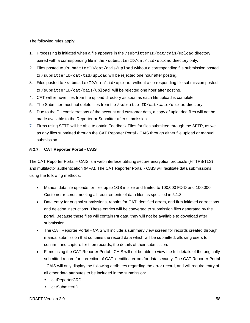The following rules apply:

- 1. Processing is initiated when a file appears in the /submitterID/cat/cais/upload directory paired with a corresponding file in the /submitterID/cat/tid/upload directory only.
- 2. Files posted to /submitterID/cat/cais/upload without a corresponding file submission posted to /submitterID/cat/tid/upload will be rejected one hour after posting.
- 3. Files posted to /submitterID/cat/tid/upload without a corresponding file submission posted to /submitterID/cat/cais/upload will be rejected one hour after posting.
- 4. CAT will remove files from the upload directory as soon as each file upload is complete.
- 5. The Submitter must not delete files from the /submitterID/cat/cais/upload directory.
- 6. Due to the PII considerations of the account and customer data, a copy of uploaded files will not be made available to the Reporter or Submitter after submission.
- 7. Firms using SFTP will be able to obtain Feedback Files for files submitted through the SFTP, as well as any files submitted through the CAT Reporter Portal - CAIS through either file upload or manual submission.

### **CAT Reporter Portal - CAIS**

The CAT Reporter Portal – CAIS is a web interface utilizing secure encryption protocols (HTTPS/TLS) and multifactor authentication (MFA). The CAT Reporter Portal - CAIS will facilitate data submissions using the following methods:

- Manual data file uploads for files up to 1GB in size and limited to 100,000 FDID and 100,000 Customer records meeting all requirements of data files as specified in [5.1.3.](#page-49-0)
- Data entry for original submissions, repairs for CAT identified errors, and firm initiated corrections and deletion instructions. These entries will be converted to submission files generated by the portal. Because these files will contain PII data, they will not be available to download after submission.
- The CAT Reporter Portal CAIS will include a summary view screen for records created through manual submission that contains the record data which will be submitted, allowing users to confirm, and capture for their records, the details of their submission.
- Firms using the CAT Reporter Portal CAIS will not be able to view the full details of the originally submitted record for correction of CAT identified errors for data security. The CAT Reporter Portal - CAIS will only display the following attributes regarding the error record, and will require entry of all other data attributes to be included in the submission:
	- catReporterCRD
	- catSubmitterID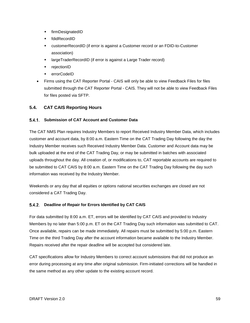- firmDesignatedID
- fdidRecordID
- customerRecordID (if error is against a Customer record or an FDID-to-Customer association)
- largeTraderRecordID (if error is against a Large Trader record)
- rejectionID
- errorCodeID
- Firms using the CAT Reporter Portal CAIS will only be able to view Feedback Files for files submitted through the CAT Reporter Portal - CAIS. They will not be able to view Feedback Files for files posted via SFTP.

## **5.4. CAT CAIS Reporting Hours**

## **Submission of CAT Account and Customer Data**

The CAT NMS Plan requires Industry Members to report Received Industry Member Data, which includes customer and account data, by 8:00 a.m. Eastern Time on the CAT Trading Day following the day the Industry Member receives such Received Industry Member Data. Customer and Account data may be bulk uploaded at the end of the CAT Trading Day, or may be submitted in batches with associated uploads throughout the day. All creation of, or modifications to, CAT reportable accounts are required to be submitted to CAT CAIS by 8:00 a.m. Eastern Time on the CAT Trading Day following the day such information was received by the Industry Member.

Weekends or any day that all equities or options national securities exchanges are closed are not considered a CAT Trading Day.

#### **Deadline of Repair for Errors Identified by CAT CAIS**

For data submitted by 8:00 a.m. ET, errors will be identified by CAT CAIS and provided to Industry Members by no later than 5:00 p.m. ET on the CAT Trading Day such information was submitted to CAT. Once available, repairs can be made immediately. All repairs must be submitted by 5:00 p.m. Eastern Time on the third Trading Day after the account information became available to the Industry Member. Repairs received after the repair deadline will be accepted but considered late.

CAT specifications allow for Industry Members to correct account submissions that did not produce an error during processing at any time after original submission. Firm-initiated corrections will be handled in the same method as any other update to the existing account record.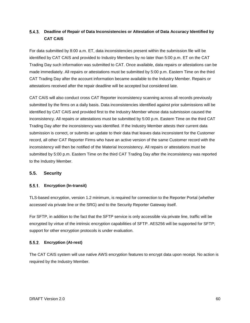# **Deadline of Repair of Data Inconsistencies or Attestation of Data Accuracy Identified by CAT CAIS**

For data submitted by 8:00 a.m. ET, data inconsistencies present within the submission file will be identified by CAT CAIS and provided to Industry Members by no later than 5:00 p.m. ET on the CAT Trading Day such information was submitted to CAT. Once available, data repairs or attestations can be made immediately. All repairs or attestations must be submitted by 5:00 p.m. Eastern Time on the third CAT Trading Day after the account information became available to the Industry Member. Repairs or attestations received after the repair deadline will be accepted but considered late.

CAT CAIS will also conduct cross CAT Reporter inconsistency scanning across all records previously submitted by the firms on a daily basis. Data inconsistencies identified against prior submissions will be identified by CAT CAIS and provided first to the Industry Member whose data submission caused the inconsistency. All repairs or attestations must be submitted by 5:00 p.m. Eastern Time on the third CAT Trading Day after the inconsistency was identified. If the Industry Member attests their current data submission is correct, or submits an update to their data that leaves data inconsistent for the Customer record, all other CAT Reporter Firms who have an active version of the same Customer record with the inconsistency will then be notified of the Material Inconsistency. All repairs or attestations must be submitted by 5:00 p.m. Eastern Time on the third CAT Trading Day after the inconsistency was reported to the Industry Member.

# **5.5. Security**

## **Encryption (In-transit)**

TLS-based encryption, version 1.2 minimum, is required for connection to the Reporter Portal (whether accessed via private line or the SRG) and to the Security Reporter Gateway itself.

For SFTP, in addition to the fact that the SFTP service is only accessible via private line, traffic will be encrypted by virtue of the intrinsic encryption capabilities of SFTP. AES256 will be supported for SFTP; support for other encryption protocols is under evaluation.

## **Encryption (At-rest)**

The CAT CAIS system will use native AWS encryption features to encrypt data upon receipt. No action is required by the Industry Member.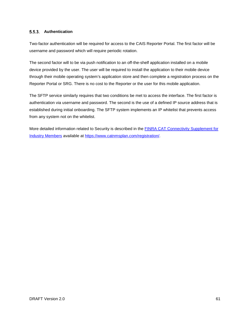## **Authentication**

Two-factor authentication will be required for access to the CAIS Reporter Portal. The first factor will be username and password which will require periodic rotation.

The second factor will to be via push notification to an off-the-shelf application installed on a mobile device provided by the user. The user will be required to install the application to their mobile device through their mobile operating system's application store and then complete a registration process on the Reporter Portal or SRG. There is no cost to the Reporter or the user for this mobile application.

The SFTP service similarly requires that two conditions be met to access the interface. The first factor is authentication via username and password. The second is the use of a defined IP source address that is established during initial onboarding. The SFTP system implements an IP whitelist that prevents access from any system not on the whitelist.

More detailed information related to Security is described in the [FINRA CAT Connectivity Supplement for](https://www.catnmsplan.com/registration/)  [Industry Members](https://www.catnmsplan.com/registration/) available at [https://www.catnmsplan.com/registration/.](https://www.catnmsplan.com/registration/)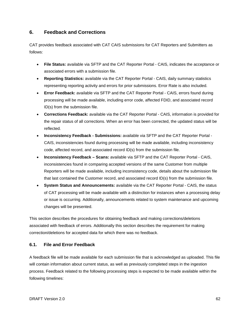# **6. Feedback and Corrections**

CAT provides feedback associated with CAT CAIS submissions for CAT Reporters and Submitters as follows:

- **File Status:** available via SFTP and the CAT Reporter Portal CAIS, indicates the acceptance or associated errors with a submission file.
- **Reporting Statistics:** available via the CAT Reporter Portal CAIS, daily summary statistics representing reporting activity and errors for prior submissions. Error Rate is also included.
- **Error Feedback:** available via SFTP and the CAT Reporter Portal CAIS, errors found during processing will be made available, including error code, affected FDID, and associated record ID(s) from the submission file.
- **Corrections Feedback:** available via the CAT Reporter Portal CAIS, information is provided for the repair status of all corrections. When an error has been corrected, the updated status will be reflected.
- **Inconsistency Feedback - Submissions:** available via SFTP and the CAT Reporter Portal CAIS, inconsistencies found during processing will be made available, including inconsistency code, affected record, and associated record ID(s) from the submission file.
- **Inconsistency Feedback – Scans:** available via SFTP and the CAT Reporter Portal CAIS, inconsistencies found in comparing accepted versions of the same Customer from multiple Reporters will be made available, including inconsistency code, details about the submission file that last contained the Customer record, and associated record ID(s) from the submission file.
- **System Status and Announcements:** available via the CAT Reporter Portal CAIS, the status of CAT processing will be made available with a distinction for instances when a processing delay or issue is occurring. Additionally, announcements related to system maintenance and upcoming changes will be presented.

This section describes the procedures for obtaining feedback and making corrections/deletions associated with feedback of errors. Additionally this section describes the requirement for making correction/deletions for accepted data for which there was no feedback.

# **6.1. File and Error Feedback**

A feedback file will be made available for each submission file that is acknowledged as uploaded. This file will contain information about current status, as well as previously completed steps in the ingestion process. Feedback related to the following processing steps is expected to be made available within the following timelines: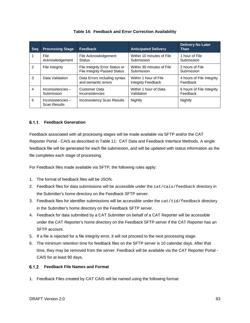| <b>Seg</b> | <b>Processing Stage</b>                 | Feedback                                                              | <b>Anticipated Delivery</b>                        | <b>Delivery No Later</b><br><b>Than</b> |
|------------|-----------------------------------------|-----------------------------------------------------------------------|----------------------------------------------------|-----------------------------------------|
| 1          | File<br>Acknowledgement                 | File Acknowledgement<br><b>Status</b>                                 | Within 10 minutes of File<br>Submission            | 1 hour of File<br>Submission            |
| 2          | File Integrity                          | File Integrity Error Status or<br><b>File Integrity Passed Status</b> | Within 30 minutes of File<br>Submission            | 2 hours of File<br>Submission           |
| 3          | Data Validation                         | Data Errors including syntax<br>and semantic errors                   | Within 1 hour of File<br><b>Integrity Feedback</b> | 4 hours of File Integrity<br>Feedback   |
| 4          | Inconsistencies $-$<br>Submission       | Customer Data<br>Inconsistencies                                      | Within 1 hour of Data<br>Validation                | 6 hours of File Integrity<br>Feedback   |
| 5          | Inconsistencies-<br><b>Scan Results</b> | <b>Inconsistency Scan Results</b>                                     | Nightly                                            | Nightly                                 |

## **Feedback Generation**

Feedback associated with all processing stages will be made available via SFTP and/or the CAT Reporter Portal - CAIS as described in [Table 11: CAT Data and Feedback Interface](#page-62-0) Methods. A single feedback file will be generated for each file submission, and will be updated with status information as the file completes each stage of processing.

For Feedback files made available via SFTP, the following rules apply:

- 1. The format of feedback files will be JSON.
- 2. Feedback files for data submissions will be accessible under the cat/cais/feedback directory in the Submitter's home directory on the Feedback SFTP server.
- 3. Feedback files for identifier submissions will be accessible under the cat/tid/feedback directory in the Submitter's home directory on the Feedback SFTP server.
- 4. Feedback for data submitted by a CAT Submitter on behalf of a CAT Reporter will be accessible under the CAT Reporter's home directory on the Feedback SFTP server if the CAT Reporter has an SFTP account.
- 5. If a file is rejected for a file integrity error, it will not proceed to the next processing stage.
- 6. The minimum retention time for feedback files on the SFTP server is 10 calendar days. After that time, they may be removed from the server. Feedback will be available via the CAT Reporter Portal - CAIS for at least 90 days.

## **Feedback File Names and Format**

1. Feedback Files created by CAT CAIS will be named using the following format: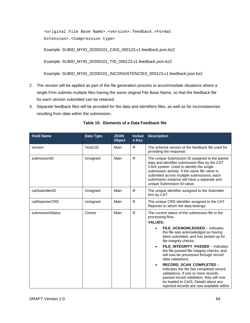<original File Base Name>.<version>.feedback.<Format Extension>.<Compression type>

Example: SUBID\_MYID\_20200101\_CAIS\_000123.v1.feedback.json.bz2

Example: SUBID\_MYID\_20200101\_TID\_000123.v1.feedback.json.bz2

Example: SUBID\_MYID\_20200101\_INCONSISTENCIES\_000123.v1.feedback.json.bz2

- 2. The version will be applied as part of the file generation process to accommodate situations where a single Firm submits multiple files having the same original File Base Name, so that the feedback file for each version submitted can be retained.
- 3. Separate feedback files will be provided for the data and identifiers files, as well as for inconsistencies resulting from data within the submission.

| <b>Field Name</b> | <b>Data Type</b> | <b>JSON</b><br><b>Object</b> | <b>Includ</b><br>e Key | <b>Description</b>                                                                                                                                                                                                                                                                                                                                                                                                                                                                                                                                                                                                                                       |  |
|-------------------|------------------|------------------------------|------------------------|----------------------------------------------------------------------------------------------------------------------------------------------------------------------------------------------------------------------------------------------------------------------------------------------------------------------------------------------------------------------------------------------------------------------------------------------------------------------------------------------------------------------------------------------------------------------------------------------------------------------------------------------------------|--|
| version           | Text(10)         | Main                         | $\mathsf{R}$           | The schema version of the feedback file used for<br>providing the response.                                                                                                                                                                                                                                                                                                                                                                                                                                                                                                                                                                              |  |
| submissionID      | Unsigned         | Main                         | $\mathsf{R}$           | The unique Submission ID assigned to the paired<br>data and identifier submission files by the CAT<br>CAIS system. Used to identify the single<br>submission activity. If the same file name is<br>submitted across multiple submissions, each<br>submission instance will have a separate and<br>unique Submission ID value.                                                                                                                                                                                                                                                                                                                            |  |
| catSubmitterID    | Unsigned         | Main                         | $\mathsf{R}$           | The unique identifier assigned to the Submitter<br>firm by CAT.                                                                                                                                                                                                                                                                                                                                                                                                                                                                                                                                                                                          |  |
| catReporterCRD    | Unisgned         | Main                         | $\mathsf{R}$           | The unique CRD identifier assigned to the CAT<br>Reporter to whom the data belongs.                                                                                                                                                                                                                                                                                                                                                                                                                                                                                                                                                                      |  |
| submissionStatus  | Choice           | Main                         | $\mathsf{R}$           | The current status of the submission file in the<br>processing flow.<br><b>VALUES:</b><br>FILE_ACKNOWLEDGED - indicates<br>the file was acknowledged as having<br>been submitted, and has picked up for<br>file integrity checks.<br>FILE_INTEGRITY_PASSED - indicates<br>$\bullet$<br>the file passed file integrity checks, and<br>will now be processed through record<br>data validations.<br>RECORD_SCAN_COMPLETED -<br>$\bullet$<br>indicates the file has completed record<br>validations. If one or more records<br>passed record validation, they will now<br>be loaded to CAIS. Details about any<br>rejected records are now available within |  |

## **Table 15: Elements of a Data Feedback file**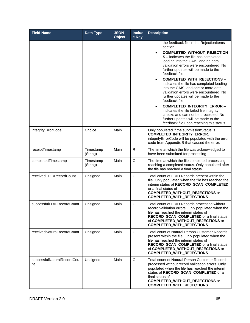| <b>Field Name</b>                | Data Type             | <b>JSON</b><br><b>Object</b> | <b>Includ</b><br>e Key | <b>Description</b>                                                                                                                                                                                                                                                                                                                                                                                                                                                                                                                                                                                                                                                                                                                          |
|----------------------------------|-----------------------|------------------------------|------------------------|---------------------------------------------------------------------------------------------------------------------------------------------------------------------------------------------------------------------------------------------------------------------------------------------------------------------------------------------------------------------------------------------------------------------------------------------------------------------------------------------------------------------------------------------------------------------------------------------------------------------------------------------------------------------------------------------------------------------------------------------|
|                                  |                       |                              |                        | the feedback file in the RejectionItems<br>section.<br><b>COMPLETED_WITHOUT_REJECTION</b><br>$\bullet$<br>S - indicates the file has completed<br>loading into the CAIS, and no data<br>validation errors were encountered. No<br>further updates will be made to the<br>feedback file.<br>COMPLETED_WITH_REJECTIONS -<br>$\bullet$<br>indicates the file has completed loading<br>into the CAIS, and one or more data<br>validation errors were encountered. No<br>further updates will be made to the<br>feedback file.<br>COMPLETED_INTEGRITY_ERROR -<br>$\bullet$<br>indicates the file failed file integrity<br>checks and can not be processed. No<br>further updates will be made to the<br>feedback file upon reaching this status. |
| integrityErrorCode               | Choice                | Main                         | C                      | Only populated if the submissionStatus is<br><b>COMPLETED_INTEGRITY_ERROR.</b><br>integrityErrorCode will be populated with the error<br>code from Appendix B that caused the error.                                                                                                                                                                                                                                                                                                                                                                                                                                                                                                                                                        |
| receiptTimestamp                 | Timestamp<br>(String) | Main                         | $\mathsf{R}$           | The time at which the file was acknowledged to<br>have been submitted for processing.                                                                                                                                                                                                                                                                                                                                                                                                                                                                                                                                                                                                                                                       |
| completedTimestamp               | Timestamp<br>(String) | Main                         | C                      | The time at which the file completed processing,<br>reaching a completed status. Only populated after<br>the file has reached a final status.                                                                                                                                                                                                                                                                                                                                                                                                                                                                                                                                                                                               |
| receivedFDIDRecordCount          | Unsigned              | Main                         | $\mathsf{C}$           | Total count of FDID Records present within the<br>file. Only populated when the file has reached the<br>interim status of RECORD_SCAN_COMPLETED<br>or a final status of<br><b>COMPLETED_WITHOUT_REJECTIONS or</b><br><b>COMPLETED_WITH_REJECTIONS.</b>                                                                                                                                                                                                                                                                                                                                                                                                                                                                                      |
| successfulFDIDRecordCount        | Unsigned              | Main                         | $\mathbf C$            | Total count of FDID Records processed without<br>record validation errors. Only populated when the<br>file has reached the interim status of<br><b>RECORD_SCAN_COMPLETED or a final status</b><br>of COMPLETED_WITHOUT_REJECTIONS or<br><b>COMPLETED_WITH_REJECTIONS.</b>                                                                                                                                                                                                                                                                                                                                                                                                                                                                   |
| receivedNaturalRecordCount       | Unsigned              | Main                         | $\mathsf{C}$           | Total count of Natural Person Customer Records<br>present within the file. Only populated when the<br>file has reached the interim status of<br><b>RECORD_SCAN_COMPLETED or a final status</b><br>of COMPLETED_WITHOUT_REJECTIONS or<br>COMPLETED_WITH_REJECTIONS.                                                                                                                                                                                                                                                                                                                                                                                                                                                                          |
| successfulNaturalRecordCou<br>nt | Unsigned              | Main                         | $\mathsf{C}$           | <b>Total count of Natural Person Customer Records</b><br>processed without record validation errors. Only<br>populated when the file has reached the interim<br>status of RECORD_SCAN_COMPLETED or a<br>final status of<br><b>COMPLETED_WITHOUT_REJECTIONS or</b><br>COMPLETED_WITH_REJECTIONS.                                                                                                                                                                                                                                                                                                                                                                                                                                             |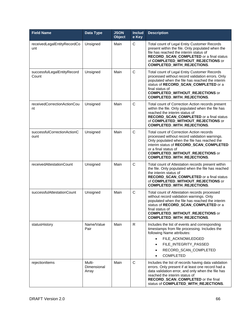| <b>Field Name</b>                    | Data Type                      | <b>JSON</b><br><b>Object</b> | <b>Includ</b><br>e Key | <b>Description</b>                                                                                                                                                                                                                                                                            |
|--------------------------------------|--------------------------------|------------------------------|------------------------|-----------------------------------------------------------------------------------------------------------------------------------------------------------------------------------------------------------------------------------------------------------------------------------------------|
| receivedLegalEntityRecordCo<br>unt   | Unsigned                       | Main                         | C                      | Total count of Legal Entity Customer Records<br>present within the file. Only populated when the<br>file has reached the interim status of<br>RECORD_SCAN_COMPLETED or a final status<br>of COMPLETED_WITHOUT_REJECTIONS or<br><b>COMPLETED_WITH_REJECTIONS.</b>                              |
| successfulLegalEntityRecord<br>Count | Unsigned                       | Main                         | $\mathsf{C}$           | Total count of Legal Entity Customer Records<br>processed without record validation errors. Only<br>populated when the file has reached the interim<br>status of RECORD_SCAN_COMPLETED or a<br>final status of<br><b>COMPLETED_WITHOUT_REJECTIONS or</b><br><b>COMPLETED_WITH_REJECTIONS.</b> |
| receivedCorrectionActionCou<br>nt    | Unsigned                       | Main                         | $\mathsf{C}$           | Total count of Correction Action records present<br>within the file. Only populated when the file has<br>reached the interim status of<br>RECORD_SCAN_COMPLETED or a final status<br>of COMPLETED_WITHOUT_REJECTIONS or<br><b>COMPLETED_WITH_REJECTIONS.</b>                                  |
| successfulCorrectionActionC<br>ount  | Unsigned                       | Main                         | $\mathsf{C}$           | Total count of Correction Action records<br>processed without record validation warnings.<br>Only populated when the file has reached the<br>interim status of RECORD_SCAN_COMPLETED<br>or a final status of<br><b>COMPLETED_WITHOUT_REJECTIONS or</b><br><b>COMPLETED_WITH_REJECTIONS.</b>   |
| receivedAttestationCount             | Unsigned                       | Main                         | $\mathsf{C}$           | Total count of Attestation records present within<br>the file. Only populated when the file has reached<br>the interim status of<br>RECORD_SCAN_COMPLETED or a final status<br>of COMPLETED_WITHOUT_REJECTIONS or<br>COMPLETED_WITH_REJECTIONS.                                               |
| successfulAttestationCount           | Unsigned                       | Main                         | $\mathsf{C}$           | Total count of Attestation records processed<br>without record validation warnings. Only<br>populated when the file has reached the interim<br>status of RECORD_SCAN_COMPLETED or a<br>final status of<br><b>COMPLETED_WITHOUT_REJECTIONS or</b><br>COMPLETED_WITH_REJECTIONS.                |
| statusHistory                        | Name/Value<br>Pair             | Main                         | $\mathsf{R}$           | Includes the list of events and corresponding<br>timestamps from file processing. Includes the<br>following Name attributes:<br>FILE ACKNOWLEDGED<br>FILE_INTEGRITY_PASSED<br>RECORD_SCAN_COMPLETED<br><b>COMPLETED</b><br>$\bullet$                                                          |
| rejectionItems                       | Multi-<br>Dimensional<br>Array | Main                         | C                      | Includes the list of records having data validation<br>errors. Only present if at least one record had a<br>data validation error, and only when the file has<br>reached the interim status of<br>RECORD_SCAN_COMPLETED or the final<br>status of COMPLETED_WITH_REJECTIONS.                  |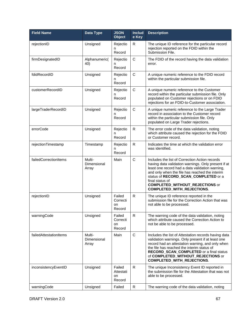| <b>Field Name</b>      | Data Type                      | <b>JSON</b><br><b>Object</b>        | <b>Includ</b><br>e Key | <b>Description</b>                                                                                                                                                                                                                                                                                                                                   |
|------------------------|--------------------------------|-------------------------------------|------------------------|------------------------------------------------------------------------------------------------------------------------------------------------------------------------------------------------------------------------------------------------------------------------------------------------------------------------------------------------------|
| rejectionID            | Unsigned                       | Rejectio<br>n<br>Record             | R                      | The unique ID reference for the particular record<br>rejection reported on the FDID within the<br>Submission File.                                                                                                                                                                                                                                   |
| firmDesignatedID       | Alphanumeric(<br>40)           | Rejectio<br>n<br>Record             | $\mathsf{C}$           | The FDID of the record having the data validation<br>error.                                                                                                                                                                                                                                                                                          |
| fdidRecordID           | Unsigned                       | Rejectio<br>n<br>Record             | $\mathbf C$            | A unique numeric reference to the FDID record<br>within the particular submission file.                                                                                                                                                                                                                                                              |
| customerRecordID       | Unsigned                       | Rejectio<br>n<br>Record             | $\mathsf C$            | A unique numeric reference to the Customer<br>record within the particular submission file. Only<br>populated on Customer rejections or on FDID<br>rejections for an FDID-to-Customer association.                                                                                                                                                   |
| largeTraderRecordID    | Unsigned                       | Rejectio<br>n<br>Record             | $\mathbf C$            | A unique numeric reference to the Large Trader<br>record in association to the Customer record<br>within the particular submission file. Only<br>populated on Large Trader rejections.                                                                                                                                                               |
| errorCode              | Unsigned                       | Rejectio<br>n<br>Record             | $\mathsf{R}$           | The error code of the data validation, noting<br>which attribute caused the rejection for the FDID<br>or Customer record.                                                                                                                                                                                                                            |
| rejectionTimestamp     | Timestamp                      | Rejectio<br>n<br>Record             | $\mathsf{R}$           | Indicates the time at which the validation error<br>was identified.                                                                                                                                                                                                                                                                                  |
| failedCorrectionItems  | Multi-<br>Dimensional<br>Array | Main                                | $\mathsf{C}$           | Includes the list of Correction Action records<br>having data validation warnings. Only present if at<br>least one record had a data validation warning,<br>and only when the file has reached the interim<br>status of RECORD_SCAN_COMPLETED or a<br>final status of<br><b>COMPLETED_WITHOUT_REJECTIONS or</b><br><b>COMPLETED_WITH_REJECTIONS.</b> |
| rejectionID            | Unsigned                       | Failed<br>Correcti<br>on<br>Record  | $\mathsf{R}$           | The unique ID reference reported in the<br>submission file for the Correction Action that was<br>not able to be processed.                                                                                                                                                                                                                           |
| warningCode            | Unsigned                       | Failed<br>Correcti<br>on<br>Record  | $\mathsf{R}$           | The warning code of the data validation, noting<br>which attribute caused the Correction Action to<br>not be able to be processed.                                                                                                                                                                                                                   |
| failedAttestationItems | Multi-<br>Dimensional<br>Array | Main                                | $\mathsf C$            | Includes the list of Attestation records having data<br>validation warnings. Only present if at least one<br>record had an attestation warning, and only when<br>the file has reached the interim status of<br>RECORD_SCAN_COMPLETED or a final status<br>of COMPLETED_WITHOUT_REJECTIONS or<br><b>COMPLETED_WITH_REJECTIONS.</b>                    |
| inconsistencyEventID   | Unsigned                       | Failed<br>Attestati<br>on<br>Record | R.                     | The unique Inconsistency Event ID reported in<br>the submission file for the Attestation that was not<br>able to be processed.                                                                                                                                                                                                                       |
| warningCode            | Unsigned                       | Failed                              | R                      | The warning code of the data validation, noting                                                                                                                                                                                                                                                                                                      |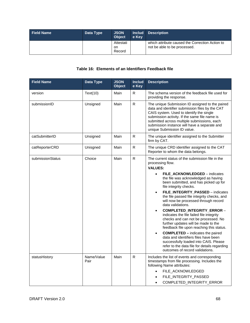| <b>Field Name</b> | Data Type | <b>JSON</b><br><b>Object</b> | e Kev | <b>Includ Description</b>                                                       |
|-------------------|-----------|------------------------------|-------|---------------------------------------------------------------------------------|
|                   |           | Attestati<br>on.<br>Record   |       | which attribute caused the Correction Action to<br>not be able to be processed. |

#### **Table 16: Elements of an Identifiers Feedback file**

| <b>Field Name</b> | Data Type          | <b>JSON</b><br><b>Object</b> | <b>Includ</b><br>e Key | <b>Description</b>                                                                                                                                                                                                                                                                                                                                                                                                                                                                                                                                                                                                                                                                                                                                                                                                                           |
|-------------------|--------------------|------------------------------|------------------------|----------------------------------------------------------------------------------------------------------------------------------------------------------------------------------------------------------------------------------------------------------------------------------------------------------------------------------------------------------------------------------------------------------------------------------------------------------------------------------------------------------------------------------------------------------------------------------------------------------------------------------------------------------------------------------------------------------------------------------------------------------------------------------------------------------------------------------------------|
| version           | Text(10)           | Main                         | R                      | The schema version of the feedback file used for<br>providing the response.                                                                                                                                                                                                                                                                                                                                                                                                                                                                                                                                                                                                                                                                                                                                                                  |
| submissionID      | Unsigned           | Main                         | R                      | The unique Submission ID assigned to the paired<br>data and identifier submission files by the CAT<br>CAIS system. Used to identify the single<br>submission activity. If the same file name is<br>submitted across multiple submissions, each<br>submission instance will have a separate and<br>unique Submission ID value.                                                                                                                                                                                                                                                                                                                                                                                                                                                                                                                |
| catSubmitterID    | Unsigned           | Main                         | R                      | The unique identifier assigned to the Submitter<br>firm by CAT.                                                                                                                                                                                                                                                                                                                                                                                                                                                                                                                                                                                                                                                                                                                                                                              |
| catReporterCRD    | Unisgned           | Main                         | R                      | The unique CRD identifier assigned to the CAT<br>Reporter to whom the data belongs.                                                                                                                                                                                                                                                                                                                                                                                                                                                                                                                                                                                                                                                                                                                                                          |
| submissionStatus  | Choice             | Main                         | ${\sf R}$              | The current status of the submission file in the<br>processing flow.<br><b>VALUES:</b><br>FILE_ACKNOWLEDGED - indicates<br>$\bullet$<br>the file was acknowledged as having<br>been submitted, and has picked up for<br>file integrity checks.<br>FILE_INTEGRITY_PASSED - indicates<br>$\bullet$<br>the file passed file integrity checks, and<br>will now be processed through record<br>data validations.<br>COMPLETED_INTEGRITY_ERROR -<br>$\bullet$<br>indicates the file failed file integrity<br>checks and can not be processed. No<br>further updates will be made to the<br>feedback file upon reaching this status.<br><b>COMPLETED</b> – indicates the paired<br>data and identifiers files have been<br>successfully loaded into CAIS. Please<br>refer to the data file for details regarding<br>outcomes of record validations. |
| statusHistory     | Name/Value<br>Pair | Main                         | R                      | Includes the list of events and corresponding<br>timestamps from file processing. Includes the<br>following Name attributes:<br>FILE_ACKNOWLEDGED<br>$\bullet$<br>FILE_INTEGRITY_PASSED<br>$\bullet$<br>COMPLETED_INTEGRITY_ERROR<br>$\bullet$                                                                                                                                                                                                                                                                                                                                                                                                                                                                                                                                                                                               |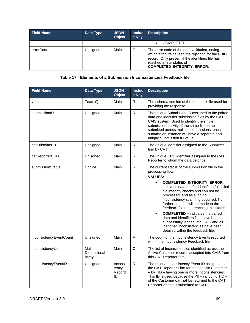| <b>Field Name</b> | Data Type | <b>JSON</b><br><b>Object</b> | <b>Includ</b><br>e Key | <b>Description</b>                                                                                                                                                                                                       |
|-------------------|-----------|------------------------------|------------------------|--------------------------------------------------------------------------------------------------------------------------------------------------------------------------------------------------------------------------|
|                   |           |                              |                        | <b>COMPLETED</b>                                                                                                                                                                                                         |
| errorCode         | Unsigned  | Main                         | C                      | The error code of the data validation, noting<br>which attribute caused the rejection for the FDID<br>record. Only present if the identifiers file has<br>reached a final status of<br><b>COMPLETED INTEGRITY ERROR.</b> |

## **Table 17: Elements of a Submission Inconsistencies Feedback file**

| <b>Field Name</b>       | <b>Data Type</b>               | <b>JSON</b><br><b>Object</b>             | <b>Includ</b><br>e Key | <b>Description</b>                                                                                                                                                                                                                                                                                                                                                                                                                                                                                                                                                                                               |
|-------------------------|--------------------------------|------------------------------------------|------------------------|------------------------------------------------------------------------------------------------------------------------------------------------------------------------------------------------------------------------------------------------------------------------------------------------------------------------------------------------------------------------------------------------------------------------------------------------------------------------------------------------------------------------------------------------------------------------------------------------------------------|
| version                 | Text(10)                       | Main                                     | R                      | The schema version of the feedback file used for<br>providing the response.                                                                                                                                                                                                                                                                                                                                                                                                                                                                                                                                      |
| submissionID            | Unsigned                       | Main                                     | $\mathsf{R}$           | The unique Submission ID assigned to the paired<br>data and identifier submission files by the CAT<br>CAIS system. Used to identify the single<br>submission activity. If the same file name is<br>submitted across multiple submissions, each<br>submission instance will have a separate and<br>unique Submission ID value.                                                                                                                                                                                                                                                                                    |
| catSubmitterID          | Unsigned                       | Main                                     | $\mathsf{R}$           | The unique identifier assigned to the Submitter<br>firm by CAT.                                                                                                                                                                                                                                                                                                                                                                                                                                                                                                                                                  |
| catReporterCRD          | Unisgned                       | Main                                     | $\mathsf{R}$           | The unique CRD identifier assigned to the CAT<br>Reporter to whom the data belongs.                                                                                                                                                                                                                                                                                                                                                                                                                                                                                                                              |
| submissionStatus        | Choice                         | Main                                     | $\mathsf{R}$           | The current status of the submission file in the<br>processing flow.<br><b>VALUES:</b><br><b>COMPLETED INTEGRITY ERROR -</b><br>$\bullet$<br>indicates data and/or identifiers file failed<br>file integrity checks and can not be<br>processed, and as such no<br>inconsistency scanning occurred. No<br>further updates will be made to the<br>feedback file upon reaching this status.<br><b>COMPLETED</b> – indicates the paired<br>$\bullet$<br>data and identifiers files have been<br>successfully loaded into CAIS and all<br>identified inconsistencies have been<br>detailed within the feedback file. |
| inconsistencyEventCount | Unsigned                       | Main                                     | ${\sf R}$              | The count of the Inconsistency Events reported<br>within the Inconsistency Feedback file.                                                                                                                                                                                                                                                                                                                                                                                                                                                                                                                        |
| inconsistencyList       | Multi-<br>Dimensional<br>Array | Main                                     | $\mathsf{C}$           | The list of Inconsistencies identified across the<br>Active Customer records accepted into CAIS from<br>this CAT Reporter firm.                                                                                                                                                                                                                                                                                                                                                                                                                                                                                  |
| inconsistencyEventID    | Unsigned                       | <b>Inconsis</b><br>tency<br>Record<br>ID | $\mathsf{R}$           | The unique Inconsistency Event ID assigned to<br>the CAT Reporter Firm for the specific Customer<br>- by TID - having one or more Inconsistencies.<br>This ID is used because the PII - including $TID -$<br>of the Customer cannot be returned to the CAT<br>Reporter after it is submitted to CAT.                                                                                                                                                                                                                                                                                                             |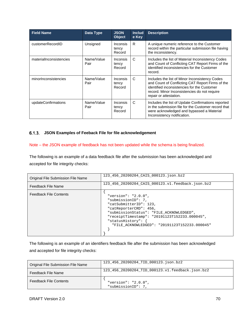| <b>Field Name</b>       | Data Type          | <b>JSON</b><br>Object              | <b>Includ</b><br>e Key | <b>Description</b>                                                                                                                                                                                                          |
|-------------------------|--------------------|------------------------------------|------------------------|-----------------------------------------------------------------------------------------------------------------------------------------------------------------------------------------------------------------------------|
| customerRecordID        | Unsigned           | <i>Inconsis</i><br>tency<br>Record | R.                     | A unique numeric reference to the Customer<br>record within the particular submission file having<br>the inconsistency.                                                                                                     |
| materiallnconsistencies | Name/Value<br>Pair | <b>Inconsis</b><br>tency<br>Record | C                      | Includes the list of Material Inconsistency Codes<br>and Count of Conflicting CAT Report Firms of the<br>identified inconsistencies for the Customer<br>record.                                                             |
| minorInconsistencies    | Name/Value<br>Pair | Inconsis<br>tency<br>Record        | C                      | Includes the list of Minor Inconsistency Codes<br>and Count of Conflicting CAT Report Firms of the<br>identified inconsistencies for the Customer<br>record. Minor Inconsistencies do not require<br>repair or attestation. |
| updateConfirmations     | Name/Value<br>Pair | <i>Inconsis</i><br>tency<br>Record | C                      | Includes the list of Update Confirmations reported<br>in the submission file for the Customer record that<br>were acknowledged and bypassed a Material<br>Inconsistency notification.                                       |

#### **JSON Examples of Feeback File for file acknowledgement**

#### Note – the JSON example of feedback has not been updated while the schema is being finalized.

The following is an example of a data feedback file after the submission has been acknowledged and accepted for file integrity checks:

| Original File Submission File Name | 123 456 20200204 CAIS 000123.json.bz2                                                                                                                                                                                                                               |
|------------------------------------|---------------------------------------------------------------------------------------------------------------------------------------------------------------------------------------------------------------------------------------------------------------------|
| Feedback File Name                 | 123 456 20200204 CAIS 000123.v1.feedback.json.bz2                                                                                                                                                                                                                   |
| <b>Feedback File Contents</b>      | "version": " $2.0.0$ ",<br>"submissionID": 7,<br>"catSubmitterID": 123,<br>"catReporterCRD": 456,<br>"submissionStatus": "FILE ACKNOWLEDGED",<br>"receiptTimestamp": "20191123T152233.000045",<br>"statusHistory":<br>"FILE ACKNOWLEDGED": "20191123T152233.000045" |

The following is an example of an identifiers feedback file after the submission has been acknowledged and accepted for file integrity checks:

| Original File Submission File Name | 123 456 20200204 TID 000123.json.bz2             |
|------------------------------------|--------------------------------------------------|
| Feedback File Name                 | 123 456 20200204 TID 000123.v1.feedback.json.bz2 |
| <b>Feedback File Contents</b>      | "version": " $2.0.0$ ",<br>"submissionID": 7,    |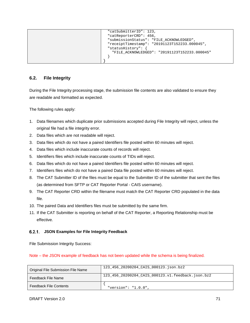| "catSubmitterID": 123,                        |
|-----------------------------------------------|
| "catReporterCRD": 456,                        |
| "submissionStatus": "FILE ACKNOWLEDGED",      |
| "receiptTimestamp": "20191123T152233.000045", |
| "statusHistory":                              |
| "FILE ACKNOWLEDGED": "20191123T152233.000045" |
|                                               |
|                                               |
|                                               |

## **6.2. File Integrity**

During the File Integrity processing stage, the submission file contents are also validated to ensure they are readable and formatted as expected.

The following rules apply:

- 1. Data filenames which duplicate prior submissions accepted during File Integrity will reject, unless the original file had a file integrity error.
- 2. Data files which are not readable will reject.
- 3. Data files which do not have a paired Identifiers file posted within 60 minutes will reject.
- 4. Data files which include inaccurate counts of records will reject.
- 5. Identifiers files which include inaccurate counts of TIDs will reject.
- 6. Data files which do not have a paired Identifiers file posted within 60 minutes will reject.
- 7. Identifiers files which do not have a paired Data file posted within 60 minutes will reject.
- 8. The CAT Submitter ID of the files must be equal to the Submitter ID of the submitter that sent the files (as determined from SFTP or CAT Reporter Portal - CAIS username).
- 9. The CAT Reporter CRD within the filename must match the CAT Reporter CRD populated in the data file.
- 10. The paired Data and Identifiers files must be submitted by the same firm.
- 11. If the CAT Submitter is reporting on behalf of the CAT Reporter, a Reporting Relationship must be effective.

#### **JSON Examples for File Integrity Feedback**

File Submission Integrity Success:

Note – the JSON example of feedback has not been updated while the schema is being finalized.

| Original File Submission File Name | 123 456 20200204 CAIS 000123.json.bz2             |
|------------------------------------|---------------------------------------------------|
| Feedback File Name                 | 123 456 20200204 CAIS 000123.v1.feedback.json.bz2 |
| <b>Feedback File Contents</b>      | "version": " $1.0.0$ "                            |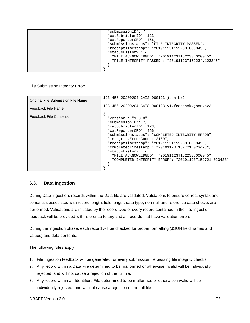| "submissionID": 7,                                |
|---------------------------------------------------|
| "catSubmitterID": 123,                            |
| "catReporterCRD": 456,                            |
| "submissionStatus": "FILE_INTEGRITY_PASSED",      |
| "receiptTimestamp": "20191123T152233.000045",     |
| "statusHistory":                                  |
| "FILE ACKNOWLEDGED": "20191123T152233.000045",    |
| "FILE INTEGRITY PASSED": "20191123T152234.123245" |
|                                                   |
|                                                   |
|                                                   |

File Submission Integrity Error:

| Original File Submission File Name | 123 456 20200204 CAIS 000123.json.bz2                                                                                                                                                                                                                                                                                                                                                                                    |
|------------------------------------|--------------------------------------------------------------------------------------------------------------------------------------------------------------------------------------------------------------------------------------------------------------------------------------------------------------------------------------------------------------------------------------------------------------------------|
| Feedback File Name                 | 123 456 20200204 CAIS 000123.v1.feedback.json.bz2                                                                                                                                                                                                                                                                                                                                                                        |
| <b>Feedback File Contents</b>      | "version": " $1.0.0$ ",<br>"submissionID": 7,<br>"catSubmitterID": 123,<br>"catReporterCRD": 456,<br>"submissionStatus": "COMPLETED INTEGRITY ERROR",<br>"integrityErrorCode": 21007,<br>"receiptTimestamp": "20191123T152233.000045",<br>"completedTimestamp": "20191123T152721.023423",<br>"statusHistory":<br>"FILE ACKNOWLEDGED": "20191123T152233.000045",<br>"COMPLETED INTEGRITY ERROR": "20191123T152721.023423" |

## **6.3. Data Ingestion**

During Data Ingestion, records within the Data file are validated. Validations to ensure correct syntax and semantics associated with record length, field length, data type, non-null and reference data checks are performed. Validations are initiated by the record type of every record contained in the file. Ingestion feedback will be provided with reference to any and all records that have validation errors.

During the ingestion phase, each record will be checked for proper formatting (JSON field names and values) and data contents.

The following rules apply:

- 1. File Ingestion feedback will be generated for every submission file passing file integrity checks.
- 2. Any record within a Data File determined to be malformed or otherwise invalid will be individually rejected, and will not cause a rejection of the full file.
- 3. Any record within an Identifiers File determined to be malformed or otherwise invalid will be individually rejected, and will not cause a rejection of the full file.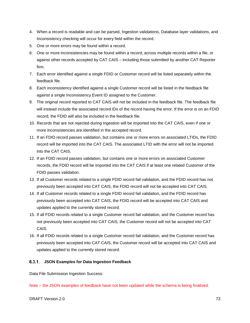- 4. When a record is readable and can be parsed, Ingestion validations, Database layer validations, and Inconsistency checking will occur for every field within the record.
- 5. One or more errors may be found within a record.
- 6. One or more inconsistencies may be found within a record, across multiple records within a file, or against other records accepted by CAT CAIS – including those submitted by another CAT Reporter firm.
- 7. Each error identified against a single FDID or Customer record will be listed separately within the feedback file.
- 8. Each inconsistency identified against a single Customer record will be listed in the feedback file against a single Inconsistency Event ID assigned to the Customer.
- 9. The original record reported to CAT CAIS will not be included in the feedback file. The feedback file will instead include the associated record IDs of the record having the error. If the error is on an FDID record, the FDID will also be included in the feedback file.
- 10. Records that are not rejected during Ingestion will be imported into the CAT CAIS, even if one or more Inconsistencies are identified in the accepted record.
- 11. If an FDID record passes validation, but contains one or more errors on associated LTIDs, the FDID record will be imported into the CAT CAIS. The associated LTID with the error will not be imported into the CAT CAIS.
- 12. If an FDID record passes validation, but contains one or more errors on associated Customer records, the FDID record will be imported into the CAT CAIS if at least one related Customer of the FDID passes validation.
- 13. If all Customer records related to a single FDID record fail validation, and the FDID record has not previously been accepted into CAT CAIS, the FDID record will not be accepted into CAT CAIS.
- 14. If all Customer records related to a single FDID record fail validation, and the FDID record has previously been accepted into CAT CAIS, the FDID record will be accepted into CAT CAIS and updates applied to the currently stored record.
- 15. If all FDID records related to a single Customer record fail validation, and the Customer record has not previously been accepted into CAT CAIS, the Customer record will not be accepted into CAT CAIS.
- 16. If all FDID records related to a single Customer record fail validation, and the Customer record has previously been accepted into CAT CAIS, the Customer record will be accepted into CAT CAIS and updates applied to the currently stored record.

#### **JSON Examples for Data Ingestion Feedback**

Data File Submission Ingestion Success:

Note – the JSON examples of feedback have not been updated while the schema is being finalized.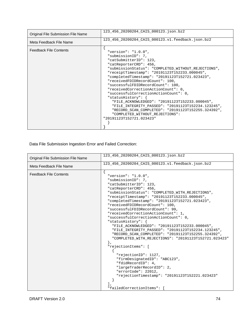| Original File Submission File Name | 123 456 20200204 CAIS 000123.json.bz2                                                                                                                                                                                                                                                                                                                                                                                                                                                                                                                                                                                                                                   |
|------------------------------------|-------------------------------------------------------------------------------------------------------------------------------------------------------------------------------------------------------------------------------------------------------------------------------------------------------------------------------------------------------------------------------------------------------------------------------------------------------------------------------------------------------------------------------------------------------------------------------------------------------------------------------------------------------------------------|
| Meta Feedback File Name            | 123 456 20200204 CAIS 000123.v1.feedback.json.bz2                                                                                                                                                                                                                                                                                                                                                                                                                                                                                                                                                                                                                       |
| <b>Feedback File Contents</b>      | "version": " $1.0.0$ ",<br>"submissionID": 7,<br>"catSubmitterID": 123,<br>"catReporterCRD": 456,<br>"submissionStatus": "COMPLETED_WITHOUT_REJECTIONS",<br>"receiptTimestamp": "20191123T152233.000045",<br>"completedTimestamp": "20191123T152721.023423",<br>"receivedFDIDRecordCount": 100,<br>"successfulFDIDRecordCount": 100,<br>"receivedCorrectionActionCount": 0,<br>"successfulCorrectionActionCount": 0,<br>"statusHistory": {<br>"FILE ACKNOWLEDGED": "20191123T152233.000045",<br>"FILE INTEGRITY PASSED": "20191123T152234.123245",<br>"RECORD_SCAN_COMPLETED": "20191123T152255.324392",<br>"COMPLETED_WITHOUT_REJECTIONS":<br>"20191123T152721.023423" |

Data File Submission Ingestion Error and Failed Correction:

|                                    | 123 456 20200204 CAIS 000123.json.bz2                                                                                                                                                                                                                                                                                                                                                                                                                                                                                                                                                                                                                                                                                                                                                                                                                                                                   |
|------------------------------------|---------------------------------------------------------------------------------------------------------------------------------------------------------------------------------------------------------------------------------------------------------------------------------------------------------------------------------------------------------------------------------------------------------------------------------------------------------------------------------------------------------------------------------------------------------------------------------------------------------------------------------------------------------------------------------------------------------------------------------------------------------------------------------------------------------------------------------------------------------------------------------------------------------|
| Original File Submission File Name |                                                                                                                                                                                                                                                                                                                                                                                                                                                                                                                                                                                                                                                                                                                                                                                                                                                                                                         |
| Meta Feedback File Name            | 123 456 20200204 CAIS 000123.v1.feedback.json.bz2                                                                                                                                                                                                                                                                                                                                                                                                                                                                                                                                                                                                                                                                                                                                                                                                                                                       |
| <b>Feedback File Contents</b>      | "version": " $1.0.0$ ",<br>"submissionID": 7,<br>"catSubmitterID": 123,<br>"catReporterCRD": 456,<br>"submissionStatus": "COMPLETED_WITH_REJECTIONS",<br>"receiptTimestamp": "20191123T152233.000045",<br>"completedTimestamp": "20191123T152721.023423",<br>"receivedFDIDRecordCount": 100,<br>"successfulFDIDRecordCount": 99,<br>"receivedCorrectionActionCount": 1,<br>"successfulCorrectionActionCount": 0,<br>"statusHistory": {<br>"FILE_ACKNOWLEDGED": "20191123T152233.000045",<br>"FILE_INTEGRITY_PASSED": "20191123T152234.123245",<br>"RECORD SCAN COMPLETED": "20191123T152255.324392",<br>"COMPLETED WITH REJECTIONS": "20191123T152721.023423"<br>"rejectionItems": [<br>"rejectionID": 1127,<br>"firmDesignatedID": "ABC123",<br>"fdidRecordID": 4,<br>"largeTraderRecordID": 2,<br>"errorCode": 22012,<br>"rejectionTimestamp": "20191123T152221.023423"<br>"failedCorrectionItems": [ |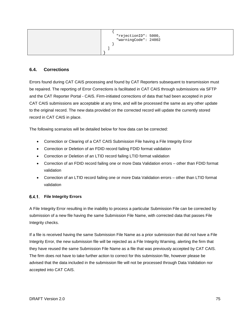| "rejectionID": 5000,<br>"warningCode": 24002 |
|----------------------------------------------|
|                                              |

#### **6.4. Corrections**

Errors found during CAT CAIS processing and found by CAT Reporters subsequent to transmission must be repaired. The reporting of Error Corrections is facilitated in CAT CAIS through submissions via SFTP and the CAT Reporter Portal - CAIS. Firm-initiated corrections of data that had been accepted in prior CAT CAIS submissions are acceptable at any time, and will be processed the same as any other update to the original record. The new data provided on the corrected record will update the currently stored record in CAT CAIS in place.

The following scenarios will be detailed below for how data can be corrected:

- Correction or Clearing of a CAT CAIS Submission File having a File Integrity Error
- Correction or Deletion of an FDID record failing FDID format validation
- Correction or Deletion of an LTID record failing LTID format validation
- Correction of an FDID record failing one or more Data Validation errors other than FDID format validation
- Correction of an LTID record failing one or more Data Validation errors other than LTID format validation

#### **File Integrity Errors**

A File Integrity Error resulting in the inability to process a particular Submission File can be corrected by submission of a new file having the same Submission File Name, with corrected data that passes File Integrity checks.

If a file is received having the same Submission File Name as a prior submission that did not have a File Integrity Error, the new submission file will be rejected as a File Integrity Warning, alerting the firm that they have reused the same Submission File Name as a file that was previously accepted by CAT CAIS. The firm does not have to take further action to correct for this submission file, however please be advised that the data included in the submission file will not be processed through Data Validation nor accepted into CAT CAIS.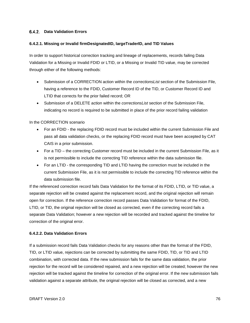#### **Data Validation Errors**

#### **6.4.2.1. Missing or Invalid firmDesignatedID, largeTraderID, and TID Values**

In order to support historical correction tracking and lineage of replacements, records failing Data Validation for a Missing or Invalid FDID or LTID, or a Missing or Invalid TID value, may be corrected through either of the following methods:

- Submission of a CORRECTION action within the *correctionsList* section of the Submission File, having a reference to the FDID, Customer Record ID of the TID, or Customer Record ID and LTID that corrects for the prior failed record; OR
- Submission of a DELETE action within the *correctionsList* section of the Submission File, indicating no record is required to be submitted in place of the prior record failing validation

In the CORRECTION scenario

- For an FDID the replacing FDID record must be included within the current Submission File and pass all data validation checks, or the replacing FDID record must have been accepted by CAT CAIS in a prior submission.
- For a TID the correcting Customer record must be included in the current Submission File, as it is not permissible to include the correcting TID reference within the data submission file.
- For an LTID the corresponding TID and LTID having the correction must be included in the current Submission File, as it is not permissible to include the correcting TID reference within the data submission file.

If the referenced correction record fails Data Validation for the format of its FDID, LTID, or TID value, a separate rejection will be created against the replacement record, and the original rejection will remain open for correction. If the reference correction record passes Data Validation for format of the FDID, LTID, or TID, the original rejection will be closed as corrected, even if the correcting record fails a separate Data Validation; however a new rejection will be recorded and tracked against the timeline for correction of the original error.

#### **6.4.2.2. Data Validation Errors**

If a submission record fails Data Validation checks for any reasons other than the format of the FDID, TID, or LTID value, rejections can be corrected by submitting the same FDID, TID, or TID and LTID combination, with corrected data. If the new submission fails for the same data validation, the prior rejection for the record will be considered repaired, and a new rejection will be created; however the new rejection will be tracked against the timeline for correction of the original error. If the new submission fails validation against a separate attribute, the original rejection will be closed as corrected, and a new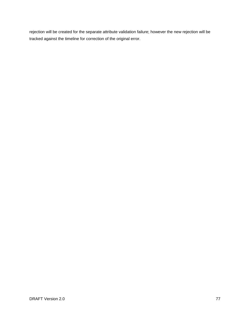rejection will be created for the separate attribute validation failure; however the new rejection will be tracked against the timeline for correction of the original error.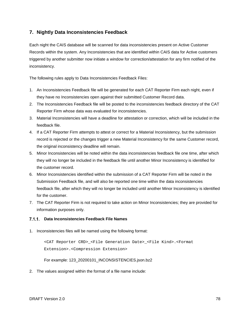## **7. Nightly Data Inconsistencies Feedback**

Each night the CAIS database will be scanned for data inconsistencies present on Active Customer Records within the system. Any Inconsistencies that are identified within CAIS data for Active customers triggered by another submitter now initiate a window for correction/attestation for any firm notified of the inconsistency.

The following rules apply to Data Inconsistencies Feedback Files:

- 1. An Inconsistencies Feedback file will be generated for each CAT Reporter Firm each night, even if they have no Inconsistencies open against their submitted Customer Record data.
- 2. The Inconsistencies Feedback file will be posted to the inconsistencies feedback directory of the CAT Reporter Firm whose data was evaluated for inconsistencies.
- 3. Material Inconsistencies will have a deadline for attestation or correction, which will be included in the feedback file.
- 4. If a CAT Reporter Firm attempts to attest or correct for a Material Inconsistency, but the submission record is rejected or the changes trigger a new Material Inconsistency for the same Customer record, the original inconsistency deadline will remain.
- 5. Minor Inconsistencies will be noted within the data inconsistencies feedback file one time, after which they will no longer be included in the feedback file until another Minor Inconsistency is identified for the customer record.
- 6. Minor Inconsistencies identified within the submission of a CAT Reporter Firm will be noted in the Submission Feedback file, and will also be reported one time within the data inconsistencies feedback file, after which they will no longer be included until another Minor Inconsistency is identified for the customer.
- 7. The CAT Reporter Firm is not required to take action on Minor Inconsistencies; they are provided for information purposes only.

#### **Data Inconsistencies Feedback File Names**

1. Inconsistencies files will be named using the following format:

```
<CAT Reporter CRD>_<File Generation Date>_<File Kind>.<Format 
Extension>.<Compression Extension>
```
For example: 123\_20200101\_INCONSISTENCIES.json.bz2

2. The values assigned within the format of a file name include: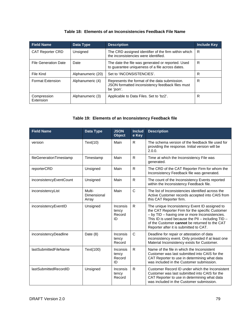## **Table 18: Elements of an Inconsistencies Feedback File Name**

| <b>Field Name</b>           | Data Type         | <b>Description</b>                                                                                              | <b>Include Key</b> |
|-----------------------------|-------------------|-----------------------------------------------------------------------------------------------------------------|--------------------|
| <b>CAT Reporter CRD</b>     | Unsigned          | The CRD assigned identifier of the firm within which<br>the inconsistencies were identified.                    | R                  |
| <b>File Generation Date</b> | Date              | The date the file was generated or reported. Used<br>to guarantee uniqueness of a file across dates.            | R                  |
| File Kind                   | Alphanumeric (20) | Set to 'INCONSISTENCIES'.                                                                                       | R                  |
| <b>Format Extension</b>     | Alphanumeric (4)  | Represents the format of the data submission.<br>JSON formatted inconsistency feedback files must<br>be 'json'. | R                  |
| Compression<br>Extension    | Alphanumeric (3)  | Applicable to Data Files. Set to 'bz2'.                                                                         | R                  |

## **Table 19: Elements of an Inconsistency Feedback file**

| <b>Field Name</b>       | Data Type                      | <b>JSON</b><br><b>Object</b>      | <b>Includ</b><br>e Key | <b>Description</b>                                                                                                                                                                                                                                                                                   |
|-------------------------|--------------------------------|-----------------------------------|------------------------|------------------------------------------------------------------------------------------------------------------------------------------------------------------------------------------------------------------------------------------------------------------------------------------------------|
| version                 | Text(10)                       | Main                              | R                      | The schema version of the feedback file used for<br>providing the response. Initial version will be<br>2.0.0.                                                                                                                                                                                        |
| fileGenerationTimestamp | Timestamp                      | Main                              | R                      | Time at which the Inconsistency File was<br>generated.                                                                                                                                                                                                                                               |
| reporterCRD             | Unsigned                       | Main                              | $\mathsf{R}$           | The CRD of the CAT Reporter Firm for whom the<br>Inconsistency Feedback file was generated.                                                                                                                                                                                                          |
| inconsistencyEventCount | Unsigned                       | Main                              | R                      | The count of the Inconsistency Events reported<br>within the Inconsistency Feedback file.                                                                                                                                                                                                            |
| inconsistencyList       | Multi-<br>Dimensional<br>Array | Main                              | $\mathsf{C}$           | The list of Inconsistencies identified across the<br>Active Customer records accepted into CAIS from<br>this CAT Reporter firm.                                                                                                                                                                      |
| inconsistencyEventID    | Unsigned                       | Inconsis<br>tency<br>Record<br>ID | R                      | The unique Inconsistency Event ID assigned to<br>the CAT Reporter Firm for the specific Customer<br>- by TID - having one or more Inconsistencies.<br>This ID is used because the PII - including $TID -$<br>of the Customer cannot be returned to the CAT<br>Reporter after it is submitted to CAT. |
| inconsistencyDeadline   | Date $(8)$                     | Inconsis<br>tency<br>Record       | $\mathsf{C}$           | Deadline for repair or attestation of data<br>inconsistency event. Only provided if at least one<br>Material Inconsistency exists for Customer.                                                                                                                                                      |
| lastSubmittedFileName   | Text(100)                      | Inconsis<br>tency<br>Record<br>ID | $\mathsf{R}$           | Name of the file in which the Inconsistent<br>Customer was last submitted into CAIS for the<br>CAT Reporter to use in determining what data<br>was included in the Customer submission.                                                                                                              |
| lastSubmittedRecordID   | Unsigned                       | Inconsis<br>tency<br>Record       | R                      | Customer Record ID under which the Inconsistent<br>Customer was last submitted into CAIS for the<br>CAT Reporter to use in determining what data<br>was included in the Customer submission.                                                                                                         |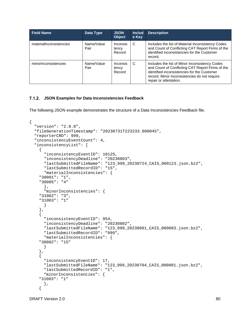| <b>Field Name</b>       | Data Type          | <b>JSON</b><br><b>Object</b> | <b>Includ</b><br>e Key | <b>Description</b>                                                                                                                                                                                                          |
|-------------------------|--------------------|------------------------------|------------------------|-----------------------------------------------------------------------------------------------------------------------------------------------------------------------------------------------------------------------------|
| materialInconsistencies | Name/Value<br>Pair | Inconsis<br>tency<br>Record  | C                      | Includes the list of Material Inconsistency Codes<br>and Count of Conflicting CAT Report Firms of the<br>identified inconsistencies for the Customer<br>record.                                                             |
| minorInconsistencies    | Name/Value<br>Pair | Inconsis<br>tency<br>Record  | C                      | Includes the list of Minor Inconsistency Codes<br>and Count of Conflicting CAT Report Firms of the<br>identified inconsistencies for the Customer<br>record. Minor Inconsistencies do not require<br>repair or attestation. |

#### **JSON Examples for Data Inconsistencies Feedback**

The following JSON example demonstrates the structure of a Data Inconsistencies Feedback file.

```
{
 "version": "2.0.0",
 "fileGenerationTimestamp": "20230731T223233.000045",
 "reporterCRD": 999,
 "inconsistencyEventCount": 4,
 "inconsistencyList": [
   {
      "inconsistencyEventID": 10125,
      "inconsistencyDeadline": "20230803",
      "lastSubmittedFileName": "123_999_20230724_CAIS_000123.json.bz2",
      "lastSubmittedRecordID": "15",
     "materialInconsistencies": {
     "30001": "1",
     "30005": "4"
     },
      "minorInconsistencies": {
     "31002": "3",
     "31003": "1"
     }
   },
    {
      "inconsistencyEventID": 954,
      "inconsistencyDeadline": "20230802",
      "lastSubmittedFileName": "123_999_20230601_CAIS_000003.json.bz2",
      "lastSubmittedRecordID": "999",
      "materialInconsistencies": {
     "30002": "15"
       }
   },
    {
      "inconsistencyEventID": 17,
      "lastSubmittedFileName": "123_999_20230704_CAIS_000001.json.bz2",
     "lastSubmittedRecordID": "1",
     "minorInconsistencies": {
     "31003": "1"
       },
    {
```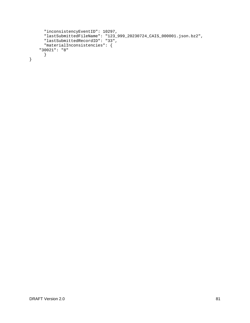```
"inconsistencyEventID": 10297,
      "lastSubmittedFileName": "123_999_20230724_CAIS_000001.json.bz2",
      "lastSubmittedRecordID": "33",
     "materialInconsistencies": {
     "30021": "8"
       }
}
```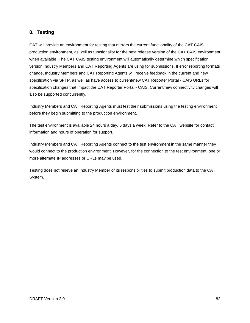## **8. Testing**

CAT will provide an environment for testing that mirrors the current functionality of the CAT CAIS production environment, as well as functionality for the next release version of the CAT CAIS environment when available. The CAT CAIS testing environment will automatically determine which specification version Industry Members and CAT Reporting Agents are using for submissions. If error reporting formats change, Industry Members and CAT Reporting Agents will receive feedback in the current and new specification via SFTP, as well as have access to current/new CAT Reporter Portal - CAIS URLs for specification changes that impact the CAT Reporter Portal - CAIS. Current/new connectivity changes will also be supported concurrently.

Industry Members and CAT Reporting Agents must test their submissions using the testing environment before they begin submitting to the production environment.

The test environment is available 24 hours a day, 6 days a week. Refer to the CAT website for contact information and hours of operation for support.

Industry Members and CAT Reporting Agents connect to the test environment in the same manner they would connect to the production environment. However, for the connection to the test environment, one or more alternate IP addresses or URLs may be used.

Testing does not relieve an Industry Member of its responsibilities to submit production data to the CAT System.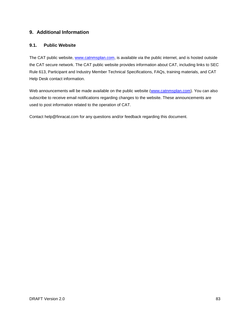## **9. Additional Information**

## **9.1. Public Website**

The CAT public website, [www.catnmsplan.com,](https://www.catnmsplan.com/) is available via the public internet, and is hosted outside the CAT secure network. The CAT public website provides information about CAT, including links to SEC Rule 613, Participant and Industry Member Technical Specifications, FAQs, training materials, and CAT Help Desk contact information.

Web announcements will be made available on the public website [\(www.catnmsplan.com\)](https://www.catnmsplan.com/). You can also subscribe to receive email notifications regarding changes to the website. These announcements are used to post information related to the operation of CAT.

Contact help@finracat.com for any questions and/or feedback regarding this document.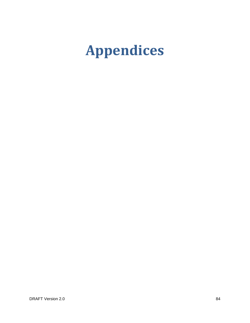# **Appendices**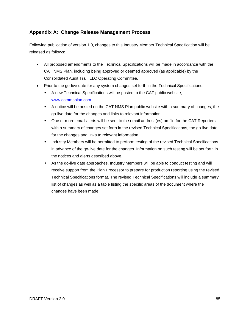## **Appendix A: Change Release Management Process**

Following publication of version 1.0, changes to this Industry Member Technical Specification will be released as follows:

- All proposed amendments to the Technical Specifications will be made in accordance with the CAT NMS Plan, including being approved or deemed approved (as applicable) by the Consolidated Audit Trail, LLC Operating Committee.
- Prior to the go-live date for any system changes set forth in the Technical Specifications:
	- A new Technical Specifications will be posted to the CAT public website, [www.catnmsplan.com.](https://www.catnmsplan.com/)
	- A notice will be posted on the CAT NMS Plan public website with a summary of changes, the go-live date for the changes and links to relevant information.
	- One or more email alerts will be sent to the email address(es) on file for the CAT Reporters with a summary of changes set forth in the revised Technical Specifications, the go-live date for the changes and links to relevant information.
	- Industry Members will be permitted to perform testing of the revised Technical Specifications in advance of the go-live date for the changes. Information on such testing will be set forth in the notices and alerts described above.
	- As the go-live date approaches, Industry Members will be able to conduct testing and will receive support from the Plan Processor to prepare for production reporting using the revised Technical Specifications format. The revised Technical Specifications will include a summary list of changes as well as a table listing the specific areas of the document where the changes have been made.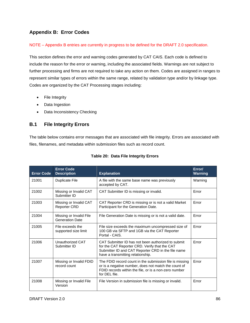## **Appendix B: Error Codes**

#### NOTE – Appendix B entries are currently in progress to be defined for the DRAFT 2.0 specification.

This section defines the error and warning codes generated by CAT CAIS. Each code is defined to include the reason for the error or warning, including the associated fields. Warnings are not subject to further processing and firms are not required to take any action on them. Codes are assigned in ranges to represent similar types of errors within the same range, related by validation type and/or by linkage type. Codes are organized by the CAT Processing stages including:

- File Integrity
- Data Ingestion
- Data Inconsistency Checking

## **B.1 File Integrity Errors**

The table below contains error messages that are associated with file integrity. Errors are associated with files, filenames, and metadata within submission files such as record count.

| <b>Error Code</b> | <b>Error Code</b><br><b>Description</b>           | <b>Explanation</b>                                                                                                                                                                             | Error/<br><b>Warning</b> |
|-------------------|---------------------------------------------------|------------------------------------------------------------------------------------------------------------------------------------------------------------------------------------------------|--------------------------|
| 21001             | <b>Duplicate File</b>                             | A file with the same base name was previously<br>accepted by CAT.                                                                                                                              | Warning                  |
| 21002             | Missing or Invalid CAT<br>Submitter ID            | CAT Submitter ID is missing or invalid.                                                                                                                                                        | Error                    |
| 21003             | Missing or Invalid CAT<br><b>Reporter CRD</b>     | CAT Reporter CRD is missing or is not a valid Market<br>Participant for the Generation Date.                                                                                                   | Error                    |
| 21004             | Missing or Invalid File<br><b>Generation Date</b> | File Generation Date is missing or is not a valid date.                                                                                                                                        | Error                    |
| 21005             | File exceeds the<br>supported size limit          | File size exceeds the maximum uncompressed size of<br>100 GB via SFTP and 1GB via the CAT Reporter<br>Portal - CAIS.                                                                           | Error                    |
| 21006             | Unauthorized CAT<br>Submitter ID                  | CAT Submitter ID has not been authorized to submit<br>for the CAT Reporter CRD. Verify that the CAT<br>Submitter ID and CAT Reporter CRD in the file name<br>have a transmitting relationship. | Error                    |
| 21007             | Missing or Invalid FDID<br>record count           | The FDID record count in the submission file is missing<br>or is a negative number, does not match the count of<br>FDID records within the file, or is a non-zero number<br>for DEL file.      | Error                    |
| 21008             | Missing or Invalid File<br>Version                | File Version in submission file is missing or invalid.                                                                                                                                         | Error                    |

#### **Table 20: Data File Integrity Errors**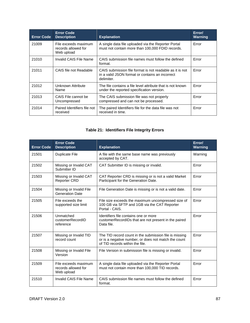| <b>Error Code</b> | <b>Error Code</b><br><b>Description</b>                   | <b>Explanation</b>                                                                                                        | Error/<br>Warning |
|-------------------|-----------------------------------------------------------|---------------------------------------------------------------------------------------------------------------------------|-------------------|
| 21009             | File exceeds maximum<br>records allowed for<br>Web upload | A single data file uploaded via the Reporter Portal<br>must not contain more than 100,000 FDID records.                   | Error             |
| 21010             | Invalid CAIS File Name                                    | CAIS submission file names must follow the defined<br>format.                                                             | Error             |
| 21011             | CAIS file not Readable                                    | CAIS submission file format is not readable as it is not<br>in a valid JSON format or contains an incorrect<br>delimiter. | Error             |
| 21012             | Unknown Attribute<br>Name                                 | The file contains a file level attribute that is not known<br>under the reported specification version.                   | Error             |
| 21013             | CAIS File cannot be<br>Uncompressed                       | The CAIS submission file was not properly<br>compressed and can not be processed.                                         | Error             |
| 21014             | Paired Identifiers file not<br>received                   | The paired Identifiers file for the data file was not<br>received in time.                                                | Error             |

## **Table 21: Identifiers File Integrity Errors**

| <b>Error Code</b> | <b>Error Code</b><br><b>Description</b>                   | <b>Explanation</b>                                                                                                                                | Error/<br>Warning |
|-------------------|-----------------------------------------------------------|---------------------------------------------------------------------------------------------------------------------------------------------------|-------------------|
| 21501             | <b>Duplicate File</b>                                     | A file with the same base name was previously<br>accepted by CAT.                                                                                 | Warning           |
| 21502             | Missing or Invalid CAT<br>Submitter ID                    | CAT Submitter ID is missing or invalid.                                                                                                           | Error             |
| 21503             | Missing or Invalid CAT<br><b>Reporter CRD</b>             | CAT Reporter CRD is missing or is not a valid Market<br>Participant for the Generation Date.                                                      | Error             |
| 21504             | Missing or Invalid File<br><b>Generation Date</b>         | File Generation Date is missing or is not a valid date.                                                                                           | Error             |
| 21505             | File exceeds the<br>supported size limit                  | File size exceeds the maximum uncompressed size of<br>100 GB via SFTP and 1GB via the CAT Reporter<br>Portal - CAIS.                              | Error             |
| 21506             | Unmatched<br>customerRecordID<br>reference                | Identifiers file contains one or more<br>customerRecordIDs that are not present in the paired<br>Data file.                                       | Error             |
| 21507             | Missing or Invalid TID<br>record count                    | The TID record count in the submission file is missing<br>or is a negative number, or does not match the count<br>of TID records within the file. | Error             |
| 21508             | Missing or Invalid File<br>Version                        | File Version in submission file is missing or invalid.                                                                                            | Error             |
| 21509             | File exceeds maximum<br>records allowed for<br>Web upload | A single data file uploaded via the Reporter Portal<br>must not contain more than 100,000 TID records.                                            | Error             |
| 21510             | Invalid CAIS File Name                                    | CAIS submission file names must follow the defined<br>format.                                                                                     | Error             |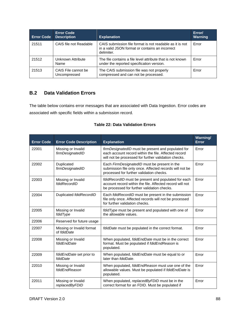| <b>Error Code</b> | <b>Error Code</b><br><b>Description</b> | <b>Explanation</b>                                                                                                        | Error/<br>Warning |
|-------------------|-----------------------------------------|---------------------------------------------------------------------------------------------------------------------------|-------------------|
| 21511             | CAIS file not Readable                  | CAIS submission file format is not readable as it is not<br>in a valid JSON format or contains an incorrect<br>delimiter. | Error             |
| 21512             | Unknown Attribute<br>Name               | The file contains a file level attribute that is not known<br>under the reported specification version.                   | Error             |
| 21513             | CAIS File cannot be<br>Uncompressed     | The CAIS submission file was not properly<br>compressed and can not be processed.                                         | Error             |

## **B.2 Data Validation Errors**

The table below contains error messages that are associated with Data Ingestion. Error codes are associated with specific fields within a submission record.

| <b>Table 22: Data Validation Errors</b> |  |  |
|-----------------------------------------|--|--|
|-----------------------------------------|--|--|

| <b>Error Code</b> | <b>Error Code Description</b>            | <b>Explanation</b>                                                                                                                                                 | Warning/<br><b>Error</b> |
|-------------------|------------------------------------------|--------------------------------------------------------------------------------------------------------------------------------------------------------------------|--------------------------|
| 22001             | Missing or Invalid<br>firmDesignatedID   | firmDesignatedID must be present and populated for<br>each account record within the file. Affected record<br>will not be processed for further validation checks. | Error                    |
| 22002             | Duplicated<br>firmDesignatedID           | Each FirmDesignatedID must be present in the<br>submission file only once. Affected records will not be<br>processed for further validation checks.                | Error                    |
| 22003             | Missing or Invalid<br>fdidRecordID       | fdidRecordID must be present and populated for each<br>account record within the file. Affected record will not<br>be processed for further validation checks.     | Error                    |
| 22004             | Duplicated fdidRecordID                  | Each fdidRecordID must be present in the submission<br>file only once. Affected records will not be processed<br>for further validation checks.                    | Error                    |
| 22005             | Missing or Invalid<br>fdidType           | fdidType must be present and populated with one of<br>the allowable values.                                                                                        | Error                    |
| 22006             | Reserved for future usage                |                                                                                                                                                                    |                          |
| 22007             | Missing or Invalid format<br>of fdidDate | fdidDate must be populated in the correct format.                                                                                                                  | Error                    |
| 22008             | Missing or Invalid<br>fdidEndDate        | When populated, fdidEndDate must be in the correct<br>format. Must be populated if fdidEndReason is<br>populated.                                                  | Error                    |
| 22009             | fdidEndDate set prior to<br>fdidDate     | When populated, fdidEndDate must be equal to or<br>later than fdidDate.                                                                                            | Error                    |
| 22010             | Missing or Invalid<br>fdidEndReason      | When populated, fdidEndReason must use one of the<br>allowable values. Must be populated if fdidEndDate is<br>populated.                                           | Error                    |
| 22011             | Missing or Invalid<br>replacedByFDID     | When populated, replacedByFDID must be in the<br>correct format for an FDID. Must be populated if                                                                  | Error                    |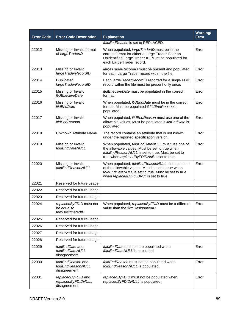| <b>Error Code</b> | <b>Error Code Description</b>                              | <b>Explanation</b>                                                                                                                                                                                    | Warning/<br><b>Error</b> |
|-------------------|------------------------------------------------------------|-------------------------------------------------------------------------------------------------------------------------------------------------------------------------------------------------------|--------------------------|
|                   |                                                            | fdidEndReason is set to REPLACED.                                                                                                                                                                     |                          |
| 22012             | Missing or Invalid format<br>of largeTraderID              | When populated, largeTraderID must be in the<br>correct format for either a Large Trader ID or an<br>Unidentified Large Trader ID. Must be populated for<br>each Large Trader record.                 | Error                    |
| 22013             | Missing or Invalid<br>largeTraderRecordID                  | largeTraderRecordID must be present and populated<br>for each Large Trader record within the file.                                                                                                    | Error                    |
| 22014             | Duplicated<br>largeTraderRecordID                          | Each largeTraderRecordID reported for a single FDID<br>record within the file must be present only once.                                                                                              | Error                    |
| 22015             | Missing or Invalid<br><b>ItidEffectiveDate</b>             | <i>ItidEffectiveDate</i> must be populated in the correct<br>format.                                                                                                                                  | Error                    |
| 22016             | Missing or Invalid<br><b>ItidEndDate</b>                   | When populated, ItidEndDate must be in the correct<br>format. Must be populated if ItidEndReason is<br>populated.                                                                                     | Error                    |
| 22017             | Missing or Invalid<br><b>ItidEndReason</b>                 | When populated, ItidEndReason must use one of the<br>allowable values. Must be populated if ItidEndDate is<br>populated.                                                                              | Error                    |
| 22018             | Unknown Attribute Name                                     | The record contains an attribute that is not known<br>under the reported specification version.                                                                                                       | Error                    |
| 22019             | Missing or Invalid<br>fdidFndDateNULL                      | When populated, fdidEndDateNULL must use one of<br>the allowable values. Must be set to true when<br>fdidEndReasonNULL is set to true. Must be set to<br>true when replacedByFDIDNull is set to true. | Error                    |
| 22020             | Missing or Invalid<br>fdidEndReasonNULL                    | When populated, fdidEndReasonNULL must use one<br>of the allowable values. Must be set to true when<br>fdidEndDateNULL is set to true. Must be set to true<br>when replacedByFDIDNull is set to true. | Error                    |
| 22021             | Reserved for future usage                                  |                                                                                                                                                                                                       |                          |
| 22022             | Reserved for future usage                                  |                                                                                                                                                                                                       |                          |
| 22023             | Reserved for future usage                                  |                                                                                                                                                                                                       |                          |
| 22024             | replacedByFDID must not<br>be equal to<br>firmDesignatedID | When populated, replacedByFDID must be a different<br>value than the firmDesignatedID.                                                                                                                | Error                    |
| 22025             | Reserved for future usage                                  |                                                                                                                                                                                                       |                          |
| 22026             | Reserved for future usage                                  |                                                                                                                                                                                                       |                          |
| 22027             | Reserved for future usage                                  |                                                                                                                                                                                                       |                          |
| 22028             | Reserved for future usage                                  |                                                                                                                                                                                                       |                          |
| 22029             | fdidEndDate and<br>fdidEndDateNULL<br>disagreement         | fdidEndDate must not be populated when<br>fdidEndDateNULL is populated.                                                                                                                               | Error                    |
| 22030             | fdidEndReason and<br>fdidEndReasonNULL<br>disagreement     | fdidEndReason must not be populated when<br>fdidEndReasonNULL is populated.                                                                                                                           | Error                    |
| 22031             | replacedByFDID and<br>replacedByFDIDNULL<br>disagreement   | replacedByFDID must not be populated when<br>replacedByFDIDNULL is populated.                                                                                                                         | Error                    |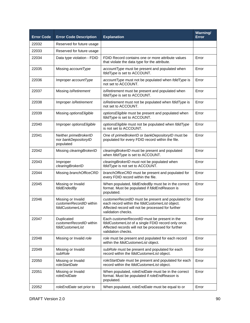| <b>Error Code</b> | <b>Error Code Description</b>                                     | <b>Explanation</b>                                                                                                                                                               | Warning/<br><b>Error</b> |
|-------------------|-------------------------------------------------------------------|----------------------------------------------------------------------------------------------------------------------------------------------------------------------------------|--------------------------|
| 22032             | Reserved for future usage                                         |                                                                                                                                                                                  |                          |
| 22033             | Reserved for future usage                                         |                                                                                                                                                                                  |                          |
| 22034             | Data type violation - FDID                                        | FDID Record contains one or more attribute values<br>that violate the data type for the attribute.                                                                               | Error                    |
| 22035             | Missing accountType                                               | accountType must be present and populated when<br>fdidType is set to ACCOUNT.                                                                                                    | Error                    |
| 22036             | Improper accountType                                              | accountType must not be populated when fdidType is<br>not set to ACCOUNT.                                                                                                        | Error                    |
| 22037             | Missing isRetirement                                              | isRetirement must be present and populated when<br>fdidType is set to ACCOUNT.                                                                                                   | Error                    |
| 22038             | Improper isRetirement                                             | isRetirement must not be populated when fdidType is<br>not set to ACCOUNT.                                                                                                       | Error                    |
| 22039             | Missing optionsEligible                                           | optionsEligible must be present and populated when<br>fdidType is set to ACCOUNT.                                                                                                | Error                    |
| 22040             | Improper optionsEligible                                          | optionsEligible must not be populated when fdidType<br>is not set to ACCOUNT.                                                                                                    | Error                    |
| 22041             | Neither primeBrokerID<br>nor bankDepositoryID<br>populated        | One of primeBrokerID or bankDepositoryID must be<br>populated for every FDID record within the file.                                                                             | Error                    |
| 22042             | Missing clearingBrokerID                                          | clearingBrokerID must be present and populated<br>when fdidType is set to ACCOUNT.                                                                                               | Error                    |
| 22043             | Improper<br>clearingBrokerID                                      | clearingBrokerID must not be populated when<br>fdidType is not set to ACCOUNT.                                                                                                   | Error                    |
| 22044             | Missing branchOfficeCRD                                           | branchOfficeCRD must be present and populated for<br>every FDID record within the file.                                                                                          | Error                    |
| 22045             | Missing or Invalid<br>fdidEndedBy                                 | When populated, fdidEndedBy must be in the correct<br>format. Must be populated if fdidEndReason is<br>populated.                                                                | Error                    |
| 22046             | Missing or Invalid<br>customerRecordID within<br>fdidCustomerList | customerRecordID must be present and populated for<br>each record within the fdidCustomerList object.<br>Affected record will not be processed for further<br>validation checks. | Error                    |
| 22047             | Duplicated<br>customerRecordID within<br>fdidCustomerList         | Each customerRecordID must be present in the<br>fdidCustomerList of a single FDID record only once.<br>Affected records will not be processed for further<br>validation checks.  | Error                    |
| 22048             | Missing or Invalid role                                           | role must be present and populated for each record<br>within the fdidCustomerList object.                                                                                        | Error                    |
| 22049             | Missing or Invalid<br>subRole                                     | subRole must be present and populated for each<br>record within the fdidCustomerList object.                                                                                     | Error                    |
| 22050             | Missing or Invalid<br>roleStartDate                               | roleStartDate must be present and populated for each<br>record within the fdidCustomerList object.                                                                               | Error                    |
| 22051             | Missing or Invalid<br>roleEndDate                                 | When populated, roleEndDate must be in the correct<br>format. Must be populated if roleEndReason is<br>populated.                                                                | Error                    |
| 22052             | roleEndDate set prior to                                          | When populated, roleEndDate must be equal to or                                                                                                                                  | Error                    |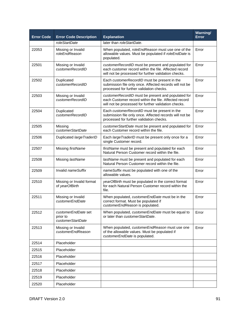| <b>Error Code</b> | <b>Error Code Description</b>                        | <b>Explanation</b>                                                                                                                                                  | Warning/<br><b>Error</b> |
|-------------------|------------------------------------------------------|---------------------------------------------------------------------------------------------------------------------------------------------------------------------|--------------------------|
|                   | roleStartDate                                        | later than roleStartDate.                                                                                                                                           |                          |
| 22053             | Missing or Invalid<br>roleEndReason                  | When populated, roleEndReason must use one of the<br>allowable values. Must be populated if roleEndDate is<br>populated.                                            | Error                    |
| 22501             | Missing or Invalid<br>customerRecordID               | customerRecordID must be present and populated for<br>each customer record within the file. Affected record<br>will not be processed for further validation checks. | Error                    |
| 22502             | Duplicated<br>customerRecordID                       | Each customerRecordID must be present in the<br>submission file only once. Affected records will not be<br>processed for further validation checks.                 | Error                    |
| 22503             | Missing or Invalid<br>customerRecordID               | customerRecordID must be present and populated for<br>each Customer record within the file. Affected record<br>will not be processed for further validation checks. | Error                    |
| 22504             | Duplicated<br>customerRecordID                       | Each customerRecordID must be present in the<br>submission file only once. Affected records will not be<br>processed for further validation checks.                 | Error                    |
| 22505             | Missing<br>customerStartDate                         | customerStartDate must be present and populated for<br>each Customer record within the file.                                                                        | Error                    |
| 22506             | Duplicated largeTraderID                             | Each large TraderID must be present only once for a<br>single Customer record.                                                                                      | Error                    |
| 22507             | Missing firstName                                    | firstName must be present and populated for each<br>Natural Person Customer record within the file.                                                                 | Error                    |
| 22508             | Missing lastName                                     | lastName must be present and populated for each<br>Natural Person Customer record within the file.                                                                  | Error                    |
| 22509             | Invalid nameSuffix                                   | nameSuffix must be populated with one of the<br>allowable values.                                                                                                   | Error                    |
| 22510             | Missing or Invalid format<br>of yearOfBirth          | yearOfBirth must be populated in the correct format<br>for each Natural Person Customer record within the<br>file.                                                  | Error                    |
| 22511             | Missing or Invalid<br>customerEndDate                | When populated, customerEndDate must be in the<br>correct format. Must be populated if<br>customerEndReason is populated.                                           | Error                    |
| 22512             | customerEndDate set<br>prior to<br>customerStartDate | When populated, customerEndDate must be equal to<br>or later than customerStartDate.                                                                                | Error                    |
| 22513             | Missing or Invalid<br>customerEndReason              | When populated, customerEndReason must use one<br>of the allowable values. Must be populated if<br>customerEndDate is populated.                                    | Error                    |
| 22514             | Placeholder                                          |                                                                                                                                                                     |                          |
| 22515             | Placeholder                                          |                                                                                                                                                                     |                          |
| 22516             | Placeholder                                          |                                                                                                                                                                     |                          |
| 22517             | Placeholder                                          |                                                                                                                                                                     |                          |
| 22518             | Placeholder                                          |                                                                                                                                                                     |                          |
| 22519             | Placeholder                                          |                                                                                                                                                                     |                          |
| 22520             | Placeholder                                          |                                                                                                                                                                     |                          |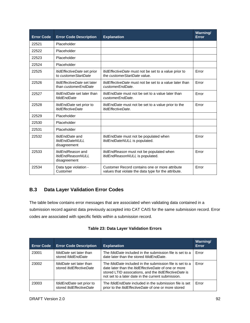| <b>Error Code</b> | <b>Error Code Description</b>                                        | <b>Explanation</b>                                                                                     | Warning/<br>Error |
|-------------------|----------------------------------------------------------------------|--------------------------------------------------------------------------------------------------------|-------------------|
| 22521             | Placeholder                                                          |                                                                                                        |                   |
| 22522             | Placeholder                                                          |                                                                                                        |                   |
| 22523             | Placeholder                                                          |                                                                                                        |                   |
| 22524             | Placeholder                                                          |                                                                                                        |                   |
| 22525             | ItidEffectiveDate set prior<br>to customerStartDate                  | <i>ItidEffectiveDate</i> must not be set to a value prior to<br>the customerStartDate value.           | Error             |
| 22526             | <i>ItidEffectiveDate</i> set later<br>than customerEndDate           | <i>ItidEffectiveDate</i> must not be set to a value later than<br>customerEndDate.                     | Error             |
| 22527             | <i>ItidEndDate</i> set later than<br>fdidEndDate                     | <i>ItidEndDate</i> must not be set to a value later than<br>customerEndDate.                           | Error             |
| 22528             | ItidEndDate set prior to<br><b>ItidEffectiveDate</b>                 | ItidEndDate must not be set to a value prior to the<br>ItidEffectiveDate.                              | Error             |
| 22529             | Placeholder                                                          |                                                                                                        |                   |
| 22530             | Placeholder                                                          |                                                                                                        |                   |
| 22531             | Placeholder                                                          |                                                                                                        |                   |
| 22532             | <i>ItidEndDate</i> and<br><b>ItidEndDateNULL</b><br>disagreement     | ItidEndDate must not be populated when<br>ItidEndDateNULL is populated.                                | Error             |
| 22533             | <i>ItidEndReason</i> and<br><b>ItidEndReasonNULL</b><br>disagreement | ItidEndReason must not be populated when<br>ItidEndReasonNULL is populated.                            | Error             |
| 22534             | Data type violation -<br>Customer                                    | Customer Record contains one or more attribute<br>values that violate the data type for the attribute. | Error             |

## **B.3 Data Layer Validation Error Codes**

The table below contains error messages that are associated when validating data contained in a submission record against data previously accepted into CAT CAIS for the same submission record. Error codes are associated with specific fields within a submission record.

|  |  |  | <b>Table 23: Data Layer Validation Errors</b> |  |
|--|--|--|-----------------------------------------------|--|
|--|--|--|-----------------------------------------------|--|

| <b>Error Code</b> | <b>Error Code Description</b>                                     | <b>Explanation</b>                                                                                                                                                                                                                            | Warning/<br>Error |
|-------------------|-------------------------------------------------------------------|-----------------------------------------------------------------------------------------------------------------------------------------------------------------------------------------------------------------------------------------------|-------------------|
| 23001             | fdidDate set later than<br>stored fdidEndDate                     | The <i>fdidDate</i> included in the submission file is set to a<br>date later than the stored <i>fdidEndDate</i> .                                                                                                                            | Error             |
| 23002             | <i>fdidDate</i> set later than<br>stored <i>ItidEffectiveDate</i> | The <i>fdidDate</i> included in the submission file is set to a<br>date later than the <i>ItidEffectiveDate</i> of one or more<br>stored LTID assocations, and the ItidEffectiveDate is<br>not set to a later date in the current submission. | Error             |
| 23003             | fdidEndDate set prior to<br>stored <i>ItidEffectiveDate</i>       | The <i>fdidEndDate</i> included in the submission file is set<br>prior to the <i>ItidEffectiveDate</i> of one or more stored                                                                                                                  | Error             |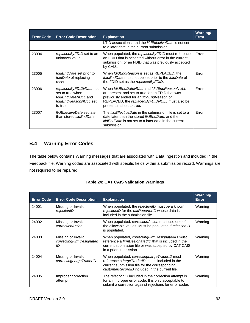| <b>Error Code</b> | <b>Error Code Description</b>                                                                         | <b>Explanation</b>                                                                                                                                                                                                      | <b>Warning/</b><br><b>Error</b> |
|-------------------|-------------------------------------------------------------------------------------------------------|-------------------------------------------------------------------------------------------------------------------------------------------------------------------------------------------------------------------------|---------------------------------|
|                   |                                                                                                       | LTID assocations, and the <i>ItidEffectiveDate</i> is not set<br>to a later date in the current submission.                                                                                                             |                                 |
| 23004             | replacedByFDID set to an<br>unknown value                                                             | When populated, the <i>replacedByFDID</i> must reference<br>an FDID that is accepted without error in the current<br>submission, or an FDID that was previously accepted<br>by CAIS.                                    | Error                           |
| 23005             | fdidEndDate set prior to<br>fdidDate of replacing<br>record                                           | When fdidEndReason is set as REPLACED, the<br>fdidEndDate must not be set prior to the fdidDate of<br>the FDID set as the replacedByFDID.                                                                               | Error                           |
| 23006             | replacedByFDIDNULL not<br>set to true when<br>fdidEndDateNULL and<br>fdidEndReasonNULL set<br>to true | When fdidEndDateNULL and fdidEndReasonNULL<br>are present and set to true for an FDID that was<br>previously ended for an fdidEndReason of<br>REPLACED, the replacedByFDIDNULL must also be<br>present and set to true. | Error                           |
| 23007             | <i>ItidEffectiveDate</i> set later<br>than stored <i>ItidEndDate</i>                                  | The <i>ItidEffectiveDate</i> in the submission file is set to a<br>date later than the stored <i>ItidEndDate</i> , and the<br><i>ItidEndDate</i> is not set to a later date in the current<br>submission.               | Error                           |

## **B.4 Warning Error Codes**

The table below contains Warning messages that are associated with Data Ingestion and included in the Feedback file. Warning codes are associated with specific fields within a submission record. Warnings are not required to be repaired.

| <b>Table 24: CAT CAIS Validation Warnings</b> |  |
|-----------------------------------------------|--|
|-----------------------------------------------|--|

| <b>Error Code</b> | <b>Error Code Description</b>                        | <b>Explanation</b>                                                                                                                                                                                          | <b>Warning/</b><br>Error |
|-------------------|------------------------------------------------------|-------------------------------------------------------------------------------------------------------------------------------------------------------------------------------------------------------------|--------------------------|
| 24001             | Missing or Invalid<br>rejectionID                    | When populated, the rejectionID must be a known<br>rejectionID for the catReporterID whose data is<br>included in the submission file.                                                                      | Warning                  |
| 24002             | Missing or Invalid<br>correctionAction               | When populated, <i>correctionAction</i> must use one of<br>the allowable values. Must be populated if rejectionID<br>is populated.                                                                          | Warning                  |
| 24003             | Missing or Invalid<br>correctingFirmDesignated<br>ID | When populated, correcting Firm Designated ID must<br>reference a <i>firmDesignatedID</i> that is included in the<br>current submission file or was accepted by CAT CAIS<br>in a prior submission.          | Warning                  |
| 24004             | Missing or Invalid<br>correctingLargeTraderID        | When populated, <i>correctingLargeTraderID</i> must<br>reference a largeTraderID that is included in the<br>current submission file for the corresponding<br>customerRecordID included in the current file. | Warning                  |
| 24005             | Improper correction<br>attempt                       | The rejectionID included in the correction attempt is<br>for an improper error code. It is only acceptable to<br>submit a correction against rejections for error codes                                     | Warning                  |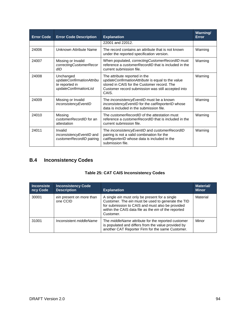| <b>Error Code</b> | <b>Error Code Description</b>                                                      | <b>Explanation</b>                                                                                                                                                                               | Warning/<br>Error |
|-------------------|------------------------------------------------------------------------------------|--------------------------------------------------------------------------------------------------------------------------------------------------------------------------------------------------|-------------------|
|                   |                                                                                    | 22001 and 22012.                                                                                                                                                                                 |                   |
| 24006             | Unknown Attribute Name                                                             | The record contains an attribute that is not known<br>under the reported specification version.                                                                                                  | Warning           |
| 24007             | Missing or Invalid<br>correctingCustomerRecor<br>dID                               | When populated, correctingCustomerRecordID must<br>reference a <i>customerRecordID</i> that is included in the<br>current submission file.                                                       | Warning           |
| 24008             | Unchanged<br>updateConfirmationAttribu<br>te reported in<br>updateConfirmationList | The attribute reported in the<br>updateConfirmationAttribute is equal to the value<br>stored in CAIS for the Customer record. The<br>Customer record submission was still accepted into<br>CAIS. | Warning           |
| 24009             | Missing or Invalid<br>inconsistencyEventID                                         | The <i>inconsistencyEventID</i> must be a known<br>inconsistencyEventID for the catReporterID whose<br>data is included in the submission file.                                                  | Warning           |
| 24010             | Missing<br>customerRecordID for an<br>attestation                                  | The customerRecordID of the attestation must<br>reference a <i>customerRecordID</i> that is included in the<br>current submission file.                                                          | Warning           |
| 24011             | Invalid<br><i>inconsistencyEventID</i> and<br>customerRecordID pairing             | The inconsistencyEventID and customerRecordID<br>pairing is not a valid combination for the<br>catReporterID whose data is included in the<br>submission file.                                   | Warning           |

# **B.4 Inconsistency Codes**

| <b>Inconsiste</b><br>ncy Code | <b>Inconsistency Code</b><br><b>Description</b> | <b>Explanation</b>                                                                                                                                                                                                                   | <b>Material/</b><br><b>Minor</b> |
|-------------------------------|-------------------------------------------------|--------------------------------------------------------------------------------------------------------------------------------------------------------------------------------------------------------------------------------------|----------------------------------|
| 30001                         | ein present on more than<br>one CCID            | A single <i>ein</i> must only be present for a single<br>Customer. The ein must be used to generate the TID<br>for submission to CAIS and must also be provided<br>within the CAIS data file as the ein of the reported<br>Customer. | Material                         |
| 31001                         | Inconsistent <i>middleName</i>                  | The <i>middleName</i> attribute for the reported customer<br>is populated and differs from the value provided by<br>another CAT Reporter Firm for the same Customer.                                                                 | Minor                            |

## **Table 25: CAT CAIS Inconsistency Codes**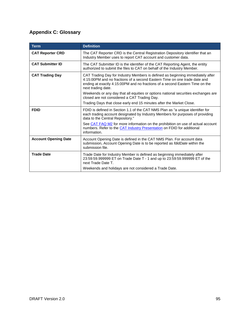# **Appendix C: Glossary**

| <b>Term</b>                 | <b>Definition</b>                                                                                                                                                                                                                                                 |
|-----------------------------|-------------------------------------------------------------------------------------------------------------------------------------------------------------------------------------------------------------------------------------------------------------------|
| <b>CAT Reporter CRD</b>     | The CAT Reporter CRD is the Central Registration Depository identifier that an<br>Industry Member uses to report CAT account and customer data.                                                                                                                   |
| <b>CAT Submitter ID</b>     | The CAT Submitter ID is the identifier of the CAT Reporting Agent, the entity<br>authorized to submit the files to CAT on behalf of the Industry Member.                                                                                                          |
| <b>CAT Trading Day</b>      | CAT Trading Day for Industry Members is defined as beginning immediately after<br>4:15:00PM and no fractions of a second Eastern Time on one trade date and<br>ending at exactly 4:15:00PM and no fractions of a second Eastern Time on the<br>next trading date. |
|                             | Weekends or any day that all equities or options national securities exchanges are<br>closed are not considered a CAT Trading Day.                                                                                                                                |
|                             | Trading Days that close early end 15 minutes after the Market Close.                                                                                                                                                                                              |
| <b>FDID</b>                 | FDID is defined in Section 1.1 of the CAT NMS Plan as "a unique identifier for<br>each trading account designated by Industry Members for purposes of providing<br>data to the Central Repository."                                                               |
|                             | See CAT FAQ M2 for more information on the prohibition on use of actual account<br>numbers. Refer to the CAT Industry Presentation on FDID for additional<br>information.                                                                                         |
| <b>Account Opening Date</b> | Account Opening Date is defined in the CAT NMS Plan. For account data<br>submission, Account Opening Date is to be reported as <i>fdidDate</i> within the<br>submission file.                                                                                     |
| <b>Trade Date</b>           | Trade Date for Industry Member is defined as beginning immediately after<br>23:59:59.999999 ET on Trade Date T - 1 and up to 23:59:59.999999 ET of the<br>next Trade Date T.                                                                                      |
|                             | Weekends and holidays are not considered a Trade Date.                                                                                                                                                                                                            |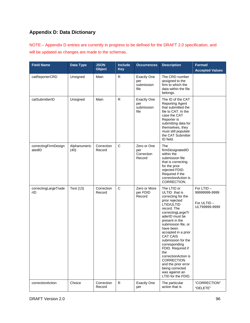# **Appendix D: Data Dictionary**

NOTE – Appendix D entries are currently in progress to be defined for the DRAFT 2.0 specification, and will be updated as changes are made to the schemas.

| <b>Field Name</b>              | <b>Data Type</b>     | <b>JSON</b><br><b>Object</b> | Include<br><b>Key</b> | <b>Occurrences</b>                              | <b>Description</b>                                                                                                                                                                                                                                                                                                                                                                                                                        | Format/<br><b>Accepted Values</b>                         |
|--------------------------------|----------------------|------------------------------|-----------------------|-------------------------------------------------|-------------------------------------------------------------------------------------------------------------------------------------------------------------------------------------------------------------------------------------------------------------------------------------------------------------------------------------------------------------------------------------------------------------------------------------------|-----------------------------------------------------------|
| catReporterCRD                 | Unsigned             | Main                         | R                     | <b>Exactly One</b><br>per<br>submission<br>file | The CRD number<br>assigned to the<br>firm to which the<br>data within the file<br>belongs.                                                                                                                                                                                                                                                                                                                                                |                                                           |
| catSubmitterID                 | Unsigned             | Main                         | R                     | <b>Exactly One</b><br>per<br>submission<br>file | The ID of the CAT<br><b>Reporting Agent</b><br>that submitted the<br>file to CAT. In the<br>case the CAT<br>Reporter is<br>submitting data for<br>themselves, they<br>must still populate<br>the CAT Submitter<br>ID field.                                                                                                                                                                                                               |                                                           |
| correctingFirmDesign<br>atedID | Alphanumeric<br>(40) | Correction<br>Record         | C                     | Zero or One<br>per<br>Correction<br>Record      | The<br>firmDesignatedID<br>within the<br>submission file<br>that is correcting<br>for the prior<br>rejected FDID.<br>Required if the<br>correctionAction is<br>CORRECTION.                                                                                                                                                                                                                                                                |                                                           |
| correctingLargeTrade<br>rID    | Text (13)            | Correction<br>Record         | $\mathsf{C}$          | Zero or More<br>per FDID<br>Record              | The LTID or<br>ULTID that is<br>correcting for the<br>prior rejected<br>LTID/ULTID<br>record. The<br>correctingLargeTr<br>aderID must be<br>present in the<br>submission file, or<br>have been<br>accepted in a prior<br><b>CAT CAIS</b><br>submission for the<br>corresponding<br>FDID. Required if<br>the<br>correctionAction is<br><b>CORRECTION</b><br>and the prior error<br>being corrected<br>was against an<br>LTID for the FDID. | For LTID-<br>99999999-9999<br>For ULTID-<br>ULT99999-9999 |
| correctionAction               | Choice               | Correction<br>Record         | $\mathsf{R}$          | <b>Exactly One</b><br>per                       | The particular<br>action that is                                                                                                                                                                                                                                                                                                                                                                                                          | "CORRECTION"<br>"DELETE"                                  |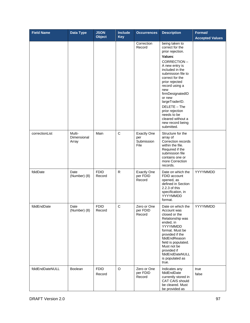| <b>Field Name</b> | <b>Data Type</b>               | <b>JSON</b><br><b>Object</b> | <b>Include</b><br><b>Key</b> | <b>Occurrences</b>                              | <b>Description</b>                                                                                                                                                                                                                                                                                                                                                | Format/<br><b>Accepted Values</b> |
|-------------------|--------------------------------|------------------------------|------------------------------|-------------------------------------------------|-------------------------------------------------------------------------------------------------------------------------------------------------------------------------------------------------------------------------------------------------------------------------------------------------------------------------------------------------------------------|-----------------------------------|
|                   |                                |                              |                              | Correction<br>Record                            | being taken to<br>correct for the<br>prior rejection.<br>Values:<br>CORRECTION-<br>A new entry is<br>included in the<br>submission file to<br>correct for the<br>prior rejected<br>record using a<br>new<br>firmDesignatedID<br>or new<br>largeTraderID.<br>DELETE - The<br>prior rejection<br>needs to be<br>cleared without a<br>new record being<br>submitted. |                                   |
| correctionList    | Multi-<br>Dimensional<br>Array | Main                         | $\mathbf C$                  | <b>Exactly One</b><br>per<br>Submission<br>File | Structure for the<br>array of<br>Correction records<br>within the file.<br>Required if the<br>submission file<br>contains one or<br>more Correction<br>records.                                                                                                                                                                                                   |                                   |
| fdidDate          | Date<br>(Number) (8)           | <b>FDID</b><br>Record        | R                            | <b>Exactly One</b><br>per FDID<br>Record        | Date on which the<br>FDID account<br>opened, as<br>defined in Section<br>2.2.3 of this<br>specification, in<br>YYYYMMDD<br>format.                                                                                                                                                                                                                                | YYYYMMDD                          |
| fdidEndDate       | Date<br>(Number) (8)           | <b>FDID</b><br>Record        | C                            | Zero or One<br>per FDID<br>Record               | Date on which the<br>Account was<br>closed or the<br>Relationship was<br>ended, in<br>YYYYMMDD<br>format. Must be<br>provided if the<br>fdidEndReason<br>field is populated.<br>Must not be<br>provided if<br>fdidEndDateNULL<br>is populated as<br>true.                                                                                                         | YYYYMMDD                          |
| fdidEndDateNULL   | Boolean                        | <b>FDID</b><br>Record        | $\circ$                      | Zero or One<br>per FDID<br>Record               | Indicates any<br>fdidEndDate<br>currently stored in<br>CAT CAIS should<br>be cleared. Must<br>be provided as                                                                                                                                                                                                                                                      | true<br>false                     |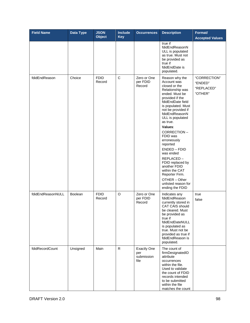| <b>Field Name</b> | Data Type | <b>JSON</b><br><b>Object</b> | <b>Include</b><br><b>Key</b> | <b>Occurrences</b>                              | <b>Description</b>                                                                                                                                                                                                                                                                                                                                                                                                                                                         | Format/<br><b>Accepted Values</b>                |
|-------------------|-----------|------------------------------|------------------------------|-------------------------------------------------|----------------------------------------------------------------------------------------------------------------------------------------------------------------------------------------------------------------------------------------------------------------------------------------------------------------------------------------------------------------------------------------------------------------------------------------------------------------------------|--------------------------------------------------|
|                   |           |                              |                              |                                                 | true if<br>fdidEndReasonN<br>ULL is populated<br>as true. Must not<br>be provided as<br>true if<br>fdidEndDate is<br>populated.                                                                                                                                                                                                                                                                                                                                            |                                                  |
| fdidEndReason     | Choice    | <b>FDID</b><br>Record        | C                            | Zero or One<br>per FDID<br>Record               | Reason why the<br>Account was<br>closed or the<br>Relationship was<br>ended. Must be<br>provided if the<br>fdidEndDate field<br>is populated. Must<br>not be provided if<br>fdidEndReasonN<br>ULL is populated<br>as true.<br>Values:<br>CORRECTION-<br>FDID was<br>erroneously<br>reported<br>$ENDED - FDID$<br>was ended<br>REPLACED-<br>FDID replaced by<br>another FDID<br>within the CAT<br>Reporter Firm.<br>OTHER - Other<br>unlisted reason for<br>ending the FDID | "CORRECTION"<br>"ENDED"<br>"REPLACED"<br>"OTHER" |
| fdidEndReasonNULL | Boolean   | <b>FDID</b><br>Record        | O                            | Zero or One<br>per FDID<br>Record               | Indicates any<br>fdidEndReason<br>currently stored in<br>CAT CAIS should<br>be cleared. Must<br>be provided as<br>true if<br>fdidEndDateNULL<br>is populated as<br>true. Must not be<br>provided as true if<br>fdidEndReason is<br>populated.                                                                                                                                                                                                                              | true<br>false                                    |
| fdidRecordCount   | Unsigned  | Main                         | $\mathsf{R}$                 | <b>Exactly One</b><br>per<br>submission<br>file | The count of<br>firmDesignatedID<br>attribute<br>occurrences<br>within the file.<br>Used to validate<br>the count of FDID<br>records intended<br>to be submitted<br>within the file<br>matches the count                                                                                                                                                                                                                                                                   |                                                  |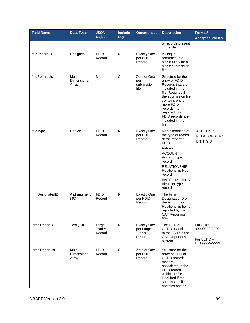| <b>Field Name</b> | Data Type                      | <b>JSON</b><br><b>Object</b> | <b>Include</b><br><b>Key</b> | <b>Occurrences</b>                                  | <b>Description</b>                                                                                                                                                                                                                      | Format/<br><b>Accepted Values</b>                         |
|-------------------|--------------------------------|------------------------------|------------------------------|-----------------------------------------------------|-----------------------------------------------------------------------------------------------------------------------------------------------------------------------------------------------------------------------------------------|-----------------------------------------------------------|
|                   |                                |                              |                              |                                                     | of records present<br>in the file.                                                                                                                                                                                                      |                                                           |
| fdidRecordID      | Unsigned                       | <b>FDID</b><br>Record        | R.                           | <b>Exactly One</b><br>per FDID<br>Record            | A unique<br>reference to a<br>single FDID for a<br>single submission<br>file.                                                                                                                                                           |                                                           |
| fdidRecordList    | Multi-<br>Dimensional<br>Array | Main                         | $\mathsf{C}$                 | Zero or One<br>per<br>submission<br>file            | Structure for the<br>array of FDID<br>Records that are<br>included in the<br>file. Required if<br>the submission file<br>contains one or<br>more FDID<br>records; not<br>required if no<br>FDID records are<br>included in the<br>file. |                                                           |
| fdidType          | Choice                         | <b>FDID</b><br>Record        | R                            | <b>Exactly One</b><br>per FDID<br>Record            | Representation of<br>the type of record<br>of the reported<br>FDID.<br>Values:<br>ACCOUNT-<br>Account type<br>record<br>RELATIONSHIP-<br>Relationship type<br>record<br><b>ENTITYID - Entity</b><br>Identifier type<br>record           | "ACCOUNT"<br>"RELATIONSHIP"<br>"ENTITYID"                 |
| firmDesignatedID  | Alphanumeric<br>(40)           | <b>FDID</b><br>Record        | R                            | <b>Exactly One</b><br>per FDID<br>Record            | The Firm<br>Designated ID of<br>the Account or<br>Relationship being<br>reported by the<br><b>CAT Reporting</b><br>firm.                                                                                                                |                                                           |
| largeTraderID     | Text (13)                      | Large<br>Trader<br>Record    | $\mathsf{R}$                 | <b>Exactly One</b><br>per Large<br>Trader<br>Record | The LTID or<br>ULTID associated<br>to the FDID in the<br><b>CAT Reporter's</b><br>system.                                                                                                                                               | For LTID-<br>99999999-9999<br>For ULTID-<br>ULT99999-9999 |
| largeTraderList   | Multi-<br>Dimensional<br>Array | <b>FDID</b><br>Record        | $\mathbf C$                  | Zero or One<br>per FDID<br>Record                   | Structure for the<br>array of LTID or<br>ULTID records<br>that are<br>associated to the<br>FDID record<br>within the file.<br>Required if the<br>submission file<br>contains one or                                                     |                                                           |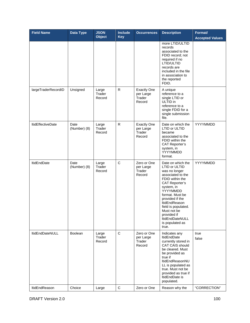| <b>Field Name</b>        | Data Type            | <b>JSON</b><br><b>Object</b> | <b>Include</b><br><b>Key</b> | <b>Occurrences</b>                                  | <b>Description</b>                                                                                                                                                                                                                                                                                        | Format/<br><b>Accepted Values</b> |
|--------------------------|----------------------|------------------------------|------------------------------|-----------------------------------------------------|-----------------------------------------------------------------------------------------------------------------------------------------------------------------------------------------------------------------------------------------------------------------------------------------------------------|-----------------------------------|
|                          |                      |                              |                              |                                                     | more LTID/ULTID<br>records<br>associated to the<br>FDID record; not<br>required if no<br>LTID/ULTID<br>records are<br>included in the file<br>in association to<br>the reported<br>FDID.                                                                                                                  |                                   |
| largeTraderRecordID      | Unsigned             | Large<br>Trader<br>Record    | R.                           | <b>Exactly One</b><br>per Large<br>Trader<br>Record | A unique<br>reference to a<br>single LTID or<br>ULTID in<br>reference to a<br>single FDID for a<br>single submission<br>file.                                                                                                                                                                             |                                   |
| <b>ItidEffectiveDate</b> | Date<br>(Number) (8) | Large<br>Trader<br>Record    | $\mathsf{R}$                 | <b>Exactly One</b><br>per Large<br>Trader<br>Record | Date on which the<br>LTID or ULTID<br>became<br>associated to the<br>FDID within the<br><b>CAT Reporter's</b><br>system, in<br>YYYYMMDD<br>format.                                                                                                                                                        | YYYYMMDD                          |
| <b>ItidEndDate</b>       | Date<br>(Number) (8) | Large<br>Trader<br>Record    | $\mathsf C$                  | Zero or One<br>per Large<br>Trader<br>Record        | Date on which the<br>LTID or ULTID<br>was no longer<br>associated to the<br>FDID within the<br><b>CAT Reporter's</b><br>system, in<br>YYYYMMDD<br>format. Must be<br>provided if the<br>ItidEndReason<br>field is populated.<br>Must not be<br>provided if<br>ItidEndDateNULL<br>is populated as<br>true. | YYYYMMDD                          |
| ItidEndDateNULL          | Boolean              | Large<br>Trader<br>Record    | C                            | Zero or One<br>per Large<br>Trader<br>Record        | Indicates any<br><b>ItidEndDate</b><br>currently stored in<br><b>CAT CAIS should</b><br>be cleared. Must<br>be provided as<br>true if<br>ItidEndReasonNU<br>LL is populated as<br>true. Must not be<br>provided as true if<br>ItidEndDate is<br>populated.                                                | true<br>false                     |
| ItidEndReason            | Choice               | Large                        | $\mathbf C$                  | Zero or One                                         | Reason why the                                                                                                                                                                                                                                                                                            | "CORRECTION"                      |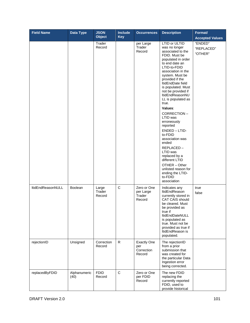| <b>Field Name</b>        | Data Type            | <b>JSON</b><br><b>Object</b> | <b>Include</b><br><b>Key</b> | <b>Occurrences</b>                                | <b>Description</b>                                                                                                                                                                                                                                                                                                                                                                                                                                                                                                                                                                     | Format/<br><b>Accepted Values</b> |
|--------------------------|----------------------|------------------------------|------------------------------|---------------------------------------------------|----------------------------------------------------------------------------------------------------------------------------------------------------------------------------------------------------------------------------------------------------------------------------------------------------------------------------------------------------------------------------------------------------------------------------------------------------------------------------------------------------------------------------------------------------------------------------------------|-----------------------------------|
|                          |                      | Trader<br>Record             |                              | per Large<br>Trader<br>Record                     | LTID or ULTID<br>was no longer<br>associated to the<br>FDID. Must be<br>populated in order<br>to end date an<br>LTID-to-FDID<br>association in the<br>system. Must be<br>provided if the<br>ItidEndDate field<br>is populated. Must<br>not be provided if<br>ItidEndReasonNU<br>LL is populated as<br>true.<br>Values:<br>CORRECTION-<br>LTID was<br>erroneously<br>reported<br>ENDED - LTID-<br>to-FDID<br>association was<br>ended<br>REPLACED-<br>LTID was<br>replaced by a<br>different LTID<br>OTHER - Other<br>unlisted reason for<br>ending the LTID-<br>to-FDID<br>association | "ENDED"<br>"REPLACED"<br>"OTHER"  |
| <b>ItidEndReasonNULL</b> | <b>Boolean</b>       | Large<br>Trader<br>Record    | $\mathsf C$                  | Zero or One<br>per Large<br>Trader<br>Record      | Indicates any<br>ltidEndReason<br>currently stored in<br><b>CAT CAIS should</b><br>be cleared. Must<br>be provided as<br>true if<br>ItidEndDateNULL<br>is populated as<br>true. Must not be<br>provided as true if<br>ItidEndReason is<br>populated.                                                                                                                                                                                                                                                                                                                                   | true<br>false                     |
| rejectionID              | Unsigned             | Correction<br>Record         | R                            | <b>Exactly One</b><br>per<br>Correction<br>Record | The rejectionID<br>from a prior<br>submission that<br>was created for<br>the particular Data<br>Ingestion error<br>being corrected.                                                                                                                                                                                                                                                                                                                                                                                                                                                    |                                   |
| replacedByFDID           | Alphanumeric<br>(40) | <b>FDID</b><br>Record        | $\mathbf C$                  | Zero or One<br>per FDID<br>Record                 | The new FDID<br>replacing the<br>currently reported<br>FDID, used to<br>provide historical                                                                                                                                                                                                                                                                                                                                                                                                                                                                                             |                                   |